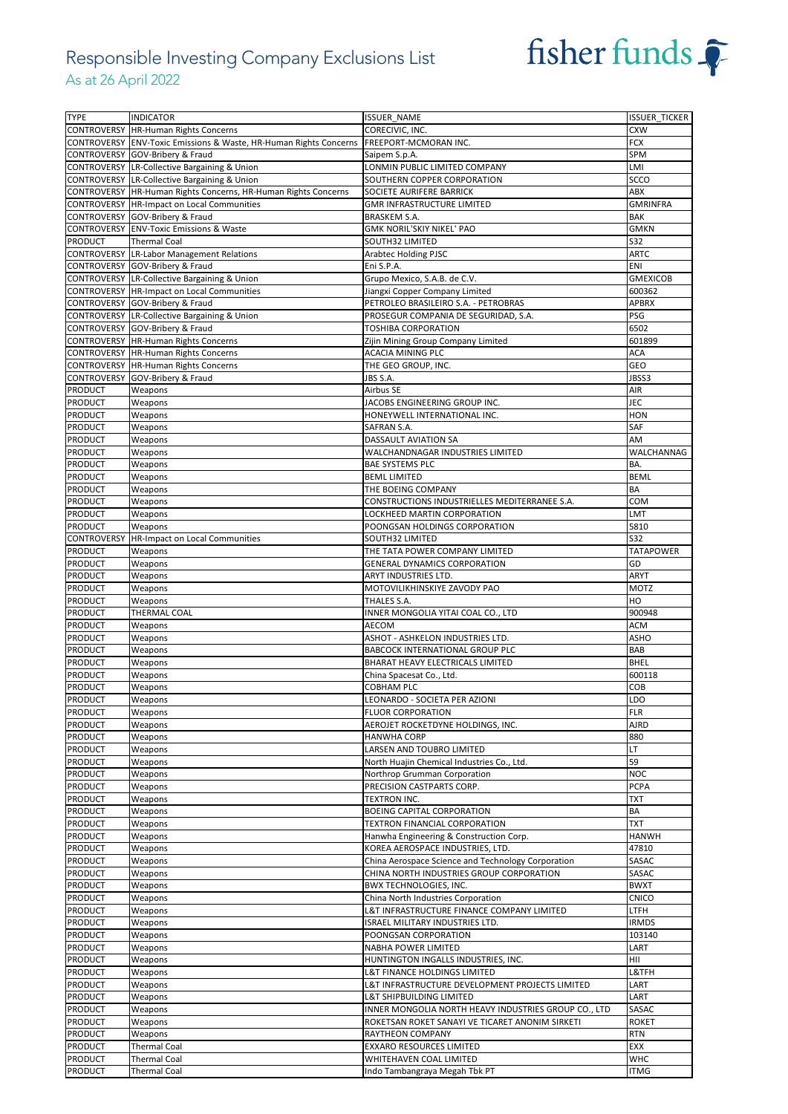### Responsible Investing Company Exclusions List As at 26 April 2022



| <b>TYPE</b>                      | <b>INDICATOR</b>                                                  | <b>ISSUER NAME</b>                                       | <b>ISSUER TICKER</b>      |
|----------------------------------|-------------------------------------------------------------------|----------------------------------------------------------|---------------------------|
|                                  | <b>CONTROVERSY HR-Human Rights Concerns</b>                       | CORECIVIC, INC.                                          | <b>CXW</b>                |
|                                  | CONTROVERSY ENV-Toxic Emissions & Waste, HR-Human Rights Concerns | FREEPORT-MCMORAN INC.                                    | <b>FCX</b>                |
|                                  | CONTROVERSY GOV-Bribery & Fraud                                   | Saipem S.p.A.                                            | SPM                       |
|                                  | CONTROVERSY LR-Collective Bargaining & Union                      | LONMIN PUBLIC LIMITED COMPANY                            | LMI                       |
|                                  | CONTROVERSY LR-Collective Bargaining & Union                      | SOUTHERN COPPER CORPORATION                              | SCCO                      |
|                                  | CONTROVERSY   HR-Human Rights Concerns, HR-Human Rights Concerns  | SOCIETE AURIFERE BARRICK                                 | ABX                       |
|                                  | CONTROVERSY HR-Impact on Local Communities                        | <b>GMR INFRASTRUCTURE LIMITED</b>                        | GMRINFRA                  |
|                                  |                                                                   |                                                          | BAK                       |
|                                  | CONTROVERSY GOV-Bribery & Fraud                                   | BRASKEM S.A.                                             |                           |
|                                  | <b>CONTROVERSY ENV-Toxic Emissions &amp; Waste</b>                | <b>GMK NORIL'SKIY NIKEL' PAO</b>                         | <b>GMKN</b>               |
| PRODUCT                          | <b>Thermal Coal</b>                                               | SOUTH32 LIMITED                                          | S32                       |
|                                  | <b>CONTROVERSY LR-Labor Management Relations</b>                  | <b>Arabtec Holding PJSC</b>                              | <b>ARTC</b>               |
|                                  | CONTROVERSY GOV-Bribery & Fraud                                   | Eni S.P.A.                                               | ENI                       |
|                                  | CONTROVERSY LR-Collective Bargaining & Union                      | Grupo Mexico, S.A.B. de C.V.                             | <b>GMEXICOB</b>           |
|                                  | CONTROVERSY HR-Impact on Local Communities                        | Jiangxi Copper Company Limited                           | 600362                    |
|                                  | CONTROVERSY GOV-Bribery & Fraud                                   | PETROLEO BRASILEIRO S.A. - PETROBRAS                     | <b>APBRX</b>              |
|                                  | CONTROVERSY LR-Collective Bargaining & Union                      | PROSEGUR COMPANIA DE SEGURIDAD, S.A.                     | PSG                       |
|                                  | CONTROVERSY GOV-Bribery & Fraud                                   | TOSHIBA CORPORATION                                      | 6502                      |
|                                  | CONTROVERSY HR-Human Rights Concerns                              | Zijin Mining Group Company Limited                       | 601899                    |
|                                  | CONTROVERSY HR-Human Rights Concerns                              | ACACIA MINING PLC                                        | <b>ACA</b>                |
|                                  | CONTROVERSY HR-Human Rights Concerns                              | THE GEO GROUP, INC.                                      | GEO                       |
|                                  | CONTROVERSY GOV-Bribery & Fraud                                   | JBS S.A.                                                 | JBSS3                     |
| PRODUCT                          | Weapons                                                           | Airbus SE                                                | AIR                       |
| PRODUCT                          | Weapons                                                           | JACOBS ENGINEERING GROUP INC.                            | JEC                       |
| PRODUCT                          | Weapons                                                           | HONEYWELL INTERNATIONAL INC.                             | <b>HON</b>                |
| PRODUCT                          | Weapons                                                           | SAFRAN S.A.                                              | SAF                       |
| PRODUCT                          | Weapons                                                           | DASSAULT AVIATION SA                                     | AM                        |
| PRODUCT                          | Weapons                                                           | WALCHANDNAGAR INDUSTRIES LIMITED                         | WALCHANNAG                |
| PRODUCT                          | Weapons                                                           | <b>BAE SYSTEMS PLC</b>                                   | BA.                       |
|                                  |                                                                   | <b>BEML LIMITED</b>                                      | <b>BEML</b>               |
| PRODUCT                          | Weapons                                                           |                                                          | BA                        |
| <b>PRODUCT</b>                   | Weapons                                                           | THE BOEING COMPANY                                       |                           |
| PRODUCT                          | Weapons                                                           | CONSTRUCTIONS INDUSTRIELLES MEDITERRANEE S.A.            | COM                       |
| PRODUCT                          | Weapons                                                           | LOCKHEED MARTIN CORPORATION                              | LMT                       |
| PRODUCT                          | Weapons                                                           | POONGSAN HOLDINGS CORPORATION                            | 5810                      |
|                                  | <b>CONTROVERSY HR-Impact on Local Communities</b>                 | SOUTH32 LIMITED                                          | S32                       |
| PRODUCT                          | Weapons                                                           | THE TATA POWER COMPANY LIMITED                           | <b>TATAPOWER</b>          |
| PRODUCT                          | Weapons                                                           | <b>GENERAL DYNAMICS CORPORATION</b>                      | GD                        |
| <b>PRODUCT</b>                   | Weapons                                                           | ARYT INDUSTRIES LTD.                                     | <b>ARYT</b>               |
| <b>PRODUCT</b>                   | Weapons                                                           | MOTOVILIKHINSKIYE ZAVODY PAO                             | <b>MOTZ</b>               |
|                                  |                                                                   |                                                          |                           |
| PRODUCT                          | Weapons                                                           | THALES S.A.                                              | HO                        |
| PRODUCT                          | THERMAL COAL                                                      | INNER MONGOLIA YITAI COAL CO., LTD                       | 900948                    |
| PRODUCT                          | Weapons                                                           | AECOM                                                    | <b>ACM</b>                |
| PRODUCT                          | Weapons                                                           | ASHOT - ASHKELON INDUSTRIES LTD.                         | ASHO                      |
| PRODUCT                          | Weapons                                                           | BABCOCK INTERNATIONAL GROUP PLC                          | BAB                       |
| <b>PRODUCT</b>                   | Weapons                                                           | BHARAT HEAVY ELECTRICALS LIMITED                         | <b>BHEL</b>               |
|                                  |                                                                   |                                                          |                           |
| PRODUCT                          | Weapons                                                           | China Spacesat Co., Ltd.                                 | 600118                    |
| <b>PRODUCT</b>                   | Weapons                                                           | COBHAM PLC                                               | COB                       |
| <b>PRODUCT</b>                   | Weapons                                                           | LEONARDO - SOCIETA PER AZIONI                            | LDO                       |
| <b>PRODUCT</b>                   | Weapons                                                           | <b>FLUOR CORPORATION</b>                                 | <b>FLR</b>                |
| PRODUCT                          | Weapons                                                           | AEROJET ROCKETDYNE HOLDINGS, INC.                        | AJRD                      |
| PRODUCT                          | Weapons                                                           | <b>HANWHA CORP</b>                                       | 880                       |
| PRODUCT                          | Weapons                                                           | LARSEN AND TOUBRO LIMITED                                | LT                        |
| <b>PRODUCT</b>                   | Weapons                                                           | North Huajin Chemical Industries Co., Ltd.               | 59                        |
| PRODUCT                          | Weapons                                                           | Northrop Grumman Corporation                             | <b>NOC</b>                |
| PRODUCT                          | Weapons                                                           | PRECISION CASTPARTS CORP.                                | <b>PCPA</b>               |
| <b>PRODUCT</b>                   | Weapons                                                           | TEXTRON INC.                                             | <b>TXT</b>                |
| PRODUCT                          | Weapons                                                           | BOEING CAPITAL CORPORATION                               | ВA                        |
| PRODUCT                          | Weapons                                                           | TEXTRON FINANCIAL CORPORATION                            | TXT                       |
| PRODUCT                          | Weapons                                                           | Hanwha Engineering & Construction Corp.                  | HANWH                     |
| <b>PRODUCT</b>                   | Weapons                                                           | KOREA AEROSPACE INDUSTRIES, LTD.                         | 47810                     |
| PRODUCT                          | Weapons                                                           | China Aerospace Science and Technology Corporation       | SASAC                     |
| PRODUCT                          | Weapons                                                           | CHINA NORTH INDUSTRIES GROUP CORPORATION                 | SASAC                     |
| PRODUCT                          | Weapons                                                           | <b>BWX TECHNOLOGIES, INC.</b>                            | <b>BWXT</b>               |
| <b>PRODUCT</b>                   | Weapons                                                           | China North Industries Corporation                       | CNICO                     |
| PRODUCT                          | Weapons                                                           | L&T INFRASTRUCTURE FINANCE COMPANY LIMITED               | LTFH                      |
| PRODUCT                          | Weapons                                                           | ISRAEL MILITARY INDUSTRIES LTD.                          | <b>IRMDS</b>              |
| PRODUCT                          | Weapons                                                           | POONGSAN CORPORATION                                     | 103140                    |
| PRODUCT                          | Weapons                                                           | NABHA POWER LIMITED                                      | LART                      |
| <b>PRODUCT</b>                   | Weapons                                                           | HUNTINGTON INGALLS INDUSTRIES, INC.                      | HII                       |
| <b>PRODUCT</b>                   | Weapons                                                           | L&T FINANCE HOLDINGS LIMITED                             | L&TFH                     |
| PRODUCT                          | Weapons                                                           | L&T INFRASTRUCTURE DEVELOPMENT PROJECTS LIMITED          | LART                      |
| <b>PRODUCT</b>                   |                                                                   |                                                          | LART                      |
|                                  | Weapons                                                           | L&T SHIPBUILDING LIMITED                                 |                           |
| PRODUCT                          | Weapons                                                           | INNER MONGOLIA NORTH HEAVY INDUSTRIES GROUP CO., LTD     | SASAC                     |
| PRODUCT                          | Weapons                                                           | ROKETSAN ROKET SANAYI VE TICARET ANONIM SIRKETI          | <b>ROKET</b>              |
| PRODUCT                          | Weapons                                                           | RAYTHEON COMPANY                                         | <b>RTN</b>                |
| PRODUCT                          | <b>Thermal Coal</b>                                               | EXXARO RESOURCES LIMITED                                 | EXX                       |
| <b>PRODUCT</b><br><b>PRODUCT</b> | <b>Thermal Coal</b><br><b>Thermal Coal</b>                        | WHITEHAVEN COAL LIMITED<br>Indo Tambangraya Megah Tbk PT | <b>WHC</b><br><b>ITMG</b> |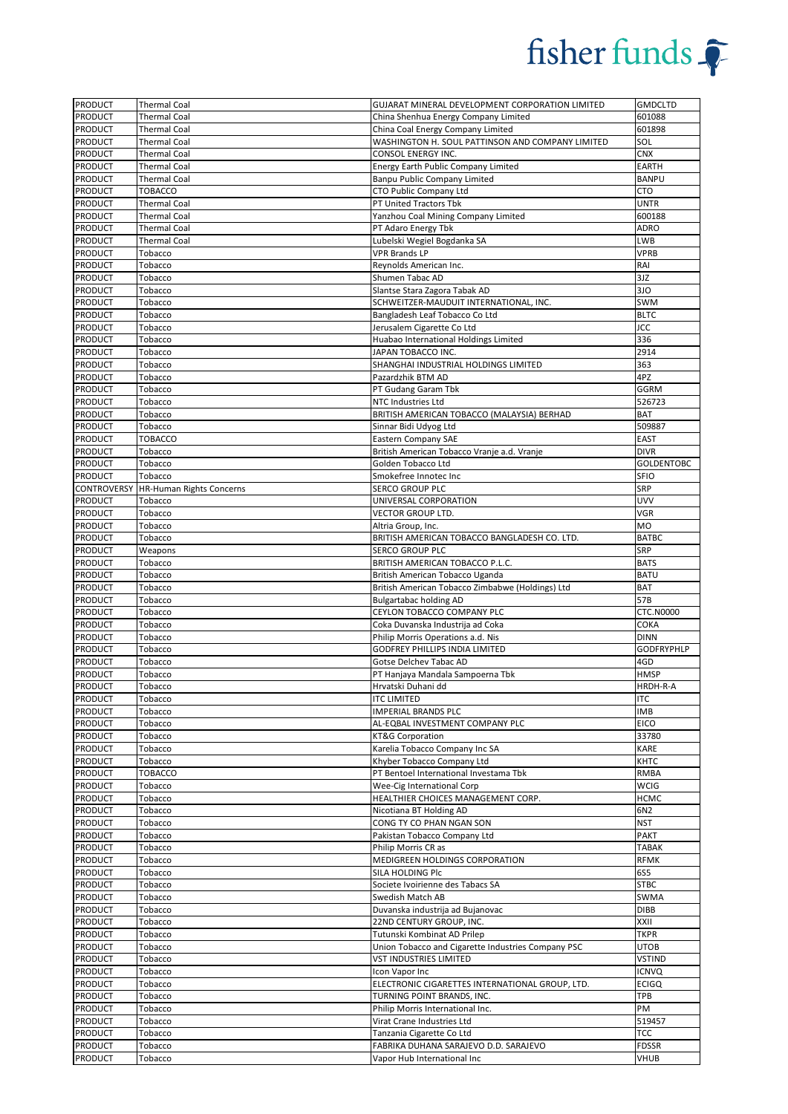

| <b>PRODUCT</b>            | <b>Thermal Coal</b>                        | GUJARAT MINERAL DEVELOPMENT CORPORATION LIMITED                      | <b>GMDCLTD</b>                   |
|---------------------------|--------------------------------------------|----------------------------------------------------------------------|----------------------------------|
| <b>PRODUCT</b>            | <b>Thermal Coal</b>                        | China Shenhua Energy Company Limited                                 | 601088                           |
| <b>PRODUCT</b>            | <b>Thermal Coal</b>                        | China Coal Energy Company Limited                                    | 601898                           |
| <b>PRODUCT</b>            | <b>Thermal Coal</b>                        | WASHINGTON H. SOUL PATTINSON AND COMPANY LIMITED                     | SOL                              |
| PRODUCT                   | <b>Thermal Coal</b>                        | CONSOL ENERGY INC.                                                   | <b>CNX</b>                       |
| PRODUCT                   | <b>Thermal Coal</b>                        | Energy Earth Public Company Limited                                  | <b>EARTH</b>                     |
| PRODUCT                   | <b>Thermal Coal</b>                        | Banpu Public Company Limited                                         | <b>BANPU</b>                     |
| PRODUCT                   | <b>TOBACCO</b>                             | CTO Public Company Ltd                                               | CTO                              |
| PRODUCT                   | <b>Thermal Coal</b><br><b>Thermal Coal</b> | PT United Tractors Tbk                                               | <b>UNTR</b><br>600188            |
| PRODUCT<br><b>PRODUCT</b> | <b>Thermal Coal</b>                        | Yanzhou Coal Mining Company Limited<br>PT Adaro Energy Tbk           | ADRO                             |
| <b>PRODUCT</b>            | <b>Thermal Coal</b>                        | Lubelski Wegiel Bogdanka SA                                          | <b>LWB</b>                       |
| PRODUCT                   | Tobacco                                    | <b>VPR Brands LP</b>                                                 | <b>VPRB</b>                      |
| PRODUCT                   | Tobacco                                    | Reynolds American Inc.                                               | RAI                              |
| PRODUCT                   | Tobacco                                    | Shumen Tabac AD                                                      | 3JZ                              |
| PRODUCT                   | Tobacco                                    | Slantse Stara Zagora Tabak AD                                        | 3JO                              |
| PRODUCT                   | Tobacco                                    | SCHWEITZER-MAUDUIT INTERNATIONAL, INC.                               | SWM                              |
| <b>PRODUCT</b>            | Tobacco                                    | Bangladesh Leaf Tobacco Co Ltd                                       | <b>BLTC</b>                      |
| PRODUCT                   | Tobacco                                    | Jerusalem Cigarette Co Ltd                                           | <b>JCC</b>                       |
| <b>PRODUCT</b>            | Tobacco                                    | Huabao International Holdings Limited                                | 336                              |
| PRODUCT                   | Tobacco                                    | JAPAN TOBACCO INC.                                                   | 2914                             |
| PRODUCT                   | Tobacco                                    | SHANGHAI INDUSTRIAL HOLDINGS LIMITED                                 | 363                              |
| PRODUCT                   | Tobacco                                    | Pazardzhik BTM AD                                                    | 4PZ                              |
| PRODUCT                   | Tobacco                                    | PT Gudang Garam Tbk                                                  | GGRM                             |
| PRODUCT                   | Tobacco                                    | NTC Industries Ltd                                                   | 526723                           |
| PRODUCT                   | Tobacco                                    | BRITISH AMERICAN TOBACCO (MALAYSIA) BERHAD                           | BAT                              |
| <b>PRODUCT</b>            | Tobacco                                    | Sinnar Bidi Udyog Ltd                                                | 509887                           |
| <b>PRODUCT</b>            | <b>TOBACCO</b>                             | <b>Eastern Company SAE</b>                                           | <b>EAST</b>                      |
| PRODUCT                   | Tobacco                                    | British American Tobacco Vranje a.d. Vranje                          | <b>DIVR</b>                      |
| PRODUCT                   | Tobacco                                    | Golden Tobacco Ltd                                                   | <b>GOLDENTOBC</b>                |
| PRODUCT                   | Tobacco                                    | Smokefree Innotec Inc                                                | <b>SFIO</b>                      |
| CONTROVERSY               | <b>HR-Human Rights Concerns</b>            | SERCO GROUP PLC                                                      | SRP                              |
| <b>PRODUCT</b>            | Tobacco                                    | UNIVERSAL CORPORATION                                                | <b>UVV</b>                       |
| PRODUCT                   | Tobacco                                    | VECTOR GROUP LTD.                                                    | VGR                              |
| PRODUCT                   | Tobacco                                    | Altria Group, Inc.                                                   | MO                               |
| <b>PRODUCT</b>            | Tobacco                                    | BRITISH AMERICAN TOBACCO BANGLADESH CO. LTD.                         | <b>BATBC</b><br>SRP              |
| <b>PRODUCT</b>            | Weapons                                    | <b>SERCO GROUP PLC</b>                                               |                                  |
| PRODUCT<br>PRODUCT        | Tobacco<br>Tobacco                         | BRITISH AMERICAN TOBACCO P.L.C.<br>British American Tobacco Uganda   | <b>BATS</b><br><b>BATU</b>       |
|                           |                                            |                                                                      |                                  |
|                           |                                            |                                                                      |                                  |
| PRODUCT                   | Tobacco                                    | British American Tobacco Zimbabwe (Holdings) Ltd                     | BAT                              |
| PRODUCT                   | Tobacco                                    | <b>Bulgartabac holding AD</b>                                        | 57B                              |
| PRODUCT                   | Tobacco                                    | CEYLON TOBACCO COMPANY PLC                                           | <b>CTC.N0000</b>                 |
| <b>PRODUCT</b>            | Tobacco                                    | Coka Duvanska Industrija ad Coka                                     | COKA                             |
| PRODUCT                   | Tobacco                                    | Philip Morris Operations a.d. Nis                                    | <b>DINN</b><br><b>GODFRYPHLP</b> |
| <b>PRODUCT</b><br>PRODUCT | Tobacco<br>Tobacco                         | GODFREY PHILLIPS INDIA LIMITED<br>Gotse Delchev Tabac AD             | 4GD                              |
| <b>PRODUCT</b>            | Tobacco                                    | PT Hanjaya Mandala Sampoerna Tbk                                     | <b>HMSP</b>                      |
| <b>PRODUCT</b>            | Tobacco                                    | Hrvatski Duhani dd                                                   | HRDH-R-A                         |
| <b>PRODUCT</b>            | Tobacco                                    | <b>ITC LIMITED</b>                                                   | <b>ITC</b>                       |
| PRODUCT                   | Tobacco                                    | <b>IMPERIAL BRANDS PLC</b>                                           | IMB                              |
| PRODUCT                   | Tobacco                                    | AL-EQBAL INVESTMENT COMPANY PLC                                      | <b>EICO</b>                      |
| PRODUCT                   | Tobacco                                    | KT&G Corporation                                                     | 33780                            |
| PRODUCT                   | Tobacco                                    | Karelia Tobacco Company Inc SA                                       | KARE                             |
| PRODUCT                   | Tobacco                                    | Khyber Tobacco Company Ltd                                           | KHTC                             |
| PRODUCT                   | TOBACCO                                    | PT Bentoel International Investama Tbk                               | RMBA                             |
| <b>PRODUCT</b>            | Tobacco                                    | Wee-Cig International Corp                                           | WCIG                             |
| <b>PRODUCT</b>            | Tobacco                                    | HEALTHIER CHOICES MANAGEMENT CORP.                                   | <b>HCMC</b>                      |
| <b>PRODUCT</b>            | Tobacco                                    | Nicotiana BT Holding AD                                              | 6N2                              |
| PRODUCT                   | Tobacco                                    | CONG TY CO PHAN NGAN SON                                             | <b>NST</b>                       |
| PRODUCT                   | Tobacco                                    | Pakistan Tobacco Company Ltd                                         | PAKT                             |
| <b>PRODUCT</b>            | Tobacco                                    | Philip Morris CR as                                                  | <b>TABAK</b>                     |
| PRODUCT                   | Tobacco                                    | MEDIGREEN HOLDINGS CORPORATION                                       | <b>RFMK</b>                      |
| PRODUCT                   | Tobacco                                    | SILA HOLDING PIC                                                     | 6S5                              |
| PRODUCT                   | Tobacco                                    | Societe Ivoirienne des Tabacs SA                                     | <b>STBC</b>                      |
| PRODUCT                   | Tobacco                                    | Swedish Match AB                                                     | SWMA                             |
| PRODUCT                   | Tobacco                                    | Duvanska industrija ad Bujanovac                                     | <b>DIBB</b><br>XXII              |
| PRODUCT<br>PRODUCT        | Tobacco<br>Tobacco                         | 22ND CENTURY GROUP, INC.<br>Tutunski Kombinat AD Prilep              | TKPR                             |
| PRODUCT                   | Tobacco                                    | Union Tobacco and Cigarette Industries Company PSC                   | <b>UTOB</b>                      |
| <b>PRODUCT</b>            | Tobacco                                    | VST INDUSTRIES LIMITED                                               | <b>VSTIND</b>                    |
| PRODUCT                   | Tobacco                                    | Icon Vapor Inc                                                       | <b>ICNVQ</b>                     |
| PRODUCT                   | Tobacco                                    | ELECTRONIC CIGARETTES INTERNATIONAL GROUP, LTD.                      | <b>ECIGQ</b>                     |
| PRODUCT                   | Tobacco                                    | TURNING POINT BRANDS, INC.                                           | TPB                              |
| PRODUCT                   | Tobacco                                    | Philip Morris International Inc.                                     | PM                               |
| PRODUCT                   | Tobacco                                    | Virat Crane Industries Ltd                                           | 519457                           |
| PRODUCT                   | Tobacco                                    | Tanzania Cigarette Co Ltd                                            | TCC                              |
| PRODUCT<br>PRODUCT        | Tobacco<br>Tobacco                         | FABRIKA DUHANA SARAJEVO D.D. SARAJEVO<br>Vapor Hub International Inc | <b>FDSSR</b><br>VHUB             |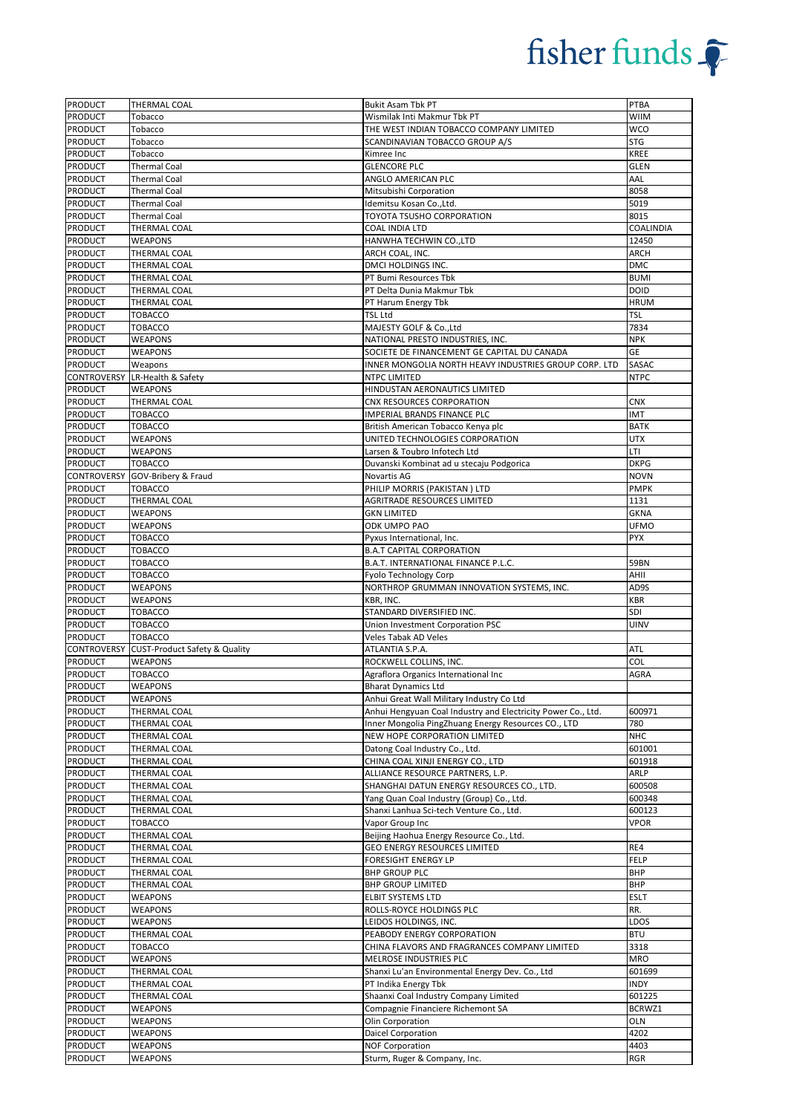| PRODUCT                          | THERMAL COAL                             | <b>Bukit Asam Tbk PT</b>                                     | <b>PTBA</b>        |
|----------------------------------|------------------------------------------|--------------------------------------------------------------|--------------------|
| PRODUCT                          | Tobacco                                  | Wismilak Inti Makmur Tbk PT                                  | <b>WIIM</b>        |
| PRODUCT                          | Tobacco                                  | THE WEST INDIAN TOBACCO COMPANY LIMITED                      | wco                |
| PRODUCT                          | Tobacco                                  | SCANDINAVIAN TOBACCO GROUP A/S                               | <b>STG</b>         |
| <b>PRODUCT</b>                   | Tobacco                                  | Kimree Inc                                                   | <b>KREE</b>        |
| <b>PRODUCT</b>                   | <b>Thermal Coal</b>                      | <b>GLENCORE PLC</b>                                          | <b>GLEN</b>        |
| PRODUCT                          | <b>Thermal Coal</b>                      | ANGLO AMERICAN PLC                                           | AAL                |
| PRODUCT                          | <b>Thermal Coal</b>                      | Mitsubishi Corporation                                       | 8058               |
| PRODUCT                          | <b>Thermal Coal</b>                      | Idemitsu Kosan Co., Ltd.                                     | 5019               |
| <b>PRODUCT</b>                   | <b>Thermal Coal</b>                      | TOYOTA TSUSHO CORPORATION                                    | 8015               |
| PRODUCT                          | THERMAL COAL                             | COAL INDIA LTD                                               | COALINDIA          |
| PRODUCT                          | <b>WEAPONS</b>                           | HANWHA TECHWIN CO., LTD                                      | 12450              |
| <b>PRODUCT</b>                   | THERMAL COAL                             | ARCH COAL, INC.                                              | ARCH               |
| <b>PRODUCT</b>                   | THERMAL COAL                             | DMCI HOLDINGS INC.                                           | <b>DMC</b>         |
| PRODUCT                          | THERMAL COAL                             | PT Bumi Resources Tbk                                        | <b>BUMI</b>        |
| PRODUCT                          | THERMAL COAL                             | PT Delta Dunia Makmur Tbk                                    | <b>DOID</b>        |
| PRODUCT                          | THERMAL COAL                             | PT Harum Energy Tbk                                          | <b>HRUM</b>        |
| PRODUCT                          | <b>TOBACCO</b>                           | TSL Ltd                                                      | <b>TSL</b>         |
| PRODUCT                          | <b>TOBACCO</b>                           | MAJESTY GOLF & Co., Ltd                                      | 7834               |
| PRODUCT                          | WEAPONS                                  | NATIONAL PRESTO INDUSTRIES, INC.                             | <b>NPK</b>         |
| <b>PRODUCT</b>                   | <b>WEAPONS</b>                           | SOCIETE DE FINANCEMENT GE CAPITAL DU CANADA                  | GE                 |
| <b>PRODUCT</b>                   | Weapons                                  | INNER MONGOLIA NORTH HEAVY INDUSTRIES GROUP CORP. LTD        | <b>SASAC</b>       |
| CONTROVERSY                      | LR-Health & Safety                       | NTPC LIMITED                                                 | <b>NTPC</b>        |
| PRODUCT                          | <b>WEAPONS</b>                           | HINDUSTAN AERONAUTICS LIMITED                                |                    |
| <b>PRODUCT</b>                   | THERMAL COAL                             | CNX RESOURCES CORPORATION                                    | <b>CNX</b>         |
| PRODUCT                          | <b>TOBACCO</b>                           | IMPERIAL BRANDS FINANCE PLC                                  | <b>IMT</b>         |
| PRODUCT                          | <b>TOBACCO</b>                           | British American Tobacco Kenya plc                           | <b>BATK</b>        |
| PRODUCT                          | WEAPONS                                  | UNITED TECHNOLOGIES CORPORATION                              | <b>UTX</b>         |
| PRODUCT                          | <b>WEAPONS</b>                           | Larsen & Toubro Infotech Ltd                                 | LTI                |
| <b>PRODUCT</b>                   | <b>TOBACCO</b>                           | Duvanski Kombinat ad u stecaju Podgorica                     | <b>DKPG</b>        |
| <b>CONTROVERSY</b>               | GOV-Bribery & Fraud                      | Novartis AG                                                  | <b>NOVN</b>        |
| PRODUCT                          | <b>TOBACCO</b>                           | PHILIP MORRIS (PAKISTAN) LTD                                 | <b>PMPK</b>        |
| PRODUCT                          | THERMAL COAL                             | AGRITRADE RESOURCES LIMITED                                  | 1131               |
| PRODUCT                          | <b>WEAPONS</b>                           | <b>GKN LIMITED</b>                                           | <b>GKNA</b>        |
| <b>PRODUCT</b>                   | <b>WEAPONS</b>                           | ODK UMPO PAO                                                 | <b>UFMO</b>        |
| PRODUCT                          | <b>TOBACCO</b>                           | Pyxus International, Inc.                                    | <b>PYX</b>         |
|                                  |                                          |                                                              |                    |
| PRODUCT                          | <b>TOBACCO</b>                           | <b>B.A.T CAPITAL CORPORATION</b>                             |                    |
| <b>PRODUCT</b>                   | <b>TOBACCO</b>                           | B.A.T. INTERNATIONAL FINANCE P.L.C.                          | <b>59BN</b>        |
| <b>PRODUCT</b>                   | <b>TOBACCO</b>                           | Fyolo Technology Corp                                        | AHII               |
|                                  |                                          |                                                              |                    |
| PRODUCT                          | WEAPONS                                  | NORTHROP GRUMMAN INNOVATION SYSTEMS, INC.                    | AD9S               |
| PRODUCT                          | WEAPONS                                  | KBR, INC.                                                    | <b>KBR</b>         |
| PRODUCT                          | <b>TOBACCO</b>                           | STANDARD DIVERSIFIED INC.                                    | SDI                |
| PRODUCT                          | <b>TOBACCO</b>                           | Union Investment Corporation PSC                             | <b>UINV</b>        |
| PRODUCT                          | <b>TOBACCO</b>                           | Veles Tabak AD Veles                                         |                    |
| CONTROVERSY                      | <b>CUST-Product Safety &amp; Quality</b> | ATLANTIA S.P.A.                                              | <b>ATL</b>         |
| PRODUCT                          | <b>WEAPONS</b>                           | ROCKWELL COLLINS, INC.                                       | COL                |
| <b>PRODUCT</b>                   | <b>TOBACCO</b>                           | Agraflora Organics International Inc                         | AGRA               |
| PRODUCT                          | WEAPONS                                  | <b>Bharat Dynamics Ltd</b>                                   |                    |
| PRODUCT                          | <b>WEAPONS</b>                           | Anhui Great Wall Military Industry Co Ltd                    |                    |
| PRODUCT                          | THERMAL COAL                             | Anhui Hengyuan Coal Industry and Electricity Power Co., Ltd. | 600971             |
| PRODUCT                          | THERMAL COAL                             | Inner Mongolia PingZhuang Energy Resources CO., LTD          | 780                |
| PRODUCT                          | THERMAL COAL                             | NEW HOPE CORPORATION LIMITED                                 | <b>NHC</b>         |
| PRODUCT                          | THERMAL COAL                             | Datong Coal Industry Co., Ltd.                               | 601001             |
| PRODUCT                          | THERMAL COAL                             | CHINA COAL XINJI ENERGY CO., LTD                             | 601918             |
| <b>PRODUCT</b>                   | THERMAL COAL                             | ALLIANCE RESOURCE PARTNERS, L.P.                             | ARLP               |
| <b>PRODUCT</b>                   | THERMAL COAL                             | SHANGHAI DATUN ENERGY RESOURCES CO., LTD.                    | 600508             |
| PRODUCT                          | THERMAL COAL                             | Yang Quan Coal Industry (Group) Co., Ltd.                    | 600348             |
| PRODUCT                          | THERMAL COAL                             | Shanxi Lanhua Sci-tech Venture Co., Ltd.                     | 600123             |
| <b>PRODUCT</b>                   | <b>TOBACCO</b>                           | Vapor Group Inc                                              | VPOR               |
| PRODUCT                          | THERMAL COAL                             | Beijing Haohua Energy Resource Co., Ltd.                     |                    |
| PRODUCT                          | THERMAL COAL                             | GEO ENERGY RESOURCES LIMITED                                 | RE4                |
| PRODUCT                          | THERMAL COAL                             | FORESIGHT ENERGY LP                                          | <b>FELP</b>        |
| <b>PRODUCT</b>                   | THERMAL COAL                             | <b>BHP GROUP PLC</b>                                         | <b>BHP</b>         |
| PRODUCT                          | THERMAL COAL                             | BHP GROUP LIMITED                                            | <b>BHP</b>         |
| <b>PRODUCT</b>                   | <b>WEAPONS</b>                           | ELBIT SYSTEMS LTD                                            | <b>ESLT</b>        |
| PRODUCT                          | <b>WEAPONS</b>                           | ROLLS-ROYCE HOLDINGS PLC                                     | RR.                |
| PRODUCT                          | <b>WEAPONS</b>                           | LEIDOS HOLDINGS, INC.                                        | LDOS               |
| <b>PRODUCT</b>                   | THERMAL COAL                             | PEABODY ENERGY CORPORATION                                   | <b>BTU</b>         |
| PRODUCT                          | <b>TOBACCO</b>                           | CHINA FLAVORS AND FRAGRANCES COMPANY LIMITED                 | 3318               |
| PRODUCT                          | <b>WEAPONS</b>                           | MELROSE INDUSTRIES PLC                                       | <b>MRO</b>         |
| <b>PRODUCT</b>                   | THERMAL COAL                             | Shanxi Lu'an Environmental Energy Dev. Co., Ltd              | 601699             |
| <b>PRODUCT</b>                   | THERMAL COAL                             | PT Indika Energy Tbk                                         | <b>INDY</b>        |
|                                  |                                          |                                                              |                    |
| PRODUCT                          | THERMAL COAL                             | Shaanxi Coal Industry Company Limited                        | 601225             |
| PRODUCT                          | <b>WEAPONS</b>                           | Compagnie Financiere Richemont SA                            | BCRWZ1             |
| <b>PRODUCT</b>                   | <b>WEAPONS</b>                           | Olin Corporation                                             | OLN                |
| <b>PRODUCT</b>                   | <b>WEAPONS</b>                           | Daicel Corporation                                           | 4202               |
| <b>PRODUCT</b><br><b>PRODUCT</b> | <b>WEAPONS</b><br><b>WEAPONS</b>         | <b>NOF Corporation</b><br>Sturm, Ruger & Company, Inc.       | 4403<br><b>RGR</b> |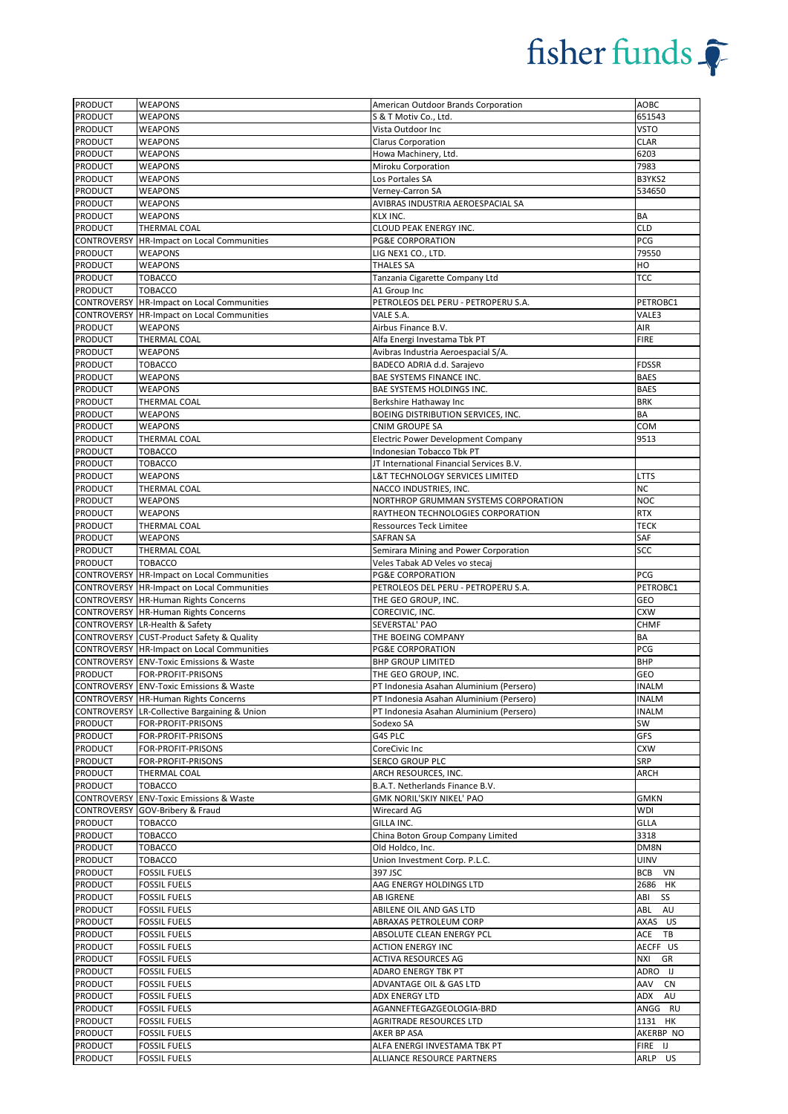| PRODUCT        | <b>WEAPONS</b>                                          | American Outdoor Brands Corporation       | AOBC         |
|----------------|---------------------------------------------------------|-------------------------------------------|--------------|
| <b>PRODUCT</b> | <b>WEAPONS</b>                                          | S & T Motiv Co., Ltd.                     | 651543       |
| PRODUCT        | <b>WEAPONS</b>                                          | Vista Outdoor Inc                         | <b>VSTO</b>  |
| PRODUCT        | WEAPONS                                                 | Clarus Corporation                        | <b>CLAR</b>  |
| PRODUCT        | <b>WEAPONS</b>                                          | Howa Machinery, Ltd.                      | 6203         |
| PRODUCT        | <b>WEAPONS</b>                                          | Miroku Corporation                        | 7983         |
| PRODUCT        | <b>WEAPONS</b>                                          | Los Portales SA                           | B3YKS2       |
| PRODUCT        | WEAPONS                                                 | Verney-Carron SA                          | 534650       |
| PRODUCT        | <b>WEAPONS</b>                                          | AVIBRAS INDUSTRIA AEROESPACIAL SA         |              |
| PRODUCT        | <b>WEAPONS</b>                                          | KLX INC.                                  | BA           |
| <b>PRODUCT</b> | <b>THERMAL COAL</b>                                     | CLOUD PEAK ENERGY INC.                    | <b>CLD</b>   |
|                | CONTROVERSY   HR-Impact on Local Communities            | <b>PG&amp;E CORPORATION</b>               | PCG          |
| PRODUCT        | <b>WEAPONS</b>                                          | LIG NEX1 CO., LTD.                        | 79550        |
| PRODUCT        | <b>WEAPONS</b>                                          | <b>THALES SA</b>                          | HO           |
| <b>PRODUCT</b> | <b>TOBACCO</b>                                          | Tanzania Cigarette Company Ltd            | TCC          |
| PRODUCT        | <b>TOBACCO</b>                                          | A1 Group Inc                              |              |
|                | <b>CONTROVERSY HR-Impact on Local Communities</b>       | PETROLEOS DEL PERU - PETROPERU S.A.       | PETROBC1     |
|                | <b>CONTROVERSY HR-Impact on Local Communities</b>       | VALE S.A.                                 | VALE3        |
| PRODUCT        | <b>WEAPONS</b>                                          | Airbus Finance B.V.                       | AIR          |
| PRODUCT        | THERMAL COAL                                            | Alfa Energi Investama Tbk PT              | <b>FIRE</b>  |
| PRODUCT        | <b>WEAPONS</b>                                          | Avibras Industria Aeroespacial S/A.       |              |
|                |                                                         |                                           |              |
| PRODUCT        | <b>TOBACCO</b>                                          | BADECO ADRIA d.d. Sarajevo                | <b>FDSSR</b> |
| PRODUCT        | <b>WEAPONS</b>                                          | BAE SYSTEMS FINANCE INC.                  | <b>BAES</b>  |
| PRODUCT        | WEAPONS                                                 | BAE SYSTEMS HOLDINGS INC.                 | <b>BAES</b>  |
| PRODUCT        | THERMAL COAL                                            | Berkshire Hathaway Inc                    | <b>BRK</b>   |
| PRODUCT        | <b>WEAPONS</b>                                          | BOEING DISTRIBUTION SERVICES, INC.        | BA           |
| <b>PRODUCT</b> | <b>WEAPONS</b>                                          | <b>CNIM GROUPE SA</b>                     | COM          |
| PRODUCT        | THERMAL COAL                                            | <b>Electric Power Development Company</b> | 9513         |
| PRODUCT        | <b>TOBACCO</b>                                          | Indonesian Tobacco Tbk PT                 |              |
| PRODUCT        | <b>TOBACCO</b>                                          | JT International Financial Services B.V.  |              |
| <b>PRODUCT</b> | <b>WEAPONS</b>                                          | L&T TECHNOLOGY SERVICES LIMITED           | LTTS         |
| PRODUCT        | THERMAL COAL                                            | NACCO INDUSTRIES, INC.                    | <b>NC</b>    |
| PRODUCT        | <b>WEAPONS</b>                                          | NORTHROP GRUMMAN SYSTEMS CORPORATION      | <b>NOC</b>   |
| PRODUCT        | <b>WEAPONS</b>                                          | RAYTHEON TECHNOLOGIES CORPORATION         | <b>RTX</b>   |
| PRODUCT        | THERMAL COAL                                            | <b>Ressources Teck Limitee</b>            | <b>TECK</b>  |
| <b>PRODUCT</b> | <b>WEAPONS</b>                                          | <b>SAFRAN SA</b>                          | SAF          |
| PRODUCT        | THERMAL COAL                                            | Semirara Mining and Power Corporation     | SCC          |
| PRODUCT        | <b>TOBACCO</b>                                          | Veles Tabak AD Veles vo stecaj            |              |
|                | CONTROVERSY HR-Impact on Local Communities              | <b>PG&amp;E CORPORATION</b>               | PCG          |
|                | CONTROVERSY HR-Impact on Local Communities              | PETROLEOS DEL PERU - PETROPERU S.A.       | PETROBC1     |
|                | CONTROVERSY HR-Human Rights Concerns                    | THE GEO GROUP, INC.                       | GEO          |
|                | <b>CONTROVERSY HR-Human Rights Concerns</b>             | CORECIVIC, INC.                           | <b>CXW</b>   |
|                | CONTROVERSY LR-Health & Safety                          | SEVERSTAL' PAO                            | <b>CHMF</b>  |
|                | CONTROVERSY CUST-Product Safety & Quality               | THE BOEING COMPANY                        | BA           |
|                | CONTROVERSY HR-Impact on Local Communities              | <b>PG&amp;E CORPORATION</b>               | PCG          |
|                |                                                         |                                           | <b>BHP</b>   |
| <b>PRODUCT</b> | CONTROVERSY ENV-Toxic Emissions & Waste                 | <b>BHP GROUP LIMITED</b>                  |              |
|                | FOR-PROFIT-PRISONS                                      | THE GEO GROUP, INC.                       | GEO          |
|                | <b>CONTROVERSY ENV-Toxic Emissions &amp; Waste</b>      | PT Indonesia Asahan Aluminium (Persero)   | <b>INALM</b> |
|                | CONTROVERSY HR-Human Rights Concerns                    | PT Indonesia Asahan Aluminium (Persero)   | <b>INALM</b> |
|                | <b>CONTROVERSY LR-Collective Bargaining &amp; Union</b> | PT Indonesia Asahan Aluminium (Persero)   | <b>INALM</b> |
| PRODUCT        | FOR-PROFIT-PRISONS                                      | Sodexo SA                                 | SW           |
| PRODUCT        | FOR-PROFIT-PRISONS                                      | G4S PLC                                   | GFS          |
| PRODUCT        | FOR-PROFIT-PRISONS                                      | CoreCivic Inc                             | <b>CXW</b>   |
| PRODUCT        | FOR-PROFIT-PRISONS                                      | SERCO GROUP PLC                           | SRP          |
| PRODUCT        | THERMAL COAL                                            | ARCH RESOURCES, INC.                      | ARCH         |
| PRODUCT        | <b>TOBACCO</b>                                          | B.A.T. Netherlands Finance B.V.           |              |
|                | CONTROVERSY ENV-Toxic Emissions & Waste                 | GMK NORIL'SKIY NIKEL' PAO                 | <b>GMKN</b>  |
|                | CONTROVERSY GOV-Bribery & Fraud                         | Wirecard AG                               | <b>WDI</b>   |
| <b>PRODUCT</b> | <b>TOBACCO</b>                                          | GILLA INC.                                | GLLA         |
| PRODUCT        | <b>TOBACCO</b>                                          | China Boton Group Company Limited         | 3318         |
| PRODUCT        | <b>TOBACCO</b>                                          | Old Holdco, Inc.                          | DM8N         |
| PRODUCT        | <b>TOBACCO</b>                                          | Union Investment Corp. P.L.C.             | UINV         |
| PRODUCT        | <b>FOSSIL FUELS</b>                                     | 397 JSC                                   | BCB VN       |
| <b>PRODUCT</b> | <b>FOSSIL FUELS</b>                                     | AAG ENERGY HOLDINGS LTD                   | 2686 HK      |
| PRODUCT        | <b>FOSSIL FUELS</b>                                     | <b>AB IGRENE</b>                          | ABI<br>SS    |
| PRODUCT        | <b>FOSSIL FUELS</b>                                     | ABILENE OIL AND GAS LTD                   | ABL<br>AU    |
| PRODUCT        | <b>FOSSIL FUELS</b>                                     | ABRAXAS PETROLEUM CORP                    | AXAS US      |
| PRODUCT        | <b>FOSSIL FUELS</b>                                     | ABSOLUTE CLEAN ENERGY PCL                 | ACE<br>TB    |
| PRODUCT        | <b>FOSSIL FUELS</b>                                     | <b>ACTION ENERGY INC</b>                  | AECFF US     |
| PRODUCT        | <b>FOSSIL FUELS</b>                                     | ACTIVA RESOURCES AG                       | NXI<br>GR    |
| PRODUCT        | <b>FOSSIL FUELS</b>                                     | ADARO ENERGY TBK PT                       | ADRO IJ      |
| PRODUCT        | <b>FOSSIL FUELS</b>                                     | ADVANTAGE OIL & GAS LTD                   | AAV<br>CN    |
| PRODUCT        | <b>FOSSIL FUELS</b>                                     | ADX ENERGY LTD                            | ADX AU       |
| PRODUCT        | FOSSIL FUELS                                            | AGANNEFTEGAZGEOLOGIA-BRD                  | ANGG RU      |
| PRODUCT        |                                                         | AGRITRADE RESOURCES LTD                   | 1131 HK      |
| PRODUCT        | <b>FOSSIL FUELS</b>                                     |                                           |              |
|                | <b>FOSSIL FUELS</b>                                     | AKER BP ASA                               | AKERBP NO    |
| PRODUCT        | <b>FOSSIL FUELS</b>                                     | ALFA ENERGI INVESTAMA TBK PT              | FIRE IJ      |
| PRODUCT        | <b>FOSSIL FUELS</b>                                     | ALLIANCE RESOURCE PARTNERS                | ARLP US      |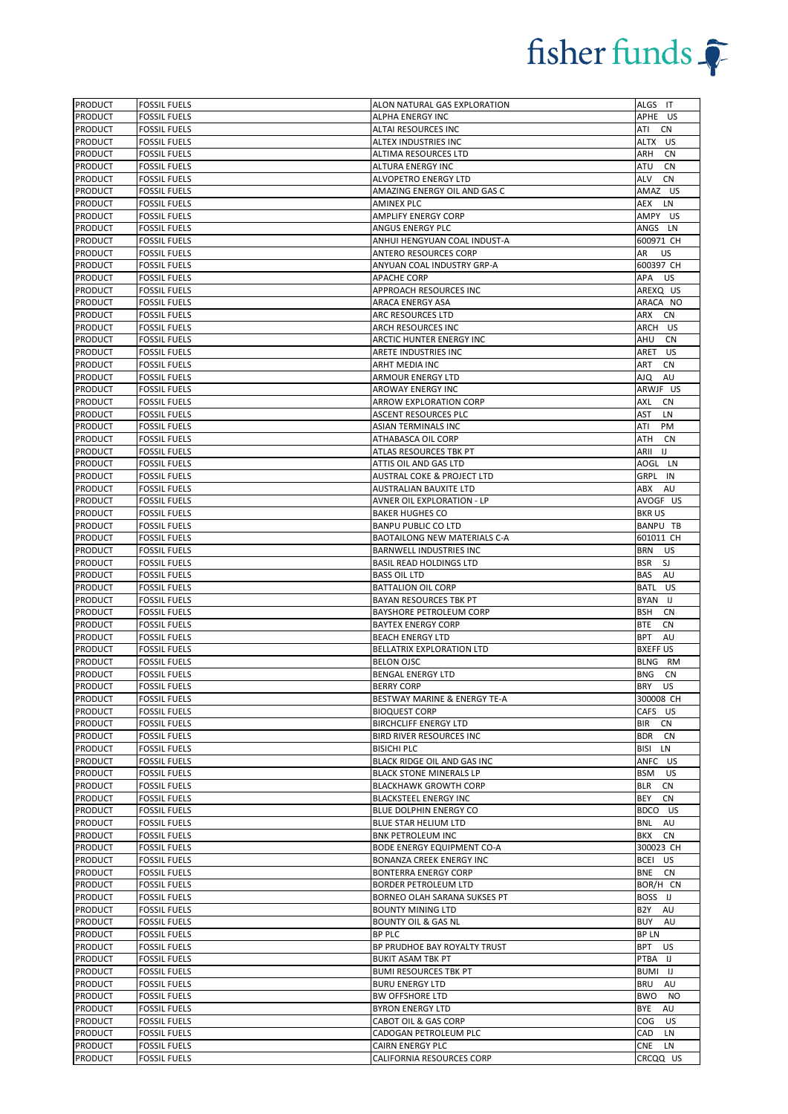| <b>PRODUCT</b> | <b>FOSSIL FUELS</b> | ALON NATURAL GAS EXPLORATION        | ALGS IT                 |
|----------------|---------------------|-------------------------------------|-------------------------|
| <b>PRODUCT</b> | <b>FOSSIL FUELS</b> | ALPHA ENERGY INC                    | APHE US                 |
| <b>PRODUCT</b> | <b>FOSSIL FUELS</b> | ALTAI RESOURCES INC                 | ATI<br><b>CN</b>        |
| <b>PRODUCT</b> | <b>FOSSIL FUELS</b> | ALTEX INDUSTRIES INC                | ALTX US                 |
| PRODUCT        | <b>FOSSIL FUELS</b> | ALTIMA RESOURCES LTD                | ARH<br>CN               |
| PRODUCT        | <b>FOSSIL FUELS</b> | ALTURA ENERGY INC                   | ATU<br>CN               |
| PRODUCT        | <b>FOSSIL FUELS</b> | ALVOPETRO ENERGY LTD                | ALV<br><b>CN</b>        |
| <b>PRODUCT</b> | <b>FOSSIL FUELS</b> | AMAZING ENERGY OIL AND GAS C        | AMAZ US                 |
| <b>PRODUCT</b> | <b>FOSSIL FUELS</b> | <b>AMINEX PLC</b>                   | AEX LN                  |
| <b>PRODUCT</b> | <b>FOSSIL FUELS</b> | <b>AMPLIFY ENERGY CORP</b>          | AMPY US                 |
| <b>PRODUCT</b> | <b>FOSSIL FUELS</b> | ANGUS ENERGY PLC                    | ANGS LN                 |
| <b>PRODUCT</b> | <b>FOSSIL FUELS</b> | ANHUI HENGYUAN COAL INDUST-A        | 600971 CH               |
| PRODUCT        | <b>FOSSIL FUELS</b> | ANTERO RESOURCES CORP               | AR<br>US                |
| PRODUCT        | <b>FOSSIL FUELS</b> | ANYUAN COAL INDUSTRY GRP-A          | 600397 CH               |
| PRODUCT        | <b>FOSSIL FUELS</b> | <b>APACHE CORP</b>                  | APA US                  |
| <b>PRODUCT</b> | <b>FOSSIL FUELS</b> | APPROACH RESOURCES INC              | AREXQ US                |
| PRODUCT        | <b>FOSSIL FUELS</b> | ARACA ENERGY ASA                    | ARACA NO                |
| <b>PRODUCT</b> | <b>FOSSIL FUELS</b> | ARC RESOURCES LTD                   | ARX<br>CN               |
| <b>PRODUCT</b> | <b>FOSSIL FUELS</b> | ARCH RESOURCES INC                  | ARCH US                 |
| <b>PRODUCT</b> | <b>FOSSIL FUELS</b> | ARCTIC HUNTER ENERGY INC            | AHU<br>CN               |
| <b>PRODUCT</b> | <b>FOSSIL FUELS</b> | ARETE INDUSTRIES INC                | US<br>ARET              |
| PRODUCT        | <b>FOSSIL FUELS</b> | ARHT MEDIA INC                      | <b>CN</b><br>ART        |
| PRODUCT        | <b>FOSSIL FUELS</b> | ARMOUR ENERGY LTD                   | AJQ<br>AU               |
| <b>PRODUCT</b> | <b>FOSSIL FUELS</b> | AROWAY ENERGY INC                   | ARWJF US                |
| PRODUCT        | <b>FOSSIL FUELS</b> | ARROW EXPLORATION CORP              | AXL<br>CN               |
| <b>PRODUCT</b> | <b>FOSSIL FUELS</b> | <b>ASCENT RESOURCES PLC</b>         | AST<br>LN               |
| <b>PRODUCT</b> | <b>FOSSIL FUELS</b> | <b>ASIAN TERMINALS INC</b>          | ATI<br>PM               |
| <b>PRODUCT</b> | <b>FOSSIL FUELS</b> | ATHABASCA OIL CORP                  | ATH<br>CN               |
| <b>PRODUCT</b> | <b>FOSSIL FUELS</b> | ATLAS RESOURCES TBK PT              | ARII<br>IJ              |
| <b>PRODUCT</b> | <b>FOSSIL FUELS</b> | ATTIS OIL AND GAS LTD               | AOGL LN                 |
| <b>PRODUCT</b> | <b>FOSSIL FUELS</b> | AUSTRAL COKE & PROJECT LTD          | GRPL IN                 |
| PRODUCT        | <b>FOSSIL FUELS</b> | AUSTRALIAN BAUXITE LTD              | ABX<br>AU               |
|                |                     |                                     |                         |
| <b>PRODUCT</b> | <b>FOSSIL FUELS</b> | AVNER OIL EXPLORATION - LP          | AVOGF US                |
| <b>PRODUCT</b> | <b>FOSSIL FUELS</b> | <b>BAKER HUGHES CO</b>              | <b>BKRUS</b>            |
| <b>PRODUCT</b> | <b>FOSSIL FUELS</b> | <b>BANPU PUBLIC CO LTD</b>          | <b>BANPU TB</b>         |
| <b>PRODUCT</b> | <b>FOSSIL FUELS</b> | <b>BAOTAILONG NEW MATERIALS C-A</b> | 601011 CH               |
| <b>PRODUCT</b> | <b>FOSSIL FUELS</b> | BARNWELL INDUSTRIES INC             | BRN<br>US               |
| PRODUCT        | <b>FOSSIL FUELS</b> | <b>BASIL READ HOLDINGS LTD</b>      | <b>BSR</b><br>SJ        |
| <b>PRODUCT</b> | <b>FOSSIL FUELS</b> | <b>BASS OIL LTD</b>                 | BAS<br>AU               |
| <b>PRODUCT</b> | <b>FOSSIL FUELS</b> | <b>BATTALION OIL CORP</b>           | BATL US                 |
| <b>PRODUCT</b> | <b>FOSSIL FUELS</b> | BAYAN RESOURCES TBK PT              | BYAN IJ                 |
| <b>PRODUCT</b> | <b>FOSSIL FUELS</b> | BAYSHORE PETROLEUM CORP             | <b>BSH</b><br><b>CN</b> |
| <b>PRODUCT</b> | <b>FOSSIL FUELS</b> | <b>BAYTEX ENERGY CORP</b>           | <b>BTE</b><br>CN        |
| <b>PRODUCT</b> | <b>FOSSIL FUELS</b> | <b>BEACH ENERGY LTD</b>             | <b>BPT</b><br>AU        |
| <b>PRODUCT</b> | <b>FOSSIL FUELS</b> | BELLATRIX EXPLORATION LTD           | <b>BXEFF US</b>         |
| PRODUCT        | <b>FOSSIL FUELS</b> | <b>BELON OJSC</b>                   | BLNG RM                 |
| <b>PRODUCT</b> | <b>FOSSIL FUELS</b> | BENGAL ENERGY LTD                   | <b>BNG</b><br>CN        |
| <b>PRODUCT</b> | <b>FOSSIL FUELS</b> | <b>BERRY CORP</b>                   | BRY US                  |
| <b>PRODUCT</b> | <b>FOSSIL FUELS</b> | BESTWAY MARINE & ENERGY TE-A        | 300008 CH               |
| <b>PRODUCT</b> | <b>FOSSIL FUELS</b> | <b>BIOQUEST CORP</b>                | CAFS US                 |
| <b>PRODUCT</b> | <b>FOSSIL FUELS</b> | <b>BIRCHCLIFF ENERGY LTD</b>        | BIR<br>CN               |
| <b>PRODUCT</b> | <b>FOSSIL FUELS</b> | BIRD RIVER RESOURCES INC            | <b>BDR</b><br>CN        |
| <b>PRODUCT</b> | <b>FOSSIL FUELS</b> | <b>BISICHI PLC</b>                  | BISI<br>LN              |
| <b>PRODUCT</b> | <b>FOSSIL FUELS</b> | BLACK RIDGE OIL AND GAS INC         | ANFC US                 |
| PRODUCT        | <b>FOSSIL FUELS</b> | <b>BLACK STONE MINERALS LP</b>      | BSM<br>US               |
| <b>PRODUCT</b> | <b>FOSSIL FUELS</b> | <b>BLACKHAWK GROWTH CORP</b>        | <b>CN</b><br>BLR        |
| PRODUCT        | <b>FOSSIL FUELS</b> | <b>BLACKSTEEL ENERGY INC</b>        | BEY<br><b>CN</b>        |
| PRODUCT        | <b>FOSSIL FUELS</b> | BLUE DOLPHIN ENERGY CO              | BDCO US                 |
| <b>PRODUCT</b> | <b>FOSSIL FUELS</b> | BLUE STAR HELIUM LTD                | <b>BNL</b><br>AU        |
| <b>PRODUCT</b> | <b>FOSSIL FUELS</b> | BNK PETROLEUM INC                   | BKX<br><b>CN</b>        |
| PRODUCT        | <b>FOSSIL FUELS</b> | <b>BODE ENERGY EQUIPMENT CO-A</b>   | 300023 CH               |
| PRODUCT        | <b>FOSSIL FUELS</b> | BONANZA CREEK ENERGY INC            | BCEI US                 |
| <b>PRODUCT</b> | <b>FOSSIL FUELS</b> | <b>BONTERRA ENERGY CORP</b>         | BNE CN                  |
| PRODUCT        | <b>FOSSIL FUELS</b> | <b>BORDER PETROLEUM LTD</b>         | BOR/H CN                |
| <b>PRODUCT</b> | <b>FOSSIL FUELS</b> | BORNEO OLAH SARANA SUKSES PT        | BOSS IJ                 |
| <b>PRODUCT</b> | <b>FOSSIL FUELS</b> | <b>BOUNTY MINING LTD</b>            | B2Y AU                  |
|                |                     | <b>BOUNTY OIL &amp; GAS NL</b>      | BUY<br>AU               |
| <b>PRODUCT</b> | <b>FOSSIL FUELS</b> |                                     |                         |
| PRODUCT        | <b>FOSSIL FUELS</b> | <b>BP PLC</b>                       | BP LN                   |
| <b>PRODUCT</b> | <b>FOSSIL FUELS</b> | BP PRUDHOE BAY ROYALTY TRUST        | <b>BPT</b><br><b>US</b> |
| PRODUCT        | <b>FOSSIL FUELS</b> | <b>BUKIT ASAM TBK PT</b>            | PTBA IJ                 |
| PRODUCT        | <b>FOSSIL FUELS</b> | <b>BUMI RESOURCES TBK PT</b>        | BUMI IJ                 |
| PRODUCT        | <b>FOSSIL FUELS</b> | <b>BURU ENERGY LTD</b>              | BRU AU                  |
| PRODUCT        | <b>FOSSIL FUELS</b> | <b>BW OFFSHORE LTD</b>              | BWO<br><b>NO</b>        |
| <b>PRODUCT</b> | <b>FOSSIL FUELS</b> | <b>BYRON ENERGY LTD</b>             | BYE<br>AU               |
| <b>PRODUCT</b> | <b>FOSSIL FUELS</b> | CABOT OIL & GAS CORP                | COG<br>US               |
| <b>PRODUCT</b> | <b>FOSSIL FUELS</b> | CADOGAN PETROLEUM PLC               | CAD LN                  |
| <b>PRODUCT</b> | <b>FOSSIL FUELS</b> | CAIRN ENERGY PLC                    | <b>CNE</b><br>LN        |
| <b>PRODUCT</b> | <b>FOSSIL FUELS</b> | CALIFORNIA RESOURCES CORP           | CRCQQ US                |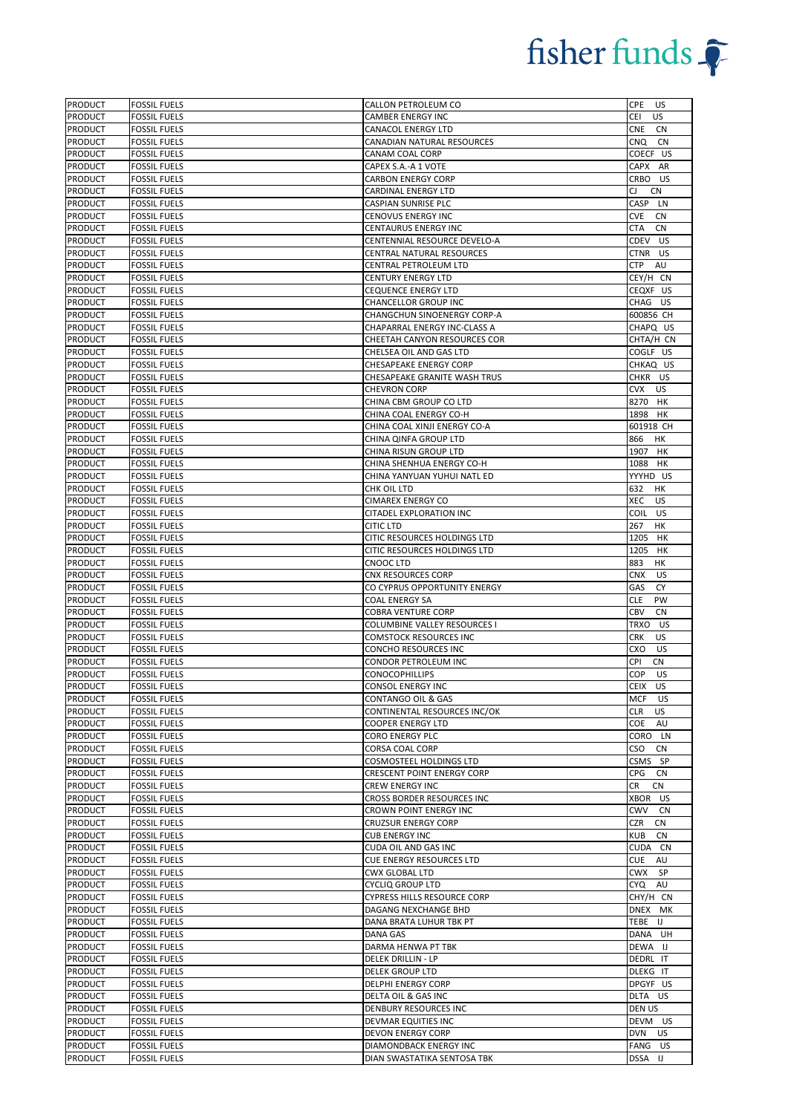| <b>PRODUCT</b>                   | <b>FOSSIL FUELS</b>                        | CALLON PETROLEUM CO                                      | <b>CPE</b><br>US                     |
|----------------------------------|--------------------------------------------|----------------------------------------------------------|--------------------------------------|
| <b>PRODUCT</b>                   | <b>FOSSIL FUELS</b>                        | CAMBER ENERGY INC                                        | CEI<br>US                            |
| <b>PRODUCT</b>                   | <b>FOSSIL FUELS</b>                        | CANACOL ENERGY LTD                                       | <b>CNE</b><br><b>CN</b>              |
| PRODUCT                          | <b>FOSSIL FUELS</b>                        | CANADIAN NATURAL RESOURCES                               | CNQ<br><b>CN</b>                     |
| PRODUCT                          | <b>FOSSIL FUELS</b>                        | CANAM COAL CORP                                          | COECF US                             |
| PRODUCT                          | <b>FOSSIL FUELS</b>                        | CAPEX S.A.-A 1 VOTE                                      | CAPX AR                              |
| PRODUCT                          | <b>FOSSIL FUELS</b>                        | <b>CARBON ENERGY CORP</b>                                | CRBO US                              |
| <b>PRODUCT</b>                   | <b>FOSSIL FUELS</b>                        | CARDINAL ENERGY LTD                                      | CJ<br><b>CN</b>                      |
| PRODUCT                          | <b>FOSSIL FUELS</b>                        | CASPIAN SUNRISE PLC                                      | CASP LN                              |
| <b>PRODUCT</b>                   | <b>FOSSIL FUELS</b>                        | CENOVUS ENERGY INC                                       | <b>CVE</b><br>CN                     |
| <b>PRODUCT</b>                   | <b>FOSSIL FUELS</b>                        | CENTAURUS ENERGY INC                                     | <b>CTA</b><br><b>CN</b>              |
| PRODUCT                          | <b>FOSSIL FUELS</b>                        | CENTENNIAL RESOURCE DEVELO-A                             | CDEV<br>US                           |
| PRODUCT                          | <b>FOSSIL FUELS</b>                        | CENTRAL NATURAL RESOURCES                                | CTNR US                              |
| PRODUCT                          | <b>FOSSIL FUELS</b>                        | CENTRAL PETROLEUM LTD                                    | AU<br>CTP                            |
| PRODUCT                          | <b>FOSSIL FUELS</b>                        | CENTURY ENERGY LTD                                       | CEY/H CN                             |
| <b>PRODUCT</b>                   | <b>FOSSIL FUELS</b>                        | CEQUENCE ENERGY LTD                                      | CEQXF US                             |
| PRODUCT<br><b>PRODUCT</b>        | <b>FOSSIL FUELS</b><br><b>FOSSIL FUELS</b> | CHANCELLOR GROUP INC<br>CHANGCHUN SINOENERGY CORP-A      | CHAG US<br>600856 CH                 |
| <b>PRODUCT</b>                   | <b>FOSSIL FUELS</b>                        | CHAPARRAL ENERGY INC-CLASS A                             | CHAPQ US                             |
| PRODUCT                          | <b>FOSSIL FUELS</b>                        | CHEETAH CANYON RESOURCES COR                             | CHTA/H CN                            |
| <b>PRODUCT</b>                   | <b>FOSSIL FUELS</b>                        | CHELSEA OIL AND GAS LTD                                  | COGLF US                             |
| PRODUCT                          | <b>FOSSIL FUELS</b>                        | CHESAPEAKE ENERGY CORP                                   | CHKAQ US                             |
| PRODUCT                          | <b>FOSSIL FUELS</b>                        | CHESAPEAKE GRANITE WASH TRUS                             | CHKR US                              |
| PRODUCT                          | <b>FOSSIL FUELS</b>                        | <b>CHEVRON CORP</b>                                      | <b>CVX</b><br>US                     |
| <b>PRODUCT</b>                   | <b>FOSSIL FUELS</b>                        | CHINA CBM GROUP CO LTD                                   | 8270 HK                              |
| <b>PRODUCT</b>                   | <b>FOSSIL FUELS</b>                        | CHINA COAL ENERGY CO-H                                   | 1898 HK                              |
| <b>PRODUCT</b>                   | <b>FOSSIL FUELS</b>                        | CHINA COAL XINJI ENERGY CO-A                             | 601918 CH                            |
| PRODUCT                          | <b>FOSSIL FUELS</b>                        | CHINA QINFA GROUP LTD                                    | 866<br>HK                            |
| PRODUCT                          | <b>FOSSIL FUELS</b>                        | CHINA RISUN GROUP LTD                                    | 1907<br>HK                           |
| <b>PRODUCT</b>                   | <b>FOSSIL FUELS</b>                        | CHINA SHENHUA ENERGY CO-H                                | 1088 HK                              |
| <b>PRODUCT</b>                   | <b>FOSSIL FUELS</b>                        | CHINA YANYUAN YUHUI NATL ED                              | YYYHD US                             |
| PRODUCT                          | <b>FOSSIL FUELS</b>                        | CHK OIL LTD                                              | 632<br>HK                            |
| PRODUCT                          | <b>FOSSIL FUELS</b>                        | <b>CIMAREX ENERGY CO</b>                                 | XEC<br>US                            |
| PRODUCT                          | <b>FOSSIL FUELS</b>                        | CITADEL EXPLORATION INC                                  | COIL US                              |
| <b>PRODUCT</b>                   | <b>FOSSIL FUELS</b>                        | <b>CITIC LTD</b>                                         | 267<br>HK                            |
| <b>PRODUCT</b>                   | <b>FOSSIL FUELS</b>                        | CITIC RESOURCES HOLDINGS LTD                             | 1205<br>HK                           |
| PRODUCT                          | <b>FOSSIL FUELS</b>                        | CITIC RESOURCES HOLDINGS LTD                             | 1205<br>HК                           |
| PRODUCT                          | <b>FOSSIL FUELS</b>                        | CNOOC LTD                                                | 883<br>HK                            |
| <b>PRODUCT</b>                   | <b>FOSSIL FUELS</b>                        | CNX RESOURCES CORP                                       | <b>CNX</b><br>US                     |
| <b>PRODUCT</b>                   | <b>FOSSIL FUELS</b>                        | CO CYPRUS OPPORTUNITY ENERGY                             | <b>CY</b><br>GAS                     |
| PRODUCT                          | <b>FOSSIL FUELS</b>                        | COAL ENERGY SA                                           | <b>CLE</b><br><b>PW</b>              |
| PRODUCT                          | <b>FOSSIL FUELS</b>                        | COBRA VENTURE CORP                                       | CBV<br><b>CN</b>                     |
| <b>PRODUCT</b>                   | <b>FOSSIL FUELS</b>                        | COLUMBINE VALLEY RESOURCES I                             | TRXO US                              |
| <b>PRODUCT</b>                   | <b>FOSSIL FUELS</b>                        | <b>COMSTOCK RESOURCES INC</b>                            | <b>CRK</b><br><b>US</b>              |
| PRODUCT                          | <b>FOSSIL FUELS</b>                        | CONCHO RESOURCES INC                                     | CXO<br>US                            |
| PRODUCT                          | <b>FOSSIL FUELS</b>                        | CONDOR PETROLEUM INC                                     | <b>CN</b><br>CPI                     |
| <b>PRODUCT</b>                   | <b>FOSSIL FUELS</b><br><b>FOSSIL FUELS</b> | CONOCOPHILLIPS                                           | COP<br>US<br>CEIX US                 |
| <b>PRODUCT</b>                   |                                            | CONSOL ENERGY INC                                        |                                      |
| <b>PRODUCT</b>                   | <b>FOSSIL FUELS</b>                        | CONTANGO OIL & GAS                                       | MCF<br>US<br><b>CLR</b><br><b>US</b> |
| <b>PRODUCT</b><br><b>PRODUCT</b> | <b>FOSSIL FUELS</b><br><b>FOSSIL FUELS</b> | CONTINENTAL RESOURCES INC/OK<br><b>COOPER ENERGY LTD</b> | COE<br>AU                            |
| <b>PRODUCT</b>                   | <b>FOSSIL FUELS</b>                        | <b>CORO ENERGY PLC</b>                                   | CORO LN                              |
| PRODUCT                          | <b>FOSSIL FUELS</b>                        | CORSA COAL CORP                                          | CSO<br>CN                            |
| PRODUCT                          | <b>FOSSIL FUELS</b>                        | COSMOSTEEL HOLDINGS LTD                                  | CSMS SP                              |
| PRODUCT                          | <b>FOSSIL FUELS</b>                        | CRESCENT POINT ENERGY CORP                               | CPG<br>CN                            |
| <b>PRODUCT</b>                   | <b>FOSSIL FUELS</b>                        | CREW ENERGY INC                                          | <b>CN</b><br>CR                      |
| PRODUCT                          | <b>FOSSIL FUELS</b>                        | CROSS BORDER RESOURCES INC                               | XBOR US                              |
| PRODUCT                          | <b>FOSSIL FUELS</b>                        | CROWN POINT ENERGY INC                                   | CWV<br>CN                            |
| <b>PRODUCT</b>                   | <b>FOSSIL FUELS</b>                        | <b>CRUZSUR ENERGY CORP</b>                               | CZR<br>CN                            |
| PRODUCT                          | <b>FOSSIL FUELS</b>                        | <b>CUB ENERGY INC</b>                                    | <b>KUB</b><br><b>CN</b>              |
| PRODUCT                          | <b>FOSSIL FUELS</b>                        | CUDA OIL AND GAS INC                                     | CUDA CN                              |
| PRODUCT                          | <b>FOSSIL FUELS</b>                        | CUE ENERGY RESOURCES LTD                                 | <b>CUE</b><br>AU                     |
| <b>PRODUCT</b>                   | <b>FOSSIL FUELS</b>                        | <b>CWX GLOBAL LTD</b>                                    | <b>SP</b><br>CWX                     |
| PRODUCT                          | <b>FOSSIL FUELS</b>                        | <b>CYCLIQ GROUP LTD</b>                                  | AU<br>CYQ                            |
| <b>PRODUCT</b>                   | <b>FOSSIL FUELS</b>                        | <b>CYPRESS HILLS RESOURCE CORP</b>                       | CHY/H CN                             |
| <b>PRODUCT</b>                   | <b>FOSSIL FUELS</b>                        | DAGANG NEXCHANGE BHD                                     | DNEX MK                              |
| PRODUCT                          | <b>FOSSIL FUELS</b>                        | DANA BRATA LUHUR TBK PT                                  | TEBE IJ                              |
| <b>PRODUCT</b>                   | <b>FOSSIL FUELS</b>                        | DANA GAS                                                 | DANA UH                              |
| <b>PRODUCT</b>                   | <b>FOSSIL FUELS</b>                        | DARMA HENWA PT TBK                                       | DEWA IJ                              |
| PRODUCT                          | <b>FOSSIL FUELS</b>                        | DELEK DRILLIN - LP                                       | DEDRL IT                             |
| PRODUCT                          | <b>FOSSIL FUELS</b>                        | DELEK GROUP LTD                                          | DLEKG IT                             |
| PRODUCT                          | <b>FOSSIL FUELS</b>                        | DELPHI ENERGY CORP                                       | DPGYF US                             |
| <b>PRODUCT</b>                   | <b>FOSSIL FUELS</b>                        | DELTA OIL & GAS INC                                      | DLTA US                              |
| <b>PRODUCT</b>                   | <b>FOSSIL FUELS</b>                        | DENBURY RESOURCES INC                                    | DEN US                               |
| <b>PRODUCT</b>                   | <b>FOSSIL FUELS</b>                        | DEVMAR EQUITIES INC                                      | DEVM US                              |
| <b>PRODUCT</b><br><b>PRODUCT</b> | <b>FOSSIL FUELS</b><br><b>FOSSIL FUELS</b> | DEVON ENERGY CORP<br>DIAMONDBACK ENERGY INC              | DVN US<br>FANG<br><b>US</b>          |
|                                  |                                            |                                                          |                                      |
| <b>PRODUCT</b>                   | <b>FOSSIL FUELS</b>                        | DIAN SWASTATIKA SENTOSA TBK                              | DSSA IJ                              |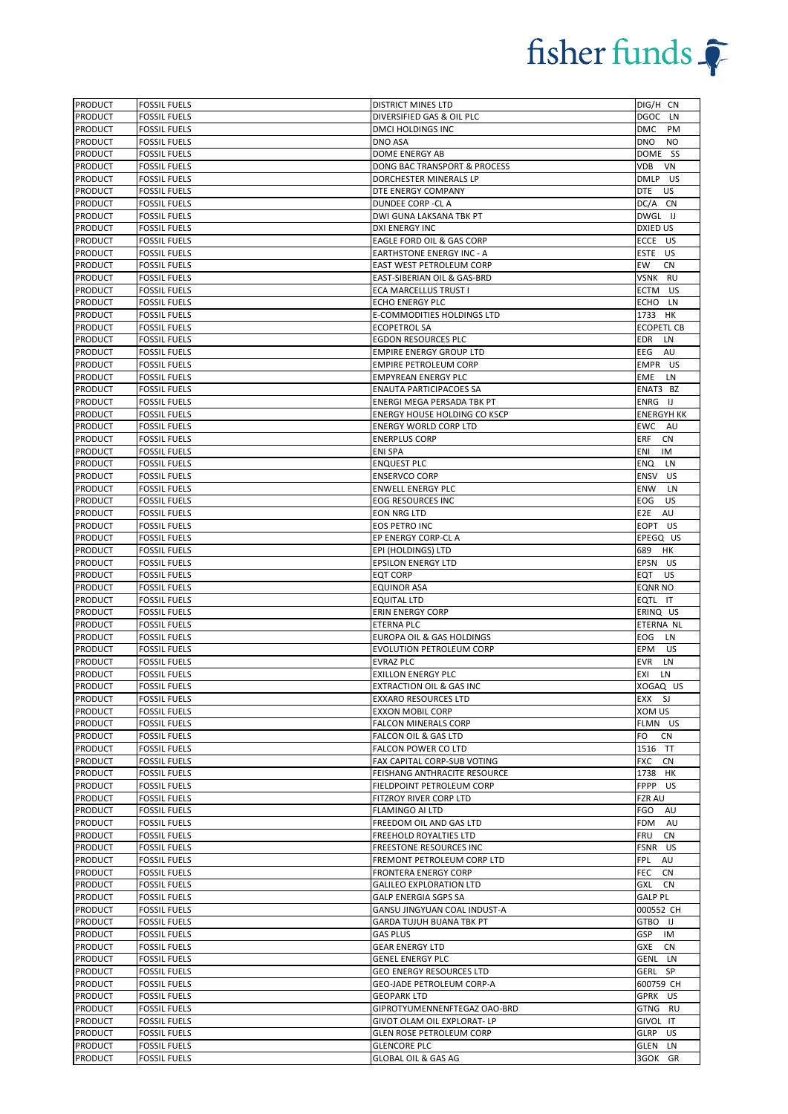| <b>PRODUCT</b>                   | <b>FOSSIL FUELS</b>                        | <b>DISTRICT MINES LTD</b>                                     | DIG/H CN                      |
|----------------------------------|--------------------------------------------|---------------------------------------------------------------|-------------------------------|
| <b>PRODUCT</b>                   | <b>FOSSIL FUELS</b>                        | DIVERSIFIED GAS & OIL PLC                                     | <b>DGOC</b><br>LN             |
| <b>PRODUCT</b>                   | <b>FOSSIL FUELS</b>                        | DMCI HOLDINGS INC                                             | <b>DMC</b><br>PM              |
| <b>PRODUCT</b>                   | <b>FOSSIL FUELS</b>                        | DNO ASA                                                       | <b>DNO</b><br><b>NO</b>       |
| <b>PRODUCT</b>                   | <b>FOSSIL FUELS</b>                        | DOME ENERGY AB                                                | DOME SS                       |
| <b>PRODUCT</b>                   | <b>FOSSIL FUELS</b>                        | DONG BAC TRANSPORT & PROCESS                                  | VDB<br>VN                     |
| <b>PRODUCT</b>                   | <b>FOSSIL FUELS</b>                        | DORCHESTER MINERALS LP                                        | DMLP US                       |
| <b>PRODUCT</b>                   | <b>FOSSIL FUELS</b>                        | DTE ENERGY COMPANY                                            | <b>DTE</b><br>US              |
| <b>PRODUCT</b>                   | <b>FOSSIL FUELS</b>                        | DUNDEE CORP - CL A                                            | DC/A CN                       |
| <b>PRODUCT</b>                   | <b>FOSSIL FUELS</b>                        | DWI GUNA LAKSANA TBK PT                                       | DWGL IJ                       |
| <b>PRODUCT</b>                   | <b>FOSSIL FUELS</b>                        | DXI ENERGY INC                                                | DXIED US                      |
| <b>PRODUCT</b>                   | <b>FOSSIL FUELS</b>                        | EAGLE FORD OIL & GAS CORP                                     | ECCE US                       |
| <b>PRODUCT</b>                   | <b>FOSSIL FUELS</b>                        | <b>EARTHSTONE ENERGY INC - A</b>                              | ESTE US                       |
| PRODUCT                          | <b>FOSSIL FUELS</b>                        | EAST WEST PETROLEUM CORP                                      | EW<br><b>CN</b>               |
| PRODUCT                          | <b>FOSSIL FUELS</b>                        | EAST-SIBERIAN OIL & GAS-BRD                                   | VSNK RU                       |
| <b>PRODUCT</b>                   | <b>FOSSIL FUELS</b>                        | ECA MARCELLUS TRUST I                                         | ECTM<br>US                    |
| PRODUCT                          | <b>FOSSIL FUELS</b>                        | <b>ECHO ENERGY PLC</b>                                        | ECHO LN                       |
| <b>PRODUCT</b>                   | <b>FOSSIL FUELS</b>                        | E-COMMODITIES HOLDINGS LTD                                    | 1733 HK                       |
| <b>PRODUCT</b>                   | <b>FOSSIL FUELS</b>                        | <b>ECOPETROL SA</b>                                           | <b>ECOPETL CB</b>             |
| <b>PRODUCT</b>                   | <b>FOSSIL FUELS</b>                        | <b>EGDON RESOURCES PLC</b>                                    | EDR<br>LN                     |
| <b>PRODUCT</b>                   | <b>FOSSIL FUELS</b>                        | <b>EMPIRE ENERGY GROUP LTD</b>                                | EEG<br>AU                     |
| PRODUCT                          | <b>FOSSIL FUELS</b>                        | <b>EMPIRE PETROLEUM CORP</b>                                  | EMPR US                       |
| PRODUCT                          | <b>FOSSIL FUELS</b>                        | <b>EMPYREAN ENERGY PLC</b>                                    | <b>EME</b><br>LN              |
| <b>PRODUCT</b>                   | <b>FOSSIL FUELS</b>                        | <b>ENAUTA PARTICIPACOES SA</b>                                | ENAT3 BZ                      |
| <b>PRODUCT</b>                   | <b>FOSSIL FUELS</b>                        | ENERGI MEGA PERSADA TBK PT                                    | ENRG IJ                       |
| <b>PRODUCT</b>                   | <b>FOSSIL FUELS</b>                        | <b>ENERGY HOUSE HOLDING CO KSCP</b>                           | <b>ENERGYH KK</b>             |
| <b>PRODUCT</b>                   | <b>FOSSIL FUELS</b>                        | <b>ENERGY WORLD CORP LTD</b>                                  | EWC AU                        |
|                                  |                                            |                                                               | ERF                           |
| <b>PRODUCT</b><br><b>PRODUCT</b> | <b>FOSSIL FUELS</b><br><b>FOSSIL FUELS</b> | <b>ENERPLUS CORP</b><br><b>ENI SPA</b>                        | <b>CN</b><br>ENI<br>IM        |
| <b>PRODUCT</b>                   | <b>FOSSIL FUELS</b>                        | <b>ENQUEST PLC</b>                                            | <b>ENQ</b><br>LN              |
| <b>PRODUCT</b>                   | <b>FOSSIL FUELS</b>                        | <b>ENSERVCO CORP</b>                                          | ENSV<br><b>US</b>             |
| PRODUCT                          | <b>FOSSIL FUELS</b>                        | <b>ENWELL ENERGY PLC</b>                                      | <b>ENW</b><br>LN              |
| <b>PRODUCT</b>                   | <b>FOSSIL FUELS</b>                        | EOG RESOURCES INC                                             | EOG<br>US                     |
| PRODUCT                          | <b>FOSSIL FUELS</b>                        | EON NRG LTD                                                   | E <sub>2E</sub><br>AU         |
| <b>PRODUCT</b>                   | <b>FOSSIL FUELS</b>                        | EOS PETRO INC                                                 | EOPT US                       |
| <b>PRODUCT</b>                   | <b>FOSSIL FUELS</b>                        | EP ENERGY CORP-CL A                                           | EPEGQ US                      |
| <b>PRODUCT</b>                   | <b>FOSSIL FUELS</b>                        | EPI (HOLDINGS) LTD                                            | 689<br>HK                     |
| PRODUCT                          | <b>FOSSIL FUELS</b>                        | <b>EPSILON ENERGY LTD</b>                                     | EPSN US                       |
| <b>PRODUCT</b>                   | <b>FOSSIL FUELS</b>                        | <b>EQT CORP</b>                                               | EQT<br>US                     |
| <b>PRODUCT</b>                   | <b>FOSSIL FUELS</b>                        | <b>EQUINOR ASA</b>                                            | <b>EQNR NO</b>                |
| <b>PRODUCT</b>                   | <b>FOSSIL FUELS</b>                        | <b>EQUITAL LTD</b>                                            | EQTL IT                       |
| PRODUCT                          | <b>FOSSIL FUELS</b>                        | <b>ERIN ENERGY CORP</b>                                       | ERINQ US                      |
| <b>PRODUCT</b>                   | <b>FOSSIL FUELS</b>                        | <b>ETERNA PLC</b>                                             | ETERNA NL                     |
| <b>PRODUCT</b>                   | <b>FOSSIL FUELS</b>                        | EUROPA OIL & GAS HOLDINGS                                     | EOG<br>LN                     |
| <b>PRODUCT</b>                   | <b>FOSSIL FUELS</b>                        | EVOLUTION PETROLEUM CORP                                      | EPM<br>US                     |
| <b>PRODUCT</b>                   | <b>FOSSIL FUELS</b>                        | <b>EVRAZ PLC</b>                                              | EVR<br>LN                     |
| <b>PRODUCT</b>                   | <b>FOSSIL FUELS</b>                        | <b>EXILLON ENERGY PLC</b>                                     | EXI<br>LN                     |
| <b>PRODUCT</b>                   | <b>FOSSIL FUELS</b>                        | EXTRACTION OIL & GAS INC                                      | XOGAQ US                      |
| <b>PRODUCT</b>                   | <b>FOSSIL FUELS</b>                        | <b>EXXARO RESOURCES LTD</b>                                   | EXX SJ                        |
| <b>PRODUCT</b>                   | <b>FOSSIL FUELS</b>                        | <b>EXXON MOBIL CORP</b>                                       | XOM US                        |
| <b>PRODUCT</b>                   | <b>FOSSIL FUELS</b>                        | FALCON MINERALS CORP                                          | FLMN US                       |
| <b>PRODUCT</b>                   | <b>FOSSIL FUELS</b>                        | FALCON OIL & GAS LTD                                          | FO.<br><b>CN</b>              |
| <b>PRODUCT</b>                   | <b>FOSSIL FUELS</b>                        | FALCON POWER CO LTD                                           | 1516 TT                       |
| <b>PRODUCT</b>                   | <b>FOSSIL FUELS</b>                        | FAX CAPITAL CORP-SUB VOTING                                   | FXC<br><b>CN</b>              |
| PRODUCT                          | <b>FOSSIL FUELS</b>                        | FEISHANG ANTHRACITE RESOURCE                                  | 1738 HK                       |
| <b>PRODUCT</b>                   | <b>FOSSIL FUELS</b>                        | FIELDPOINT PETROLEUM CORP                                     | FPPP<br>US.                   |
| <b>PRODUCT</b>                   | <b>FOSSIL FUELS</b>                        | FITZROY RIVER CORP LTD                                        | <b>FZR AU</b>                 |
| PRODUCT                          | <b>FOSSIL FUELS</b>                        | <b>FLAMINGO AI LTD</b>                                        | FGO<br>AU                     |
| <b>PRODUCT</b>                   | <b>FOSSIL FUELS</b>                        | FREEDOM OIL AND GAS LTD                                       | FDM AU                        |
| <b>PRODUCT</b>                   | <b>FOSSIL FUELS</b>                        | FREEHOLD ROYALTIES LTD                                        | FRU<br>CN                     |
| PRODUCT                          | <b>FOSSIL FUELS</b>                        | FREESTONE RESOURCES INC                                       | FSNR US                       |
| PRODUCT                          | <b>FOSSIL FUELS</b>                        | FREMONT PETROLEUM CORP LTD                                    | FPL<br>AU                     |
| <b>PRODUCT</b><br><b>PRODUCT</b> | <b>FOSSIL FUELS</b>                        | <b>FRONTERA ENERGY CORP</b><br><b>GALILEO EXPLORATION LTD</b> | FEC<br>CN<br><b>GXL</b><br>CN |
| <b>PRODUCT</b>                   | <b>FOSSIL FUELS</b><br><b>FOSSIL FUELS</b> | GALP ENERGIA SGPS SA                                          | <b>GALP PL</b>                |
| <b>PRODUCT</b>                   | <b>FOSSIL FUELS</b>                        | GANSU JINGYUAN COAL INDUST-A                                  | 000552 CH                     |
| <b>PRODUCT</b>                   | <b>FOSSIL FUELS</b>                        | <b>GARDA TUJUH BUANA TBK PT</b>                               | GTBO IJ                       |
| <b>PRODUCT</b>                   | <b>FOSSIL FUELS</b>                        | <b>GAS PLUS</b>                                               | GSP IM                        |
| <b>PRODUCT</b>                   | <b>FOSSIL FUELS</b>                        | <b>GEAR ENERGY LTD</b>                                        | GXE<br><b>CN</b>              |
| <b>PRODUCT</b>                   | <b>FOSSIL FUELS</b>                        | <b>GENEL ENERGY PLC</b>                                       | GENL LN                       |
| <b>PRODUCT</b>                   | <b>FOSSIL FUELS</b>                        | <b>GEO ENERGY RESOURCES LTD</b>                               | GERL SP                       |
| <b>PRODUCT</b>                   | <b>FOSSIL FUELS</b>                        | GEO-JADE PETROLEUM CORP-A                                     | 600759 CH                     |
| <b>PRODUCT</b>                   | <b>FOSSIL FUELS</b>                        | <b>GEOPARK LTD</b>                                            | GPRK US                       |
| <b>PRODUCT</b>                   | <b>FOSSIL FUELS</b>                        | GIPROTYUMENNENFTEGAZ OAO-BRD                                  | GTNG RU                       |
| <b>PRODUCT</b>                   | <b>FOSSIL FUELS</b>                        | GIVOT OLAM OIL EXPLORAT- LP                                   | GIVOL IT                      |
| <b>PRODUCT</b>                   | <b>FOSSIL FUELS</b>                        | GLEN ROSE PETROLEUM CORP                                      | GLRP<br><b>US</b>             |
| <b>PRODUCT</b>                   | <b>FOSSIL FUELS</b>                        | <b>GLENCORE PLC</b>                                           | GLEN<br>LN                    |
| <b>PRODUCT</b>                   | <b>FOSSIL FUELS</b>                        | GLOBAL OIL & GAS AG                                           | 3GOK GR                       |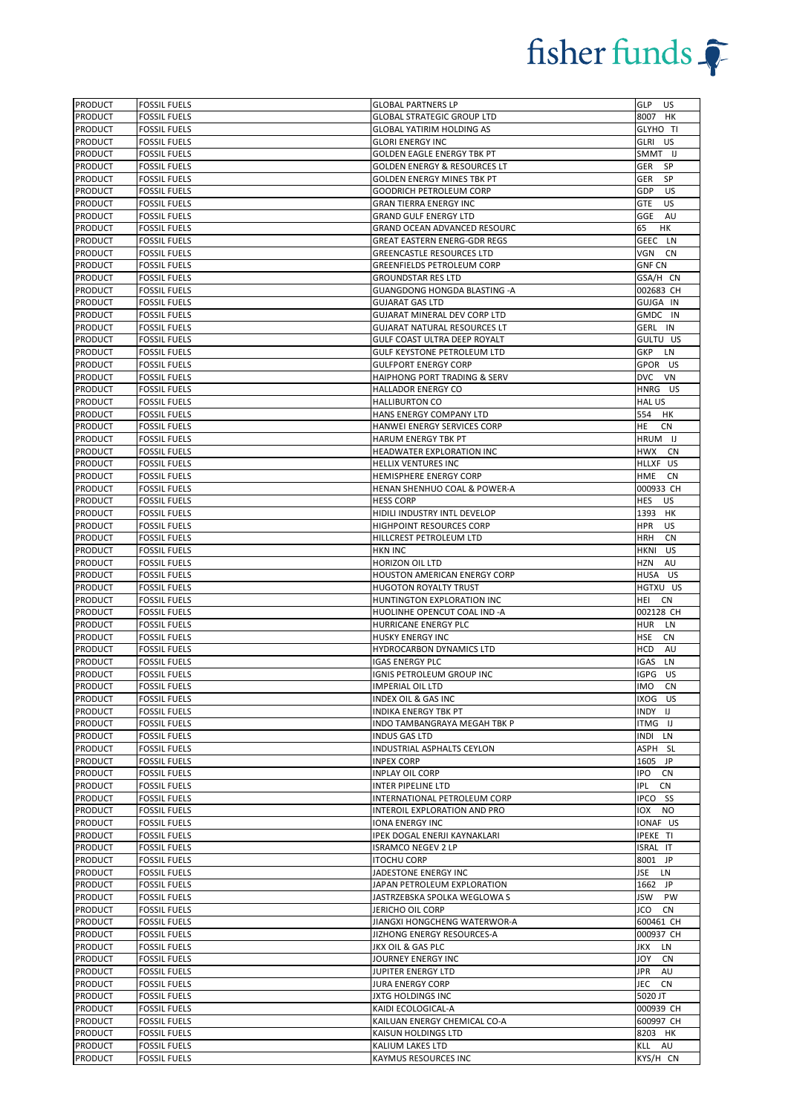| <b>PRODUCT</b>                   | <b>FOSSIL FUELS</b>                        | <b>GLOBAL PARTNERS LP</b>                           | GLP US                  |
|----------------------------------|--------------------------------------------|-----------------------------------------------------|-------------------------|
| <b>PRODUCT</b>                   | <b>FOSSIL FUELS</b>                        | <b>GLOBAL STRATEGIC GROUP LTD</b>                   | 8007 HK                 |
| <b>PRODUCT</b>                   | <b>FOSSIL FUELS</b>                        | <b>GLOBAL YATIRIM HOLDING AS</b>                    | GLYHO TI                |
| <b>PRODUCT</b>                   | <b>FOSSIL FUELS</b>                        | <b>GLORI ENERGY INC</b>                             | GLRI US                 |
| <b>PRODUCT</b>                   | <b>FOSSIL FUELS</b>                        | <b>GOLDEN EAGLE ENERGY TBK PT</b>                   | SMMT IJ                 |
| <b>PRODUCT</b>                   | <b>FOSSIL FUELS</b>                        | <b>GOLDEN ENERGY &amp; RESOURCES LT</b>             | SP<br>GER               |
| <b>PRODUCT</b>                   | <b>FOSSIL FUELS</b>                        | GOLDEN ENERGY MINES TBK PT                          | <b>SP</b><br>GER        |
| <b>PRODUCT</b>                   | <b>FOSSIL FUELS</b>                        | <b>GOODRICH PETROLEUM CORP</b>                      | <b>US</b><br>GDP        |
| <b>PRODUCT</b>                   | <b>FOSSIL FUELS</b>                        | <b>GRAN TIERRA ENERGY INC</b>                       | US<br><b>GTE</b>        |
| <b>PRODUCT</b>                   | <b>FOSSIL FUELS</b>                        | <b>GRAND GULF ENERGY LTD</b>                        | AU<br>GGE               |
| <b>PRODUCT</b>                   | <b>FOSSIL FUELS</b>                        | GRAND OCEAN ADVANCED RESOURC                        | 65<br><b>HK</b>         |
| <b>PRODUCT</b>                   | <b>FOSSIL FUELS</b>                        | GREAT EASTERN ENERG-GDR REGS                        | GEEC LN                 |
| <b>PRODUCT</b>                   | <b>FOSSIL FUELS</b>                        | <b>GREENCASTLE RESOURCES LTD</b>                    | VGN<br>CN               |
| <b>PRODUCT</b>                   | <b>FOSSIL FUELS</b>                        | <b>GREENFIELDS PETROLEUM CORP</b>                   | <b>GNF CN</b>           |
| <b>PRODUCT</b>                   | <b>FOSSIL FUELS</b>                        | <b>GROUNDSTAR RES LTD</b>                           | GSA/H CN                |
| <b>PRODUCT</b>                   | <b>FOSSIL FUELS</b>                        | <b>GUANGDONG HONGDA BLASTING -A</b>                 | 002683 CH               |
| PRODUCT                          | <b>FOSSIL FUELS</b>                        | <b>GUJARAT GAS LTD</b>                              | GUJGA IN                |
| <b>PRODUCT</b>                   | <b>FOSSIL FUELS</b>                        | GUJARAT MINERAL DEV CORP LTD                        | GMDC IN                 |
| <b>PRODUCT</b>                   | <b>FOSSIL FUELS</b>                        | <b>GUJARAT NATURAL RESOURCES LT</b>                 | GERL IN                 |
| <b>PRODUCT</b>                   | <b>FOSSIL FUELS</b>                        | GULF COAST ULTRA DEEP ROYALT                        | GULTU US                |
| <b>PRODUCT</b>                   | <b>FOSSIL FUELS</b>                        | GULF KEYSTONE PETROLEUM LTD                         | GKP<br>LN               |
| <b>PRODUCT</b>                   |                                            | <b>GULFPORT ENERGY CORP</b>                         | GPOR US                 |
| PRODUCT                          | <b>FOSSIL FUELS</b><br><b>FOSSIL FUELS</b> | <b>HAIPHONG PORT TRADING &amp; SERV</b>             | <b>DVC</b><br>VN        |
| <b>PRODUCT</b>                   | <b>FOSSIL FUELS</b>                        | <b>HALLADOR ENERGY CO</b>                           | HNRG US                 |
|                                  |                                            |                                                     | <b>HAL US</b>           |
| <b>PRODUCT</b><br><b>PRODUCT</b> | <b>FOSSIL FUELS</b><br><b>FOSSIL FUELS</b> | <b>HALLIBURTON CO</b><br>HANS ENERGY COMPANY LTD    | 554<br>HK               |
| <b>PRODUCT</b>                   | <b>FOSSIL FUELS</b>                        | HANWEI ENERGY SERVICES CORP                         | HE<br><b>CN</b>         |
| <b>PRODUCT</b>                   | <b>FOSSIL FUELS</b>                        | HARUM ENERGY TBK PT                                 | HRUM IJ                 |
| <b>PRODUCT</b>                   | <b>FOSSIL FUELS</b>                        | HEADWATER EXPLORATION INC                           | HWX<br>CN               |
| <b>PRODUCT</b>                   | <b>FOSSIL FUELS</b>                        | <b>HELLIX VENTURES INC</b>                          | HLLXF US                |
| <b>PRODUCT</b>                   | <b>FOSSIL FUELS</b>                        | HEMISPHERE ENERGY CORP                              | HME<br><b>CN</b>        |
| <b>PRODUCT</b>                   | <b>FOSSIL FUELS</b>                        | HENAN SHENHUO COAL & POWER-A                        | 000933 CH               |
| <b>PRODUCT</b>                   | <b>FOSSIL FUELS</b>                        | <b>HESS CORP</b>                                    | HES<br>US               |
| PRODUCT                          | <b>FOSSIL FUELS</b>                        | HIDILI INDUSTRY INTL DEVELOP                        | 1393 HK                 |
| <b>PRODUCT</b>                   | <b>FOSSIL FUELS</b>                        | HIGHPOINT RESOURCES CORP                            | <b>HPR</b><br><b>US</b> |
| <b>PRODUCT</b>                   | <b>FOSSIL FUELS</b>                        | HILLCREST PETROLEUM LTD                             | <b>HRH</b><br><b>CN</b> |
| <b>PRODUCT</b>                   | <b>FOSSIL FUELS</b>                        | <b>HKN INC</b>                                      | HKNI<br>US              |
| <b>PRODUCT</b>                   | <b>FOSSIL FUELS</b>                        | <b>HORIZON OIL LTD</b>                              | <b>HZN</b><br>AU        |
| <b>PRODUCT</b>                   | <b>FOSSIL FUELS</b>                        | <b>HOUSTON AMERICAN ENERGY CORP</b>                 | HUSA US                 |
|                                  |                                            |                                                     |                         |
| <b>PRODUCT</b>                   |                                            | <b>HUGOTON ROYALTY TRUST</b>                        | HGTXU US                |
| <b>PRODUCT</b>                   | <b>FOSSIL FUELS</b><br><b>FOSSIL FUELS</b> | HUNTINGTON EXPLORATION INC                          | HEI<br>CN               |
| <b>PRODUCT</b>                   | <b>FOSSIL FUELS</b>                        | HUOLINHE OPENCUT COAL IND -A                        | 002128 CH               |
| <b>PRODUCT</b>                   | <b>FOSSIL FUELS</b>                        | HURRICANE ENERGY PLC                                | <b>HUR</b><br>LN        |
| <b>PRODUCT</b>                   | <b>FOSSIL FUELS</b>                        | <b>HUSKY ENERGY INC</b>                             | <b>HSE</b><br>CN        |
| PRODUCT                          | <b>FOSSIL FUELS</b>                        | HYDROCARBON DYNAMICS LTD                            | HCD<br>AU               |
| <b>PRODUCT</b>                   | <b>FOSSIL FUELS</b>                        | IGAS ENERGY PLC                                     | IGAS LN                 |
| <b>PRODUCT</b>                   | <b>FOSSIL FUELS</b>                        | IGNIS PETROLEUM GROUP INC                           | IGPG US                 |
| <b>PRODUCT</b>                   | <b>FOSSIL FUELS</b>                        | <b>IMPERIAL OIL LTD</b>                             | <b>IMO</b><br><b>CN</b> |
| <b>PRODUCT</b>                   | <b>FOSSIL FUELS</b>                        | INDEX OIL & GAS INC                                 | IXOG US                 |
| <b>PRODUCT</b>                   | <b>FOSSIL FUELS</b>                        | INDIKA ENERGY TBK PT                                | INDY IJ                 |
| <b>PRODUCT</b>                   | <b>FOSSIL FUELS</b>                        | INDO TAMBANGRAYA MEGAH TBK P                        | ITMG IJ                 |
| <b>PRODUCT</b>                   | <b>FOSSIL FUELS</b>                        | INDUS GAS LTD                                       | INDI LN                 |
| PRODUCT                          | <b>FOSSIL FUELS</b>                        | INDUSTRIAL ASPHALTS CEYLON                          | ASPH SL                 |
| <b>PRODUCT</b>                   | <b>FOSSIL FUELS</b>                        | <b>INPEX CORP</b>                                   | 1605 JP                 |
| PRODUCT                          | <b>FOSSIL FUELS</b>                        | <b>INPLAY OIL CORP</b>                              | IPO<br>CN               |
| PRODUCT                          | <b>FOSSIL FUELS</b>                        | INTER PIPELINE LTD                                  | IPL<br><b>CN</b>        |
| PRODUCT                          | <b>FOSSIL FUELS</b>                        | INTERNATIONAL PETROLEUM CORP                        | IPCO SS                 |
| <b>PRODUCT</b>                   | <b>FOSSIL FUELS</b>                        | INTEROIL EXPLORATION AND PRO                        | IOX<br><b>NO</b>        |
| PRODUCT                          | <b>FOSSIL FUELS</b>                        | <b>IONA ENERGY INC</b>                              | IONAF US                |
| <b>PRODUCT</b>                   | <b>FOSSIL FUELS</b>                        | IPEK DOGAL ENERJI KAYNAKLARI                        | <b>IPEKE TI</b>         |
| <b>PRODUCT</b>                   | <b>FOSSIL FUELS</b>                        | <b>ISRAMCO NEGEV 2 LP</b>                           | ISRAL IT                |
| <b>PRODUCT</b>                   | <b>FOSSIL FUELS</b>                        | <b>ITOCHU CORP</b>                                  | 8001 JP                 |
| <b>PRODUCT</b>                   | <b>FOSSIL FUELS</b>                        | JADESTONE ENERGY INC                                | JSE<br>LN               |
| <b>PRODUCT</b>                   | <b>FOSSIL FUELS</b>                        | JAPAN PETROLEUM EXPLORATION                         | 1662 JP                 |
| <b>PRODUCT</b>                   | <b>FOSSIL FUELS</b>                        | JASTRZEBSKA SPOLKA WEGLOWA S                        | PW<br>JSW               |
| <b>PRODUCT</b>                   | <b>FOSSIL FUELS</b>                        | JERICHO OIL CORP                                    | JCO<br>CN               |
| <b>PRODUCT</b>                   | <b>FOSSIL FUELS</b>                        | JIANGXI HONGCHENG WATERWOR-A                        | 600461 CH               |
| PRODUCT                          | <b>FOSSIL FUELS</b>                        | JIZHONG ENERGY RESOURCES-A                          | 000937 CH               |
| <b>PRODUCT</b>                   | <b>FOSSIL FUELS</b>                        | JKX OIL & GAS PLC                                   | JKX<br>LN               |
| <b>PRODUCT</b>                   | <b>FOSSIL FUELS</b>                        | JOURNEY ENERGY INC                                  | <b>JOY</b><br>CN        |
| <b>PRODUCT</b>                   | <b>FOSSIL FUELS</b>                        | JUPITER ENERGY LTD                                  | JPR<br>AU               |
| <b>PRODUCT</b>                   | <b>FOSSIL FUELS</b>                        | <b>JURA ENERGY CORP</b>                             | JEC<br>CN               |
| <b>PRODUCT</b>                   | <b>FOSSIL FUELS</b>                        | <b>JXTG HOLDINGS INC</b>                            | 5020 JT                 |
| <b>PRODUCT</b>                   | <b>FOSSIL FUELS</b>                        | KAIDI ECOLOGICAL-A                                  | 000939 CH               |
| <b>PRODUCT</b><br><b>PRODUCT</b> | <b>FOSSIL FUELS</b><br><b>FOSSIL FUELS</b> | KAILUAN ENERGY CHEMICAL CO-A<br>KAISUN HOLDINGS LTD | 600997 CH<br>8203 HK    |
| <b>PRODUCT</b>                   | <b>FOSSIL FUELS</b>                        | KALIUM LAKES LTD                                    | KLL AU                  |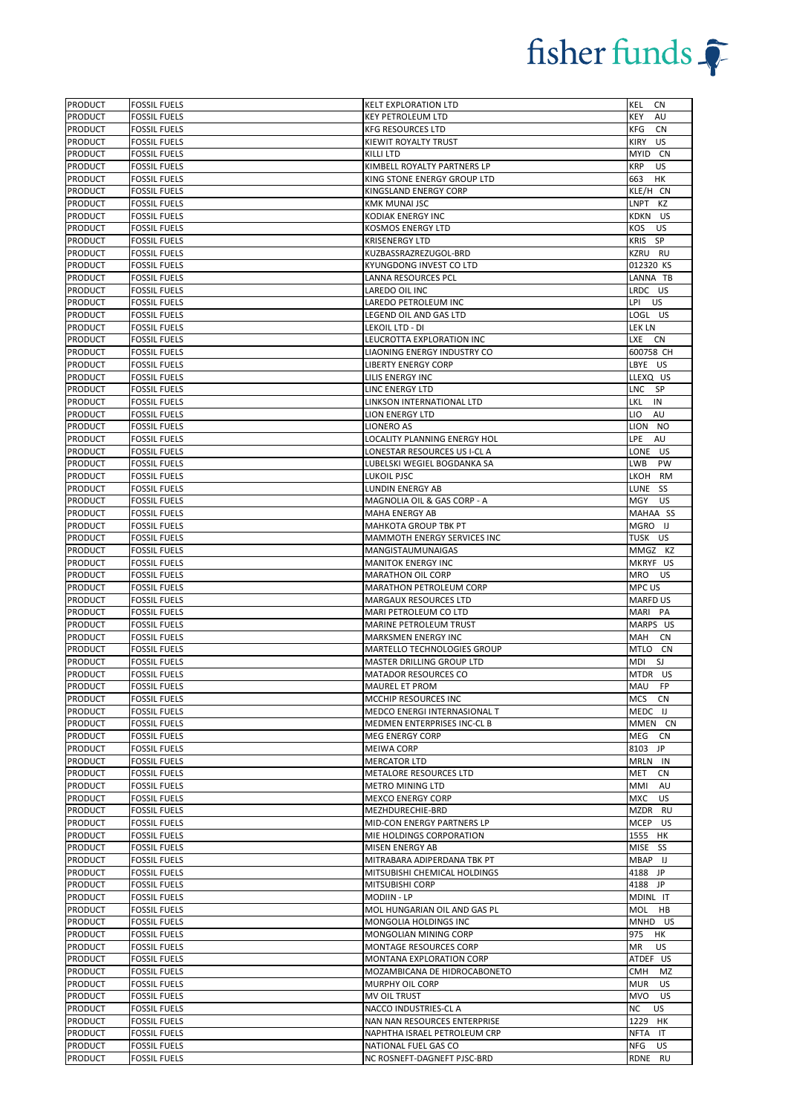| <b>PRODUCT</b>                   | <b>FOSSIL FUELS</b>                        | <b>KELT EXPLORATION LTD</b>                              | KEL<br>CN                    |
|----------------------------------|--------------------------------------------|----------------------------------------------------------|------------------------------|
| PRODUCT                          | <b>FOSSIL FUELS</b>                        | <b>KEY PETROLEUM LTD</b>                                 | KEY<br>AU                    |
| <b>PRODUCT</b>                   | <b>FOSSIL FUELS</b>                        | <b>KFG RESOURCES LTD</b>                                 | KFG<br><b>CN</b>             |
| PRODUCT                          | <b>FOSSIL FUELS</b>                        | KIEWIT ROYALTY TRUST                                     | KIRY<br><b>US</b>            |
| <b>PRODUCT</b>                   | <b>FOSSIL FUELS</b>                        | KILLI LTD                                                | MYID CN                      |
| <b>PRODUCT</b>                   | <b>FOSSIL FUELS</b>                        | KIMBELL ROYALTY PARTNERS LP                              | <b>KRP</b><br>US             |
| PRODUCT                          | <b>FOSSIL FUELS</b>                        | KING STONE ENERGY GROUP LTD                              | 663<br>HK                    |
| PRODUCT                          | <b>FOSSIL FUELS</b>                        | KINGSLAND ENERGY CORP                                    | KLE/H CN                     |
| <b>PRODUCT</b>                   | <b>FOSSIL FUELS</b>                        | <b>KMK MUNAI JSC</b>                                     | LNPT<br>КZ                   |
| <b>PRODUCT</b>                   | <b>FOSSIL FUELS</b>                        | <b>KODIAK ENERGY INC</b>                                 | KDKN<br>US.                  |
| PRODUCT                          | <b>FOSSIL FUELS</b>                        | KOSMOS ENERGY LTD                                        | KOS<br>US                    |
| <b>PRODUCT</b>                   | <b>FOSSIL FUELS</b>                        | <b>KRISENERGY LTD</b>                                    | KRIS SP                      |
| PRODUCT                          | <b>FOSSIL FUELS</b>                        | KUZBASSRAZREZUGOL-BRD                                    | KZRU RU                      |
| PRODUCT                          | <b>FOSSIL FUELS</b>                        | KYUNGDONG INVEST CO LTD                                  | 012320 KS                    |
| PRODUCT                          | <b>FOSSIL FUELS</b>                        | LANNA RESOURCES PCL                                      | LANNA TB                     |
| PRODUCT                          | <b>FOSSIL FUELS</b>                        | LAREDO OIL INC                                           | LRDC US                      |
| <b>PRODUCT</b><br><b>PRODUCT</b> | <b>FOSSIL FUELS</b><br><b>FOSSIL FUELS</b> | LAREDO PETROLEUM INC<br>LEGEND OIL AND GAS LTD           | LPI US<br>LOGL US            |
| <b>PRODUCT</b>                   | <b>FOSSIL FUELS</b>                        | LEKOIL LTD - DI                                          | LEK LN                       |
| PRODUCT                          | <b>FOSSIL FUELS</b>                        | LEUCROTTA EXPLORATION INC                                | LXE CN                       |
| <b>PRODUCT</b>                   | <b>FOSSIL FUELS</b>                        | LIAONING ENERGY INDUSTRY CO                              | 600758 CH                    |
| PRODUCT                          | <b>FOSSIL FUELS</b>                        | <b>LIBERTY ENERGY CORP</b>                               | LBYE US                      |
| PRODUCT                          | <b>FOSSIL FUELS</b>                        | LILIS ENERGY INC                                         | LLEXQ US                     |
| PRODUCT                          | <b>FOSSIL FUELS</b>                        | <b>LINC ENERGY LTD</b>                                   | LNC<br><b>SP</b>             |
| <b>PRODUCT</b>                   | <b>FOSSIL FUELS</b>                        | LINKSON INTERNATIONAL LTD                                | LKL<br>IN                    |
| <b>PRODUCT</b>                   | <b>FOSSIL FUELS</b>                        | <b>LION ENERGY LTD</b>                                   | LIO<br>AU                    |
| PRODUCT                          | <b>FOSSIL FUELS</b>                        | LIONERO AS                                               | LION NO                      |
| PRODUCT                          | <b>FOSSIL FUELS</b>                        | LOCALITY PLANNING ENERGY HOL                             | LPE<br>AU                    |
| PRODUCT                          | <b>FOSSIL FUELS</b>                        | LONESTAR RESOURCES US I-CL A                             | LONE US                      |
| PRODUCT                          | <b>FOSSIL FUELS</b>                        | LUBELSKI WEGIEL BOGDANKA SA                              | LWB<br>PW                    |
| <b>PRODUCT</b>                   | <b>FOSSIL FUELS</b>                        | LUKOIL PJSC                                              | LKOH<br>RM                   |
| PRODUCT                          | <b>FOSSIL FUELS</b>                        | LUNDIN ENERGY AB                                         | LUNE<br>SS                   |
| PRODUCT                          | <b>FOSSIL FUELS</b>                        | MAGNOLIA OIL & GAS CORP - A                              | MGY<br>US                    |
| <b>PRODUCT</b>                   | <b>FOSSIL FUELS</b>                        | <b>MAHA ENERGY AB</b>                                    | MAHAA SS                     |
| <b>PRODUCT</b>                   | <b>FOSSIL FUELS</b>                        | MAHKOTA GROUP TBK PT                                     | MGRO<br>IJ                   |
| PRODUCT                          | <b>FOSSIL FUELS</b>                        | MAMMOTH ENERGY SERVICES INC                              | TUSK US                      |
| <b>PRODUCT</b>                   | <b>FOSSIL FUELS</b>                        | MANGISTAUMUNAIGAS                                        | MMGZ KZ                      |
| PRODUCT                          | <b>FOSSIL FUELS</b>                        | MANITOK ENERGY INC                                       | MKRYF US                     |
| PRODUCT                          | <b>FOSSIL FUELS</b>                        | MARATHON OIL CORP                                        | <b>US</b><br>MRO             |
| PRODUCT                          | <b>FOSSIL FUELS</b>                        | MARATHON PETROLEUM CORP                                  | MPC US                       |
| PRODUCT                          | <b>FOSSIL FUELS</b>                        | <b>MARGAUX RESOURCES LTD</b>                             | <b>MARFD US</b>              |
| PRODUCT                          | <b>FOSSIL FUELS</b>                        | MARI PETROLEUM CO LTD                                    | MARI PA                      |
| <b>PRODUCT</b>                   | <b>FOSSIL FUELS</b>                        | MARINE PETROLEUM TRUST                                   | MARPS US                     |
| PRODUCT                          | <b>FOSSIL FUELS</b>                        | MARKSMEN ENERGY INC                                      | MAH<br>CN                    |
| PRODUCT                          | <b>FOSSIL FUELS</b><br><b>FOSSIL FUELS</b> | MARTELLO TECHNOLOGIES GROUP                              | MTLO CN                      |
| PRODUCT<br><b>PRODUCT</b>        | <b>FOSSIL FUELS</b>                        | MASTER DRILLING GROUP LTD<br><b>MATADOR RESOURCES CO</b> | SJ<br>MDI<br>MTDR US         |
| <b>PRODUCT</b>                   | <b>FOSSIL FUELS</b>                        | <b>MAUREL ET PROM</b>                                    | MAU FP                       |
| <b>PRODUCT</b>                   | <b>FOSSIL FUELS</b>                        | MCCHIP RESOURCES INC                                     | <b>MCS</b><br>CN             |
| <b>PRODUCT</b>                   | <b>FOSSIL FUELS</b>                        | MEDCO ENERGI INTERNASIONAL T                             | MEDC IJ                      |
| PRODUCT                          | <b>FOSSIL FUELS</b>                        | MEDMEN ENTERPRISES INC-CL B                              | MMEN CN                      |
| PRODUCT                          | <b>FOSSIL FUELS</b>                        | <b>MEG ENERGY CORP</b>                                   | MEG<br>CN                    |
| PRODUCT                          | <b>FOSSIL FUELS</b>                        | MEIWA CORP                                               | 8103 JP                      |
| PRODUCT                          | <b>FOSSIL FUELS</b>                        | <b>MERCATOR LTD</b>                                      | MRLN IN                      |
| PRODUCT                          | <b>FOSSIL FUELS</b>                        | METALORE RESOURCES LTD                                   | MET<br><b>CN</b>             |
| PRODUCT                          | <b>FOSSIL FUELS</b>                        | <b>METRO MINING LTD</b>                                  | AU<br>MMI                    |
| PRODUCT                          | <b>FOSSIL FUELS</b>                        | <b>MEXCO ENERGY CORP</b>                                 | MXC<br><b>US</b>             |
| PRODUCT                          | <b>FOSSIL FUELS</b>                        | MEZHDURECHIE-BRD                                         | MZDR<br>RU                   |
| <b>PRODUCT</b>                   | <b>FOSSIL FUELS</b>                        | MID-CON ENERGY PARTNERS LP                               | MCEP US                      |
| PRODUCT                          | <b>FOSSIL FUELS</b>                        | MIE HOLDINGS CORPORATION                                 | 1555 HK                      |
| PRODUCT                          | <b>FOSSIL FUELS</b>                        | MISEN ENERGY AB                                          | MISE SS                      |
| PRODUCT                          | <b>FOSSIL FUELS</b>                        | MITRABARA ADIPERDANA TBK PT                              | MBAP IJ                      |
| PRODUCT                          | <b>FOSSIL FUELS</b>                        | MITSUBISHI CHEMICAL HOLDINGS                             | 4188 JP                      |
| PRODUCT                          | <b>FOSSIL FUELS</b>                        | MITSUBISHI CORP                                          | 4188 JP                      |
| <b>PRODUCT</b>                   | <b>FOSSIL FUELS</b>                        | <b>MODIIN - LP</b>                                       | MDINL IT                     |
| <b>PRODUCT</b>                   | <b>FOSSIL FUELS</b>                        | MOL HUNGARIAN OIL AND GAS PL                             | MOL<br>HB                    |
| <b>PRODUCT</b>                   | <b>FOSSIL FUELS</b>                        | MONGOLIA HOLDINGS INC                                    | MNHD US                      |
| PRODUCT                          | <b>FOSSIL FUELS</b>                        | MONGOLIAN MINING CORP                                    | 975<br>HК                    |
| PRODUCT                          | <b>FOSSIL FUELS</b>                        | MONTAGE RESOURCES CORP                                   | US<br>ΜR                     |
| PRODUCT                          | <b>FOSSIL FUELS</b>                        | MONTANA EXPLORATION CORP                                 | ATDEF US                     |
| PRODUCT                          | <b>FOSSIL FUELS</b>                        | MOZAMBICANA DE HIDROCABONETO                             | CMH<br>MZ                    |
| <b>PRODUCT</b>                   | <b>FOSSIL FUELS</b>                        | MURPHY OIL CORP                                          | MUR<br><b>US</b>             |
| PRODUCT<br>PRODUCT               | <b>FOSSIL FUELS</b><br><b>FOSSIL FUELS</b> | MV OIL TRUST<br>NACCO INDUSTRIES-CL A                    | MVO<br>US<br>NC<br><b>US</b> |
| <b>PRODUCT</b>                   | <b>FOSSIL FUELS</b>                        | NAN NAN RESOURCES ENTERPRISE                             | 1229 HK                      |
| PRODUCT                          | <b>FOSSIL FUELS</b>                        | NAPHTHA ISRAEL PETROLEUM CRP                             | NFTA IT                      |
| PRODUCT                          | <b>FOSSIL FUELS</b>                        | NATIONAL FUEL GAS CO                                     | NFG<br><b>US</b>             |
| PRODUCT                          | <b>FOSSIL FUELS</b>                        | NC ROSNEFT-DAGNEFT PJSC-BRD                              | RDNE RU                      |
|                                  |                                            |                                                          |                              |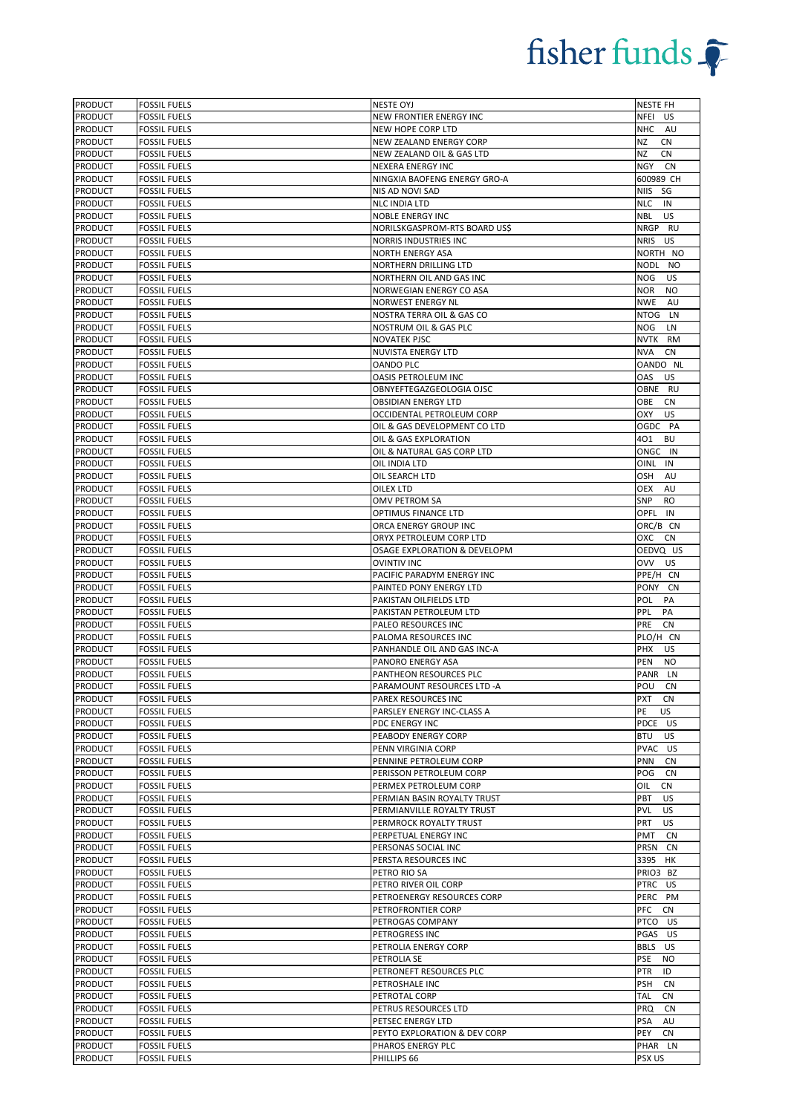| <b>PRODUCT</b>            | <b>FOSSIL FUELS</b>                        | <b>NESTE OYJ</b>                                | NESTE FH                             |
|---------------------------|--------------------------------------------|-------------------------------------------------|--------------------------------------|
| <b>PRODUCT</b>            | <b>FOSSIL FUELS</b>                        | NEW FRONTIER ENERGY INC                         | NFEI US                              |
| <b>PRODUCT</b>            | <b>FOSSIL FUELS</b>                        | NEW HOPE CORP LTD                               | <b>NHC</b><br>AU                     |
| PRODUCT                   | <b>FOSSIL FUELS</b>                        | NEW ZEALAND ENERGY CORP                         | ΝZ<br><b>CN</b>                      |
| PRODUCT                   | <b>FOSSIL FUELS</b>                        | NEW ZEALAND OIL & GAS LTD                       | NZ<br><b>CN</b>                      |
| PRODUCT                   | <b>FOSSIL FUELS</b>                        | <b>NEXERA ENERGY INC</b>                        | NGY<br><b>CN</b>                     |
| PRODUCT                   | <b>FOSSIL FUELS</b>                        | NINGXIA BAOFENG ENERGY GRO-A                    | 600989 CH                            |
| PRODUCT                   | <b>FOSSIL FUELS</b>                        | NIS AD NOVI SAD                                 | <b>NIIS</b><br>SG                    |
| PRODUCT                   | <b>FOSSIL FUELS</b>                        | NLC INDIA LTD                                   | <b>NLC</b><br>IN                     |
| <b>PRODUCT</b>            | <b>FOSSIL FUELS</b>                        | <b>NOBLE ENERGY INC</b>                         | NBL<br>US                            |
| <b>PRODUCT</b>            | <b>FOSSIL FUELS</b>                        | NORILSKGASPROM-RTS BOARD US\$                   | NRGP RU                              |
| <b>PRODUCT</b>            | <b>FOSSIL FUELS</b>                        | NORRIS INDUSTRIES INC                           | NRIS US                              |
| <b>PRODUCT</b>            | <b>FOSSIL FUELS</b>                        | <b>NORTH ENERGY ASA</b>                         | NORTH NO                             |
| PRODUCT                   | <b>FOSSIL FUELS</b>                        | NORTHERN DRILLING LTD                           | NODL NO                              |
| <b>PRODUCT</b>            | <b>FOSSIL FUELS</b>                        | NORTHERN OIL AND GAS INC                        | <b>US</b><br>NOG.                    |
| <b>PRODUCT</b>            | <b>FOSSIL FUELS</b>                        | NORWEGIAN ENERGY CO ASA                         | NOR<br><b>NO</b>                     |
| PRODUCT                   | <b>FOSSIL FUELS</b>                        | NORWEST ENERGY NL                               | <b>NWE</b><br>AU                     |
| <b>PRODUCT</b>            | <b>FOSSIL FUELS</b>                        | NOSTRA TERRA OIL & GAS CO                       | NTOG LN                              |
| <b>PRODUCT</b>            | <b>FOSSIL FUELS</b>                        | NOSTRUM OIL & GAS PLC                           | <b>NOG</b><br>LN                     |
| PRODUCT                   | <b>FOSSIL FUELS</b>                        | <b>NOVATEK PJSC</b>                             | NVTK<br>RM                           |
| <b>PRODUCT</b>            | <b>FOSSIL FUELS</b>                        | NUVISTA ENERGY LTD                              | NVA<br>CN                            |
| <b>PRODUCT</b>            | <b>FOSSIL FUELS</b>                        | <b>OANDO PLC</b>                                | OANDO NL                             |
|                           | <b>FOSSIL FUELS</b>                        |                                                 |                                      |
| PRODUCT<br>PRODUCT        | <b>FOSSIL FUELS</b>                        | OASIS PETROLEUM INC<br>OBNYEFTEGAZGEOLOGIA OJSC | OAS<br>US<br>OBNE RU                 |
| PRODUCT                   | <b>FOSSIL FUELS</b>                        | <b>OBSIDIAN ENERGY LTD</b>                      | OBE<br>CN                            |
| <b>PRODUCT</b>            | <b>FOSSIL FUELS</b>                        | OCCIDENTAL PETROLEUM CORP                       | OXY<br>US                            |
| <b>PRODUCT</b>            | <b>FOSSIL FUELS</b>                        | OIL & GAS DEVELOPMENT CO LTD                    | OGDC PA                              |
| <b>PRODUCT</b>            | <b>FOSSIL FUELS</b>                        | OIL & GAS EXPLORATION                           | 401<br>BU                            |
| PRODUCT                   | <b>FOSSIL FUELS</b>                        | OIL & NATURAL GAS CORP LTD                      | ONGC IN                              |
| <b>PRODUCT</b>            | <b>FOSSIL FUELS</b>                        | OIL INDIA LTD                                   | OINL IN                              |
| <b>PRODUCT</b>            | <b>FOSSIL FUELS</b>                        | OIL SEARCH LTD                                  | OSH<br>AU                            |
| PRODUCT                   | <b>FOSSIL FUELS</b>                        | OILEX LTD                                       | OEX<br>AU                            |
| PRODUCT                   | <b>FOSSIL FUELS</b>                        | OMV PETROM SA                                   | <b>SNP</b><br>RO                     |
| PRODUCT                   | <b>FOSSIL FUELS</b>                        | OPTIMUS FINANCE LTD                             | OPFL IN                              |
| <b>PRODUCT</b>            | <b>FOSSIL FUELS</b>                        | ORCA ENERGY GROUP INC                           | ORC/B CN                             |
| <b>PRODUCT</b>            | <b>FOSSIL FUELS</b>                        | ORYX PETROLEUM CORP LTD                         | охс<br>CN                            |
| <b>PRODUCT</b>            | <b>FOSSIL FUELS</b>                        | OSAGE EXPLORATION & DEVELOPM                    | OEDVQ US                             |
| PRODUCT                   | <b>FOSSIL FUELS</b>                        | <b>OVINTIV INC</b>                              | <b>OVV</b><br>US                     |
| PRODUCT                   | <b>FOSSIL FUELS</b>                        | PACIFIC PARADYM ENERGY INC                      | PPE/H CN                             |
|                           |                                            |                                                 |                                      |
| <b>PRODUCT</b>            | <b>FOSSIL FUELS</b>                        | PAINTED PONY ENERGY LTD                         | PONY CN                              |
| PRODUCT                   | <b>FOSSIL FUELS</b>                        | PAKISTAN OILFIELDS LTD                          | POL<br>PA                            |
| <b>PRODUCT</b>            | <b>FOSSIL FUELS</b>                        | PAKISTAN PETROLEUM LTD                          | PPL<br>PA                            |
| <b>PRODUCT</b>            | <b>FOSSIL FUELS</b>                        | PALEO RESOURCES INC                             | PRE<br><b>CN</b>                     |
| <b>PRODUCT</b>            | <b>FOSSIL FUELS</b>                        | PALOMA RESOURCES INC                            | PLO/H CN                             |
| PRODUCT                   | <b>FOSSIL FUELS</b>                        | PANHANDLE OIL AND GAS INC-A                     | PHX<br>US                            |
| <b>PRODUCT</b>            | <b>FOSSIL FUELS</b>                        | PANORO ENERGY ASA                               | PEN<br>NO                            |
| <b>PRODUCT</b>            | <b>FOSSIL FUELS</b>                        | PANTHEON RESOURCES PLC                          | PANR LN                              |
| <b>PRODUCT</b>            | <b>FOSSIL FUELS</b>                        | PARAMOUNT RESOURCES LTD -A                      | POU<br><b>CN</b>                     |
| <b>PRODUCT</b>            | <b>FOSSIL FUELS</b>                        | <b>PAREX RESOURCES INC</b>                      | PXT<br>CN                            |
| PRODUCT                   | <b>FOSSIL FUELS</b>                        | PARSLEY ENERGY INC-CLASS A                      | PE<br>US                             |
| <b>PRODUCT</b>            | <b>FOSSIL FUELS</b>                        | <b>PDC ENERGY INC</b>                           | PDCE US                              |
| <b>PRODUCT</b>            | <b>FOSSIL FUELS</b>                        | PEABODY ENERGY CORP                             | BTU<br>US                            |
| <b>PRODUCT</b>            | <b>FOSSIL FUELS</b>                        | PENN VIRGINIA CORP                              | PVAC US                              |
| PRODUCT                   | <b>FOSSIL FUELS</b>                        | PENNINE PETROLEUM CORP                          | PNN<br><b>CN</b>                     |
| PRODUCT                   | <b>FOSSIL FUELS</b>                        | PERISSON PETROLEUM CORP                         | POG<br>CN                            |
| <b>PRODUCT</b>            | <b>FOSSIL FUELS</b>                        | PERMEX PETROLEUM CORP                           | <b>CN</b><br>OIL                     |
| PRODUCT                   | <b>FOSSIL FUELS</b>                        | PERMIAN BASIN ROYALTY TRUST                     | PBT<br>US                            |
| PRODUCT                   | <b>FOSSIL FUELS</b>                        | PERMIANVILLE ROYALTY TRUST                      | PVL<br>US                            |
| <b>PRODUCT</b>            | <b>FOSSIL FUELS</b>                        | PERMROCK ROYALTY TRUST                          | PRT<br>US                            |
| <b>PRODUCT</b>            | <b>FOSSIL FUELS</b>                        | PERPETUAL ENERGY INC                            | PMT<br><b>CN</b>                     |
| <b>PRODUCT</b>            | <b>FOSSIL FUELS</b>                        | PERSONAS SOCIAL INC                             | PRSN<br>CN                           |
| PRODUCT                   | <b>FOSSIL FUELS</b>                        | PERSTA RESOURCES INC                            | 3395 HK                              |
| <b>PRODUCT</b>            | <b>FOSSIL FUELS</b>                        | PETRO RIO SA                                    | PRIO3 BZ                             |
| PRODUCT                   | <b>FOSSIL FUELS</b>                        | PETRO RIVER OIL CORP                            | PTRC US                              |
| <b>PRODUCT</b>            | <b>FOSSIL FUELS</b>                        | PETROENERGY RESOURCES CORP                      | PERC PM                              |
| PRODUCT                   | <b>FOSSIL FUELS</b>                        | PETROFRONTIER CORP                              | PFC<br><b>CN</b>                     |
| PRODUCT                   | <b>FOSSIL FUELS</b>                        | PETROGAS COMPANY                                | PTCO<br>US                           |
| <b>PRODUCT</b>            | <b>FOSSIL FUELS</b>                        | PETROGRESS INC                                  | PGAS<br>US                           |
| <b>PRODUCT</b>            | <b>FOSSIL FUELS</b>                        | PETROLIA ENERGY CORP                            | BBLS US                              |
| PRODUCT                   | <b>FOSSIL FUELS</b>                        | PETROLIA SE                                     | PSE<br><b>NO</b>                     |
| PRODUCT                   | <b>FOSSIL FUELS</b>                        | PETRONEFT RESOURCES PLC                         | ID<br>PTR                            |
| PRODUCT                   | <b>FOSSIL FUELS</b>                        | PETROSHALE INC                                  | <b>PSH</b><br>CN<br><b>CN</b><br>TAL |
| PRODUCT                   | <b>FOSSIL FUELS</b>                        | PETROTAL CORP                                   | PRQ<br>CN                            |
| <b>PRODUCT</b><br>PRODUCT | <b>FOSSIL FUELS</b><br><b>FOSSIL FUELS</b> | PETRUS RESOURCES LTD<br>PETSEC ENERGY LTD       | PSA<br>AU                            |
| <b>PRODUCT</b>            | <b>FOSSIL FUELS</b>                        | PEYTO EXPLORATION & DEV CORP                    | PEY<br><b>CN</b>                     |
| <b>PRODUCT</b>            | <b>FOSSIL FUELS</b>                        | PHAROS ENERGY PLC                               | PHAR LN                              |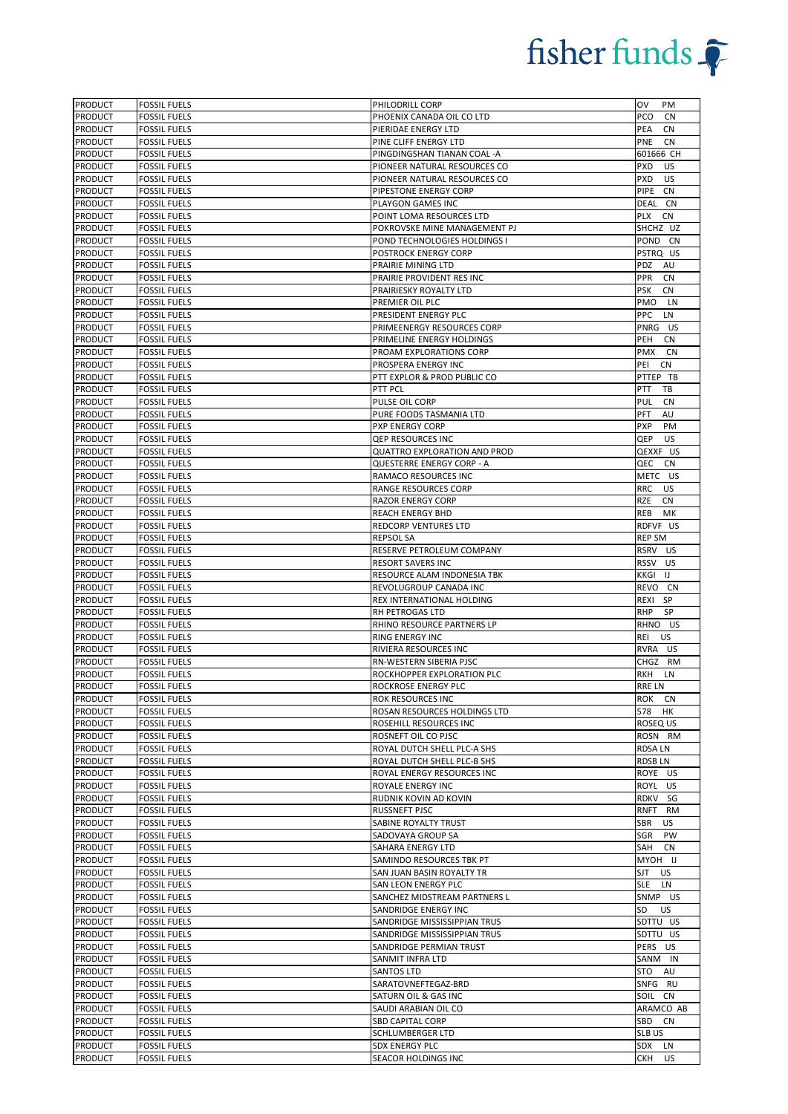| <b>PRODUCT</b>                   | <b>FOSSIL FUELS</b>                        | PHILODRILL CORP                           | OV<br>PM                      |
|----------------------------------|--------------------------------------------|-------------------------------------------|-------------------------------|
| <b>PRODUCT</b>                   | <b>FOSSIL FUELS</b>                        | PHOENIX CANADA OIL CO LTD                 | PCO<br>CN                     |
| <b>PRODUCT</b>                   | <b>FOSSIL FUELS</b>                        | PIERIDAE ENERGY LTD                       | PEA<br>CN                     |
| PRODUCT                          | <b>FOSSIL FUELS</b>                        | PINE CLIFF ENERGY LTD                     | PNE<br>CN                     |
| PRODUCT                          | <b>FOSSIL FUELS</b>                        | PINGDINGSHAN TIANAN COAL -A               | 601666 CH                     |
| PRODUCT                          | <b>FOSSIL FUELS</b>                        | PIONEER NATURAL RESOURCES CO              | <b>PXD</b><br>US              |
| <b>PRODUCT</b>                   | <b>FOSSIL FUELS</b>                        | PIONEER NATURAL RESOURCES CO              | <b>PXD</b><br>US              |
| <b>PRODUCT</b>                   | <b>FOSSIL FUELS</b>                        | PIPESTONE ENERGY CORP                     | PIPE CN                       |
| PRODUCT                          | <b>FOSSIL FUELS</b>                        | PLAYGON GAMES INC                         | DEAL CN                       |
| <b>PRODUCT</b>                   | <b>FOSSIL FUELS</b>                        | POINT LOMA RESOURCES LTD                  | PLX<br>CN                     |
| <b>PRODUCT</b>                   | <b>FOSSIL FUELS</b>                        | POKROVSKE MINE MANAGEMENT PJ              | SHCHZ UZ                      |
| <b>PRODUCT</b>                   | <b>FOSSIL FUELS</b>                        | POND TECHNOLOGIES HOLDINGS I              | POND<br><b>CN</b>             |
| PRODUCT                          | <b>FOSSIL FUELS</b>                        | POSTROCK ENERGY CORP                      | PSTRQ US                      |
| PRODUCT                          | <b>FOSSIL FUELS</b>                        | PRAIRIE MINING LTD                        | <b>PDZ</b><br>AU              |
| <b>PRODUCT</b>                   | <b>FOSSIL FUELS</b>                        | PRAIRIE PROVIDENT RES INC                 | PPR<br>CN                     |
| <b>PRODUCT</b>                   | <b>FOSSIL FUELS</b>                        | PRAIRIESKY ROYALTY LTD                    | PSK<br><b>CN</b>              |
| <b>PRODUCT</b>                   | <b>FOSSIL FUELS</b>                        | PREMIER OIL PLC                           | PMO<br><b>LN</b>              |
| <b>PRODUCT</b>                   | <b>FOSSIL FUELS</b>                        | PRESIDENT ENERGY PLC                      | PPC<br>LN                     |
| <b>PRODUCT</b>                   | <b>FOSSIL FUELS</b>                        | PRIMEENERGY RESOURCES CORP                | PNRG US                       |
| <b>PRODUCT</b>                   | <b>FOSSIL FUELS</b>                        | PRIMELINE ENERGY HOLDINGS                 | PEH<br><b>CN</b>              |
| <b>PRODUCT</b>                   | <b>FOSSIL FUELS</b>                        | PROAM EXPLORATIONS CORP                   | PMX<br>CN                     |
| <b>PRODUCT</b>                   | <b>FOSSIL FUELS</b>                        | PROSPERA ENERGY INC                       | PEI<br>CN                     |
| PRODUCT                          | <b>FOSSIL FUELS</b>                        | PTT EXPLOR & PROD PUBLIC CO               | PTTEP TB                      |
| <b>PRODUCT</b>                   | <b>FOSSIL FUELS</b>                        | PTT PCL                                   | <b>PTT</b><br>TB              |
| <b>PRODUCT</b>                   | <b>FOSSIL FUELS</b>                        | PULSE OIL CORP                            | PUL<br>CN                     |
| PRODUCT                          | <b>FOSSIL FUELS</b>                        | PURE FOODS TASMANIA LTD                   | PFT<br>AU                     |
| <b>PRODUCT</b>                   | <b>FOSSIL FUELS</b>                        | PXP ENERGY CORP                           | PXP<br><b>PM</b>              |
| <b>PRODUCT</b>                   | <b>FOSSIL FUELS</b>                        | QEP RESOURCES INC                         | QEP<br>US                     |
| <b>PRODUCT</b>                   | <b>FOSSIL FUELS</b>                        | <b>QUATTRO EXPLORATION AND PROD</b>       | QEXXF US                      |
| <b>PRODUCT</b>                   | <b>FOSSIL FUELS</b>                        | <b>QUESTERRE ENERGY CORP - A</b>          | QEC<br>CN                     |
| <b>PRODUCT</b>                   | <b>FOSSIL FUELS</b>                        | RAMACO RESOURCES INC                      | METC US                       |
| PRODUCT                          | <b>FOSSIL FUELS</b>                        | RANGE RESOURCES CORP                      | <b>RRC</b><br>US              |
| <b>PRODUCT</b>                   | <b>FOSSIL FUELS</b>                        | RAZOR ENERGY CORP                         | RZE<br>CN                     |
| <b>PRODUCT</b>                   | <b>FOSSIL FUELS</b>                        | REACH ENERGY BHD                          | REB<br>МK                     |
| <b>PRODUCT</b>                   | <b>FOSSIL FUELS</b>                        | REDCORP VENTURES LTD                      | RDFVF US                      |
| <b>PRODUCT</b>                   | <b>FOSSIL FUELS</b>                        | <b>REPSOL SA</b>                          | REP SM                        |
| <b>PRODUCT</b>                   | <b>FOSSIL FUELS</b>                        | RESERVE PETROLEUM COMPANY                 | RSRV US                       |
| <b>PRODUCT</b>                   | <b>FOSSIL FUELS</b>                        | RESORT SAVERS INC                         | RSSV US                       |
| <b>PRODUCT</b>                   | <b>FOSSIL FUELS</b>                        | RESOURCE ALAM INDONESIA TBK               | KKGI IJ                       |
| <b>PRODUCT</b>                   | <b>FOSSIL FUELS</b>                        | REVOLUGROUP CANADA INC                    | REVO CN                       |
| <b>PRODUCT</b>                   | <b>FOSSIL FUELS</b>                        | REX INTERNATIONAL HOLDING                 | REXI SP                       |
| <b>PRODUCT</b>                   | <b>FOSSIL FUELS</b>                        | <b>RH PETROGAS LTD</b>                    | <b>RHP</b><br><b>SP</b>       |
| <b>PRODUCT</b>                   | <b>FOSSIL FUELS</b>                        | RHINO RESOURCE PARTNERS LP                | RHNO US                       |
| <b>PRODUCT</b>                   | <b>FOSSIL FUELS</b>                        | <b>RING ENERGY INC</b>                    | <b>REI</b><br>US.             |
| PRODUCT                          | <b>FOSSIL FUELS</b>                        | RIVIERA RESOURCES INC                     | RVRA US                       |
| <b>PRODUCT</b>                   | <b>FOSSIL FUELS</b>                        | RN-WESTERN SIBERIA PJSC                   | CHGZ RM                       |
| <b>PRODUCT</b>                   | <b>FOSSIL FUELS</b>                        | ROCKHOPPER EXPLORATION PLC                | RKH LN                        |
| <b>PRODUCT</b>                   | <b>FOSSIL FUELS</b>                        | ROCKROSE ENERGY PLC                       | <b>RRELN</b>                  |
| <b>PRODUCT</b>                   | <b>FOSSIL FUELS</b>                        | ROK RESOURCES INC                         | ROK<br>CN                     |
| PRODUCT                          | <b>FOSSIL FUELS</b>                        | ROSAN RESOURCES HOLDINGS LTD              | 578<br>HK                     |
| PRODUCT                          | <b>FOSSIL FUELS</b>                        | ROSEHILL RESOURCES INC                    | ROSEQ US                      |
| <b>PRODUCT</b>                   | <b>FOSSIL FUELS</b>                        | ROSNEFT OIL CO PJSC                       | ROSN RM                       |
| <b>PRODUCT</b>                   | <b>FOSSIL FUELS</b>                        | ROYAL DUTCH SHELL PLC-A SHS               | RDSA LN                       |
| PRODUCT                          | <b>FOSSIL FUELS</b>                        | ROYAL DUTCH SHELL PLC-B SHS               | <b>RDSBLN</b>                 |
| PRODUCT                          | <b>FOSSIL FUELS</b>                        | ROYAL ENERGY RESOURCES INC                | ROYE US                       |
| <b>PRODUCT</b>                   | <b>FOSSIL FUELS</b>                        | ROYALE ENERGY INC                         | ROYL US                       |
| PRODUCT<br><b>PRODUCT</b>        | <b>FOSSIL FUELS</b>                        | RUDNIK KOVIN AD KOVIN                     | RDKV SG                       |
|                                  | <b>FOSSIL FUELS</b>                        | RUSSNEFT PJSC                             | RNFT RM                       |
| <b>PRODUCT</b><br><b>PRODUCT</b> | <b>FOSSIL FUELS</b>                        | SABINE ROYALTY TRUST<br>SADOVAYA GROUP SA | SBR<br><b>US</b><br>SGR<br>PW |
| <b>PRODUCT</b>                   | <b>FOSSIL FUELS</b><br><b>FOSSIL FUELS</b> | SAHARA ENERGY LTD                         | SAH<br>CN                     |
| PRODUCT                          | <b>FOSSIL FUELS</b>                        | SAMINDO RESOURCES TBK PT                  | MYOH IJ                       |
| <b>PRODUCT</b>                   | <b>FOSSIL FUELS</b>                        | SAN JUAN BASIN ROYALTY TR                 | SJT<br>US.                    |
| PRODUCT                          | <b>FOSSIL FUELS</b>                        | SAN LEON ENERGY PLC                       | SLE<br>LN                     |
| <b>PRODUCT</b>                   | <b>FOSSIL FUELS</b>                        | SANCHEZ MIDSTREAM PARTNERS L              | SNMP US                       |
| PRODUCT                          | <b>FOSSIL FUELS</b>                        | SANDRIDGE ENERGY INC                      | SD<br>US.                     |
| PRODUCT                          | <b>FOSSIL FUELS</b>                        | SANDRIDGE MISSISSIPPIAN TRUS              | SDTTU US                      |
| <b>PRODUCT</b>                   | <b>FOSSIL FUELS</b>                        | SANDRIDGE MISSISSIPPIAN TRUS              | SDTTU US                      |
| <b>PRODUCT</b>                   | <b>FOSSIL FUELS</b>                        | SANDRIDGE PERMIAN TRUST                   | PERS US                       |
| PRODUCT                          | <b>FOSSIL FUELS</b>                        | SANMIT INFRA LTD                          | SANM IN                       |
| PRODUCT                          | <b>FOSSIL FUELS</b>                        | SANTOS LTD                                | STO<br>AU                     |
| <b>PRODUCT</b>                   | <b>FOSSIL FUELS</b>                        | SARATOVNEFTEGAZ-BRD                       | SNFG RU                       |
| <b>PRODUCT</b>                   | <b>FOSSIL FUELS</b>                        | SATURN OIL & GAS INC                      | SOIL CN                       |
| <b>PRODUCT</b>                   | <b>FOSSIL FUELS</b>                        | SAUDI ARABIAN OIL CO                      | ARAMCO AB                     |
| PRODUCT                          | <b>FOSSIL FUELS</b>                        | <b>SBD CAPITAL CORP</b>                   | SBD CN                        |
| <b>PRODUCT</b>                   | <b>FOSSIL FUELS</b>                        | SCHLUMBERGER LTD                          | SLB US                        |
| <b>PRODUCT</b>                   | <b>FOSSIL FUELS</b>                        | <b>SDX ENERGY PLC</b>                     | SDX<br>LN                     |
| <b>PRODUCT</b>                   | <b>FOSSIL FUELS</b>                        | SEACOR HOLDINGS INC                       | CKH<br>US.                    |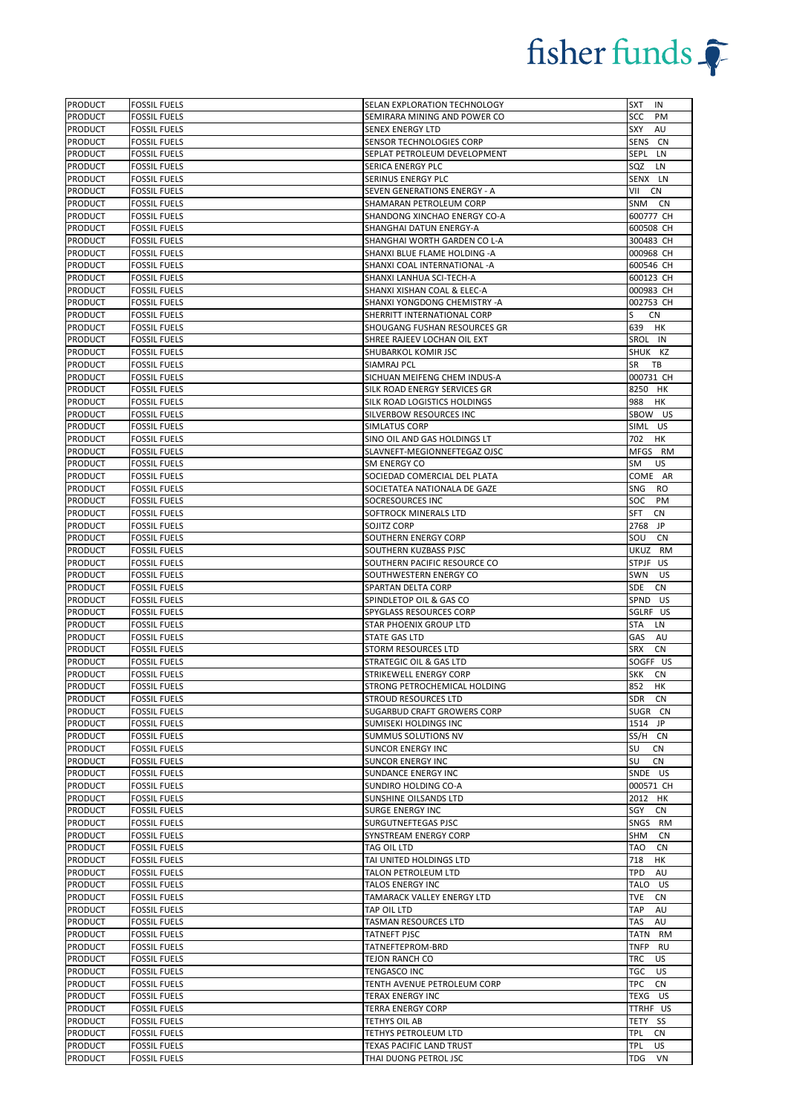| <b>PRODUCT</b>            | <b>FOSSIL FUELS</b>                        | SELAN EXPLORATION TECHNOLOGY                   | <b>SXT</b><br>IN         |
|---------------------------|--------------------------------------------|------------------------------------------------|--------------------------|
| <b>PRODUCT</b>            | <b>FOSSIL FUELS</b>                        | SEMIRARA MINING AND POWER CO                   | SCC<br>PM                |
| <b>PRODUCT</b>            | <b>FOSSIL FUELS</b>                        | SENEX ENERGY LTD                               | SXY<br>AU                |
| PRODUCT                   | <b>FOSSIL FUELS</b>                        | SENSOR TECHNOLOGIES CORP                       | SENS CN                  |
| PRODUCT                   | <b>FOSSIL FUELS</b>                        | SEPLAT PETROLEUM DEVELOPMENT                   | SEPL LN                  |
| PRODUCT                   | <b>FOSSIL FUELS</b>                        | SERICA ENERGY PLC                              | SQZ<br>LN                |
| PRODUCT                   | <b>FOSSIL FUELS</b>                        | SERINUS ENERGY PLC                             | SENX LN                  |
| <b>PRODUCT</b>            | <b>FOSSIL FUELS</b>                        | SEVEN GENERATIONS ENERGY - A                   | VII<br>CN                |
| <b>PRODUCT</b>            | <b>FOSSIL FUELS</b>                        | SHAMARAN PETROLEUM CORP                        | SNM CN                   |
| <b>PRODUCT</b>            | <b>FOSSIL FUELS</b>                        | SHANDONG XINCHAO ENERGY CO-A                   | 600777 CH                |
| <b>PRODUCT</b>            | <b>FOSSIL FUELS</b>                        | SHANGHAI DATUN ENERGY-A                        | 600508 CH                |
| <b>PRODUCT</b>            | <b>FOSSIL FUELS</b>                        | SHANGHAI WORTH GARDEN CO L-A                   | 300483 CH                |
| PRODUCT                   | <b>FOSSIL FUELS</b>                        | SHANXI BLUE FLAME HOLDING -A                   | 000968 CH                |
| PRODUCT                   | <b>FOSSIL FUELS</b>                        | SHANXI COAL INTERNATIONAL -A                   | 600546 CH                |
| PRODUCT                   | <b>FOSSIL FUELS</b>                        | SHANXI LANHUA SCI-TECH-A                       | 600123 CH                |
| <b>PRODUCT</b>            | <b>FOSSIL FUELS</b>                        | SHANXI XISHAN COAL & ELEC-A                    | 000983 CH                |
| <b>PRODUCT</b>            | <b>FOSSIL FUELS</b>                        | SHANXI YONGDONG CHEMISTRY -A                   | 002753 CH                |
| <b>PRODUCT</b>            | <b>FOSSIL FUELS</b>                        | SHERRITT INTERNATIONAL CORP                    | S<br><b>CN</b>           |
| <b>PRODUCT</b>            | <b>FOSSIL FUELS</b>                        | SHOUGANG FUSHAN RESOURCES GR                   | 639 HK                   |
| <b>PRODUCT</b>            | <b>FOSSIL FUELS</b>                        | SHREE RAJEEV LOCHAN OIL EXT                    | SROL IN                  |
| <b>PRODUCT</b>            | <b>FOSSIL FUELS</b>                        | SHUBARKOL KOMIR JSC                            | SHUK KZ                  |
| PRODUCT                   | <b>FOSSIL FUELS</b>                        | SIAMRAJ PCL                                    | SR<br>TB                 |
| PRODUCT                   | <b>FOSSIL FUELS</b>                        | SICHUAN MEIFENG CHEM INDUS-A                   | 000731 CH                |
| PRODUCT                   | <b>FOSSIL FUELS</b>                        | SILK ROAD ENERGY SERVICES GR                   | 8250 HK                  |
| <b>PRODUCT</b>            | <b>FOSSIL FUELS</b>                        | SILK ROAD LOGISTICS HOLDINGS                   | 988<br>HK                |
| <b>PRODUCT</b>            | <b>FOSSIL FUELS</b>                        | SILVERBOW RESOURCES INC                        | SBOW US                  |
| <b>PRODUCT</b>            | <b>FOSSIL FUELS</b>                        | SIMLATUS CORP                                  | SIML US                  |
| PRODUCT                   | <b>FOSSIL FUELS</b>                        | SINO OIL AND GAS HOLDINGS LT                   | 702<br>HK                |
| PRODUCT                   | <b>FOSSIL FUELS</b>                        | SLAVNEFT-MEGIONNEFTEGAZ OJSC                   | MFGS RM                  |
| <b>PRODUCT</b>            | <b>FOSSIL FUELS</b>                        | SM ENERGY CO                                   | <b>US</b><br>SM          |
| <b>PRODUCT</b>            | <b>FOSSIL FUELS</b>                        | SOCIEDAD COMERCIAL DEL PLATA                   | COME AR                  |
| PRODUCT                   | <b>FOSSIL FUELS</b>                        | SOCIETATEA NATIONALA DE GAZE                   | SNG<br>RO                |
| <b>PRODUCT</b>            | <b>FOSSIL FUELS</b>                        | SOCRESOURCES INC                               | <b>SOC</b><br>PM         |
| <b>PRODUCT</b>            | <b>FOSSIL FUELS</b>                        | SOFTROCK MINERALS LTD                          | SFT<br><b>CN</b>         |
| <b>PRODUCT</b>            | <b>FOSSIL FUELS</b>                        | SOJITZ CORP                                    | 2768 JP                  |
| <b>PRODUCT</b>            | <b>FOSSIL FUELS</b>                        | SOUTHERN ENERGY CORP                           | SOU<br><b>CN</b>         |
| PRODUCT                   | <b>FOSSIL FUELS</b>                        | SOUTHERN KUZBASS PJSC                          | UKUZ RM                  |
| PRODUCT                   | <b>FOSSIL FUELS</b>                        | SOUTHERN PACIFIC RESOURCE CO                   | STPJF US                 |
| <b>PRODUCT</b>            | <b>FOSSIL FUELS</b>                        | SOUTHWESTERN ENERGY CO                         | US<br>SWN                |
| PRODUCT                   | <b>FOSSIL FUELS</b>                        | SPARTAN DELTA CORP                             | <b>SDE</b><br><b>CN</b>  |
| PRODUCT                   | <b>FOSSIL FUELS</b>                        | SPINDLETOP OIL & GAS CO                        | SPND US                  |
| <b>PRODUCT</b>            | <b>FOSSIL FUELS</b>                        | SPYGLASS RESOURCES CORP                        | SGLRF US                 |
| <b>PRODUCT</b>            | <b>FOSSIL FUELS</b>                        | <b>STAR PHOENIX GROUP LTD</b>                  | <b>STA</b><br>LN         |
| <b>PRODUCT</b>            | <b>FOSSIL FUELS</b>                        | <b>STATE GAS LTD</b>                           | GAS<br>AU                |
| <b>PRODUCT</b>            | <b>FOSSIL FUELS</b>                        | STORM RESOURCES LTD                            | <b>SRX</b><br>CN         |
| PRODUCT                   | <b>FOSSIL FUELS</b>                        | STRATEGIC OIL & GAS LTD                        | SOGFF US                 |
| <b>PRODUCT</b>            | <b>FOSSIL FUELS</b>                        | STRIKEWELL ENERGY CORP                         | <b>SKK</b><br>CN         |
| <b>PRODUCT</b>            | <b>FOSSIL FUELS</b>                        | STRONG PETROCHEMICAL HOLDING                   | 852 HK                   |
| <b>PRODUCT</b>            | <b>FOSSIL FUELS</b>                        | <b>STROUD RESOURCES LTD</b>                    | SDR<br>CN                |
| <b>PRODUCT</b>            | <b>FOSSIL FUELS</b>                        | SUGARBUD CRAFT GROWERS CORP                    | SUGR CN                  |
| <b>PRODUCT</b>            | <b>FOSSIL FUELS</b>                        | SUMISEKI HOLDINGS INC                          | 1514 JP                  |
| <b>PRODUCT</b>            | <b>FOSSIL FUELS</b>                        | SUMMUS SOLUTIONS NV                            | SS/H CN                  |
| PRODUCT                   | <b>FOSSIL FUELS</b>                        | <b>SUNCOR ENERGY INC</b>                       | SU<br>CN                 |
| PRODUCT                   | <b>FOSSIL FUELS</b>                        | <b>SUNCOR ENERGY INC</b>                       | SU<br><b>CN</b>          |
| PRODUCT                   | <b>FOSSIL FUELS</b>                        | SUNDANCE ENERGY INC                            | SNDE US                  |
| <b>PRODUCT</b>            | <b>FOSSIL FUELS</b>                        | SUNDIRO HOLDING CO-A                           | 000571 CH                |
| PRODUCT                   | <b>FOSSIL FUELS</b>                        | SUNSHINE OILSANDS LTD                          | 2012 HK                  |
| PRODUCT<br><b>PRODUCT</b> | <b>FOSSIL FUELS</b><br><b>FOSSIL FUELS</b> | <b>SURGE ENERGY INC</b><br>SURGUTNEFTEGAS PJSC | SGY<br>CN<br>SNGS RM     |
| PRODUCT                   | <b>FOSSIL FUELS</b>                        | SYNSTREAM ENERGY CORP                          | SHM<br><b>CN</b>         |
| <b>PRODUCT</b>            | <b>FOSSIL FUELS</b>                        | TAG OIL LTD                                    | <b>TAO</b><br>CN         |
| <b>PRODUCT</b>            | <b>FOSSIL FUELS</b>                        | TAI UNITED HOLDINGS LTD                        | 718<br>HK                |
| <b>PRODUCT</b>            | <b>FOSSIL FUELS</b>                        | TALON PETROLEUM LTD                            | TPD<br>AU                |
| PRODUCT                   | <b>FOSSIL FUELS</b>                        | TALOS ENERGY INC                               | TALO US                  |
| <b>PRODUCT</b>            | <b>FOSSIL FUELS</b>                        | TAMARACK VALLEY ENERGY LTD                     | TVE<br>CN                |
| <b>PRODUCT</b>            | <b>FOSSIL FUELS</b>                        | TAP OIL LTD                                    | TAP<br>AU                |
| <b>PRODUCT</b>            | <b>FOSSIL FUELS</b>                        | TASMAN RESOURCES LTD                           | TAS<br>AU                |
| <b>PRODUCT</b>            | <b>FOSSIL FUELS</b>                        | TATNEFT PJSC                                   | TATN RM                  |
| <b>PRODUCT</b>            | <b>FOSSIL FUELS</b>                        | TATNEFTEPROM-BRD                               | <b>TNFP</b><br><b>RU</b> |
| <b>PRODUCT</b>            | <b>FOSSIL FUELS</b>                        | TEJON RANCH CO                                 | <b>US</b><br>TRC.        |
| PRODUCT                   | <b>FOSSIL FUELS</b>                        | TENGASCO INC                                   | TGC<br>US                |
| <b>PRODUCT</b>            | <b>FOSSIL FUELS</b>                        | TENTH AVENUE PETROLEUM CORP                    | TPC<br><b>CN</b>         |
| <b>PRODUCT</b>            | <b>FOSSIL FUELS</b>                        | TERAX ENERGY INC                               | TEXG US                  |
| <b>PRODUCT</b>            | <b>FOSSIL FUELS</b>                        | <b>TERRA ENERGY CORP</b>                       | TTRHF US                 |
| <b>PRODUCT</b>            | <b>FOSSIL FUELS</b>                        | TETHYS OIL AB                                  | TETY SS                  |
| <b>PRODUCT</b>            | <b>FOSSIL FUELS</b>                        | TETHYS PETROLEUM LTD                           | <b>CN</b><br><b>TPL</b>  |
| <b>PRODUCT</b>            | <b>FOSSIL FUELS</b>                        | TEXAS PACIFIC LAND TRUST                       | <b>TPL</b><br>US.        |
| <b>PRODUCT</b>            | <b>FOSSIL FUELS</b>                        | THAI DUONG PETROL JSC                          | TDG<br><b>VN</b>         |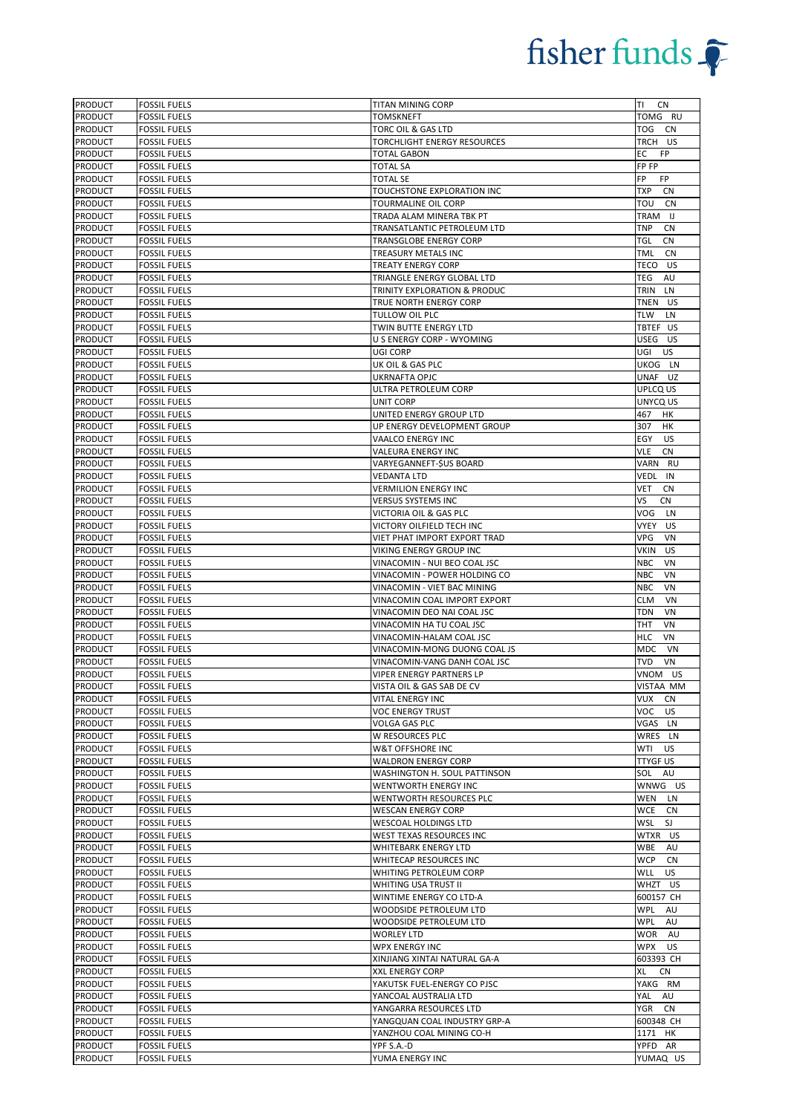| <b>PRODUCT</b> | <b>FOSSIL FUELS</b> | TITAN MINING CORP            | ΤI<br>CN                |
|----------------|---------------------|------------------------------|-------------------------|
| <b>PRODUCT</b> | <b>FOSSIL FUELS</b> | <b>TOMSKNEFT</b>             | TOMG RU                 |
| <b>PRODUCT</b> | <b>FOSSIL FUELS</b> | TORC OIL & GAS LTD           | TOG CN                  |
| <b>PRODUCT</b> | <b>FOSSIL FUELS</b> | TORCHLIGHT ENERGY RESOURCES  | TRCH US                 |
| PRODUCT        | <b>FOSSIL FUELS</b> | <b>TOTAL GABON</b>           | EC<br>FP.               |
| <b>PRODUCT</b> | <b>FOSSIL FUELS</b> | <b>TOTAL SA</b>              | FP FP                   |
| PRODUCT        | <b>FOSSIL FUELS</b> | <b>TOTAL SE</b>              | FP.<br>FP               |
| <b>PRODUCT</b> | <b>FOSSIL FUELS</b> | TOUCHSTONE EXPLORATION INC   | TXP<br>CN               |
| <b>PRODUCT</b> | <b>FOSSIL FUELS</b> | TOURMALINE OIL CORP          | ΤΟυ<br>CN               |
| PRODUCT        | <b>FOSSIL FUELS</b> | TRADA ALAM MINERA TBK PT     | TRAM IJ                 |
| <b>PRODUCT</b> | <b>FOSSIL FUELS</b> | TRANSATLANTIC PETROLEUM LTD  | <b>TNP</b><br><b>CN</b> |
| <b>PRODUCT</b> | <b>FOSSIL FUELS</b> | TRANSGLOBE ENERGY CORP       | TGL<br><b>CN</b>        |
| <b>PRODUCT</b> | <b>FOSSIL FUELS</b> | TREASURY METALS INC          | TML<br>CN               |
| <b>PRODUCT</b> | <b>FOSSIL FUELS</b> | TREATY ENERGY CORP           | TECO US                 |
| <b>PRODUCT</b> | <b>FOSSIL FUELS</b> | TRIANGLE ENERGY GLOBAL LTD   | TEG<br>AU               |
| <b>PRODUCT</b> | <b>FOSSIL FUELS</b> | TRINITY EXPLORATION & PRODUC | TRIN LN                 |
| <b>PRODUCT</b> | <b>FOSSIL FUELS</b> | TRUE NORTH ENERGY CORP       | TNEN US                 |
| <b>PRODUCT</b> | <b>FOSSIL FUELS</b> | TULLOW OIL PLC               | TLW<br>LN               |
| <b>PRODUCT</b> | <b>FOSSIL FUELS</b> | TWIN BUTTE ENERGY LTD        | TBTEF US                |
| <b>PRODUCT</b> | <b>FOSSIL FUELS</b> | U S ENERGY CORP - WYOMING    | USEG US                 |
| <b>PRODUCT</b> | <b>FOSSIL FUELS</b> | UGI CORP                     | UGI<br>US               |
| <b>PRODUCT</b> | <b>FOSSIL FUELS</b> | UK OIL & GAS PLC             | UKOG LN                 |
| PRODUCT        | <b>FOSSIL FUELS</b> | UKRNAFTA OPJC                | UNAF UZ                 |
| <b>PRODUCT</b> | <b>FOSSIL FUELS</b> | ULTRA PETROLEUM CORP         | UPLCQ US                |
| <b>PRODUCT</b> | <b>FOSSIL FUELS</b> | UNIT CORP                    | UNYCQ US                |
| <b>PRODUCT</b> | <b>FOSSIL FUELS</b> | UNITED ENERGY GROUP LTD      | 467<br>нк               |
| <b>PRODUCT</b> | <b>FOSSIL FUELS</b> | UP ENERGY DEVELOPMENT GROUP  | 307<br>HK               |
| <b>PRODUCT</b> | <b>FOSSIL FUELS</b> | VAALCO ENERGY INC            | EGY<br><b>US</b>        |
| PRODUCT        | <b>FOSSIL FUELS</b> | VALEURA ENERGY INC           | <b>VLE</b><br><b>CN</b> |
| <b>PRODUCT</b> | <b>FOSSIL FUELS</b> | VARYEGANNEFT-\$US BOARD      | VARN RU                 |
| <b>PRODUCT</b> | <b>FOSSIL FUELS</b> | <b>VEDANTA LTD</b>           | VEDL IN                 |
| PRODUCT        | <b>FOSSIL FUELS</b> | <b>VERMILION ENERGY INC</b>  | <b>VET</b><br>CN        |
| <b>PRODUCT</b> | <b>FOSSIL FUELS</b> | <b>VERSUS SYSTEMS INC</b>    | VS<br><b>CN</b>         |
| <b>PRODUCT</b> | <b>FOSSIL FUELS</b> | VICTORIA OIL & GAS PLC       | VOG<br>LN               |
| <b>PRODUCT</b> | <b>FOSSIL FUELS</b> | VICTORY OILFIELD TECH INC    | VYEY US                 |
| <b>PRODUCT</b> | <b>FOSSIL FUELS</b> | VIET PHAT IMPORT EXPORT TRAD | VPG<br>VN               |
| <b>PRODUCT</b> | <b>FOSSIL FUELS</b> | VIKING ENERGY GROUP INC      | VKIN<br><b>US</b>       |
| <b>PRODUCT</b> | <b>FOSSIL FUELS</b> | VINACOMIN - NUI BEO COAL JSC | <b>NBC</b><br>VN        |
| <b>PRODUCT</b> | <b>FOSSIL FUELS</b> | VINACOMIN - POWER HOLDING CO | <b>NBC</b><br>VN        |
| PRODUCT        | <b>FOSSIL FUELS</b> | VINACOMIN - VIET BAC MINING  | <b>NBC</b><br>VN        |
| PRODUCT        | <b>FOSSIL FUELS</b> | VINACOMIN COAL IMPORT EXPORT | <b>CLM</b><br>VN        |
| <b>PRODUCT</b> | <b>FOSSIL FUELS</b> | VINACOMIN DEO NAI COAL JSC   | TDN<br>VN               |
| PRODUCT        | <b>FOSSIL FUELS</b> | VINACOMIN HA TU COAL JSC     | <b>THT</b><br>VN        |
| <b>PRODUCT</b> | <b>FOSSIL FUELS</b> | VINACOMIN-HALAM COAL JSC     | <b>HLC</b><br>VN        |
| <b>PRODUCT</b> | <b>FOSSIL FUELS</b> | VINACOMIN-MONG DUONG COAL JS | MDC<br>VN               |
| <b>PRODUCT</b> | <b>FOSSIL FUELS</b> | VINACOMIN-VANG DANH COAL JSC | TVD<br>VN               |
| <b>PRODUCT</b> | <b>FOSSIL FUELS</b> | VIPER ENERGY PARTNERS LP     | VNOM US                 |
| <b>PRODUCT</b> | <b>FOSSIL FUELS</b> | VISTA OIL & GAS SAB DE CV    | <b>VISTAA MM</b>        |
| <b>PRODUCT</b> | <b>FOSSIL FUELS</b> | <b>VITAL ENERGY INC</b>      | VUX CN                  |
| <b>PRODUCT</b> | <b>FOSSIL FUELS</b> | <b>VOC ENERGY TRUST</b>      | VOC<br>US               |
| <b>PRODUCT</b> | <b>FOSSIL FUELS</b> | VOLGA GAS PLC                | VGAS LN                 |
| <b>PRODUCT</b> | <b>FOSSIL FUELS</b> | W RESOURCES PLC              | WRES LN                 |
| <b>PRODUCT</b> | <b>FOSSIL FUELS</b> | W&T OFFSHORE INC             | WTI<br><b>US</b>        |
| PRODUCT        | <b>FOSSIL FUELS</b> | <b>WALDRON ENERGY CORP</b>   | TTYGF US                |
| PRODUCT        | <b>FOSSIL FUELS</b> | WASHINGTON H. SOUL PATTINSON | SOL<br>AU               |
| PRODUCT        | <b>FOSSIL FUELS</b> | WENTWORTH ENERGY INC         | WNWG US                 |
| PRODUCT        | <b>FOSSIL FUELS</b> | WENTWORTH RESOURCES PLC      | WEN<br>LN               |
| <b>PRODUCT</b> | <b>FOSSIL FUELS</b> | <b>WESCAN ENERGY CORP</b>    | WCE<br>CN               |
| PRODUCT        | <b>FOSSIL FUELS</b> | WESCOAL HOLDINGS LTD         | WSL<br>SJ               |
| <b>PRODUCT</b> | <b>FOSSIL FUELS</b> | WEST TEXAS RESOURCES INC     | WTXR US                 |
| <b>PRODUCT</b> | <b>FOSSIL FUELS</b> | <b>WHITEBARK ENERGY LTD</b>  | WBE<br>AU               |
| <b>PRODUCT</b> | <b>FOSSIL FUELS</b> | WHITECAP RESOURCES INC       | WCP<br><b>CN</b>        |
| PRODUCT        | <b>FOSSIL FUELS</b> | WHITING PETROLEUM CORP       | WLL<br><b>US</b>        |
| PRODUCT        | <b>FOSSIL FUELS</b> | WHITING USA TRUST II         | WHZT US                 |
| <b>PRODUCT</b> | <b>FOSSIL FUELS</b> | WINTIME ENERGY CO LTD-A      | 600157 CH               |
| PRODUCT        | <b>FOSSIL FUELS</b> | WOODSIDE PETROLEUM LTD       | WPL<br>AU               |
| <b>PRODUCT</b> | <b>FOSSIL FUELS</b> | WOODSIDE PETROLEUM LTD       | WPL<br>AU               |
| <b>PRODUCT</b> | <b>FOSSIL FUELS</b> | <b>WORLEY LTD</b>            | WOR AU                  |
| <b>PRODUCT</b> | <b>FOSSIL FUELS</b> | WPX ENERGY INC               | WPX<br>US.              |
| <b>PRODUCT</b> | <b>FOSSIL FUELS</b> | XINJIANG XINTAI NATURAL GA-A | 603393 CH               |
| <b>PRODUCT</b> | <b>FOSSIL FUELS</b> | XXL ENERGY CORP              | XL<br>CN                |
| <b>PRODUCT</b> | <b>FOSSIL FUELS</b> | YAKUTSK FUEL-ENERGY CO PJSC  | YAKG RM                 |
| <b>PRODUCT</b> | <b>FOSSIL FUELS</b> | YANCOAL AUSTRALIA LTD        | YAL AU                  |
| <b>PRODUCT</b> | <b>FOSSIL FUELS</b> | YANGARRA RESOURCES LTD       | <b>YGR</b><br>CN        |
| <b>PRODUCT</b> | <b>FOSSIL FUELS</b> | YANGQUAN COAL INDUSTRY GRP-A | 600348 CH               |
| <b>PRODUCT</b> | <b>FOSSIL FUELS</b> | YANZHOU COAL MINING CO-H     | 1171 HK                 |
| <b>PRODUCT</b> | <b>FOSSIL FUELS</b> | YPF S.A.-D                   | YPFD AR                 |
|                |                     |                              |                         |
| <b>PRODUCT</b> | <b>FOSSIL FUELS</b> | YUMA ENERGY INC              | YUMAQ US                |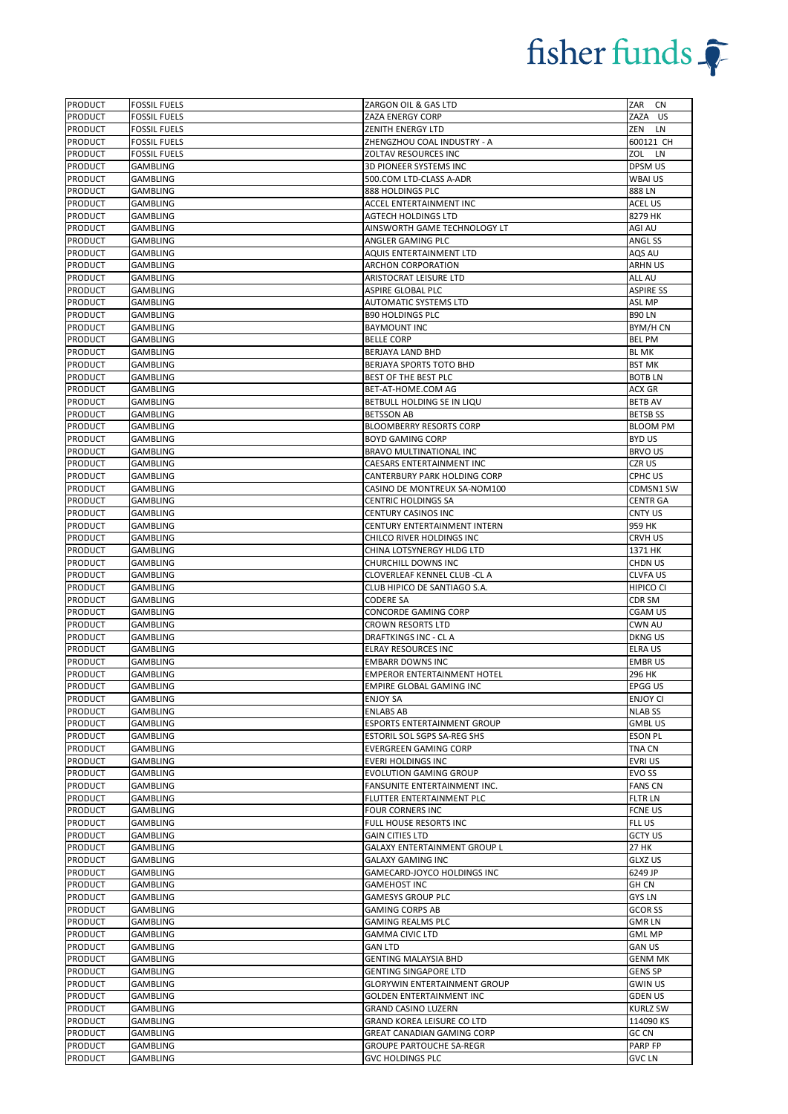| <b>PRODUCT</b>                   | <b>FOSSIL FUELS</b>         | ZARGON OIL & GAS LTD                                       | ZAR CN                   |
|----------------------------------|-----------------------------|------------------------------------------------------------|--------------------------|
| <b>PRODUCT</b>                   | <b>FOSSIL FUELS</b>         | ZAZA ENERGY CORP                                           | ZAZA US                  |
| PRODUCT                          | <b>FOSSIL FUELS</b>         | <b>ZENITH ENERGY LTD</b>                                   | ZEN LN                   |
| <b>PRODUCT</b>                   | <b>FOSSIL FUELS</b>         | ZHENGZHOU COAL INDUSTRY - A                                | 600121 CH                |
| <b>PRODUCT</b>                   | <b>FOSSIL FUELS</b>         | ZOLTAV RESOURCES INC                                       | ZOL LN                   |
| PRODUCT                          | GAMBLING                    | 3D PIONEER SYSTEMS INC                                     | DPSM US                  |
| <b>PRODUCT</b>                   | GAMBLING                    | 500.COM LTD-CLASS A-ADR                                    | WBAI US                  |
| PRODUCT                          | <b>GAMBLING</b>             | 888 HOLDINGS PLC                                           | 888 LN                   |
| PRODUCT                          | GAMBLING                    | ACCEL ENTERTAINMENT INC                                    | ACEL US                  |
| PRODUCT                          | <b>GAMBLING</b>             | <b>AGTECH HOLDINGS LTD</b>                                 | 8279 HK                  |
| PRODUCT                          | <b>GAMBLING</b>             | AINSWORTH GAME TECHNOLOGY LT                               | AGI AU                   |
| PRODUCT                          | <b>GAMBLING</b>             | ANGLER GAMING PLC                                          | ANGL SS                  |
| <b>PRODUCT</b>                   | <b>GAMBLING</b>             | AQUIS ENTERTAINMENT LTD                                    | AQS AU                   |
| PRODUCT                          | <b>GAMBLING</b>             | ARCHON CORPORATION                                         | ARHN US                  |
| PRODUCT                          | <b>GAMBLING</b>             | ARISTOCRAT LEISURE LTD                                     | ALL AU                   |
| PRODUCT                          | GAMBLING                    | ASPIRE GLOBAL PLC                                          | <b>ASPIRE SS</b>         |
| <b>PRODUCT</b>                   | <b>GAMBLING</b>             | <b>AUTOMATIC SYSTEMS LTD</b>                               | ASL MP                   |
| PRODUCT                          | <b>GAMBLING</b>             | <b>B90 HOLDINGS PLC</b>                                    | <b>B90 LN</b>            |
| PRODUCT                          | <b>GAMBLING</b>             | <b>BAYMOUNT INC</b>                                        | BYM/H CN                 |
| <b>PRODUCT</b>                   | <b>GAMBLING</b>             | <b>BELLE CORP</b>                                          | <b>BEL PM</b>            |
| <b>PRODUCT</b>                   | <b>GAMBLING</b>             | BERJAYA LAND BHD                                           | <b>BL MK</b>             |
| PRODUCT                          | <b>GAMBLING</b>             | BERJAYA SPORTS TOTO BHD                                    | <b>BST MK</b>            |
| <b>PRODUCT</b>                   | GAMBLING                    | BEST OF THE BEST PLC                                       | <b>BOTBLN</b>            |
| PRODUCT                          | <b>GAMBLING</b>             | BET-AT-HOME.COM AG                                         | ACX GR                   |
| PRODUCT                          | GAMBLING                    | BETBULL HOLDING SE IN LIQU                                 | <b>BETB AV</b>           |
| <b>PRODUCT</b>                   | <b>GAMBLING</b>             | <b>BETSSON AB</b>                                          | <b>BETSB SS</b>          |
| PRODUCT                          | <b>GAMBLING</b>             | BLOOMBERRY RESORTS CORP                                    | <b>BLOOM PM</b>          |
| <b>PRODUCT</b>                   | <b>GAMBLING</b>             | <b>BOYD GAMING CORP</b>                                    | <b>BYD US</b>            |
| <b>PRODUCT</b>                   | <b>GAMBLING</b>             | BRAVO MULTINATIONAL INC                                    | <b>BRVO US</b>           |
| <b>PRODUCT</b>                   | <b>GAMBLING</b>             | CAESARS ENTERTAINMENT INC                                  | CZR US                   |
| PRODUCT                          | <b>GAMBLING</b>             | CANTERBURY PARK HOLDING CORP                               | CPHC US                  |
| PRODUCT                          | <b>GAMBLING</b>             | CASINO DE MONTREUX SA-NOM100                               | CDMSN1 SW                |
| PRODUCT                          | <b>GAMBLING</b>             | <b>CENTRIC HOLDINGS SA</b>                                 | <b>CENTR GA</b>          |
| PRODUCT                          | <b>GAMBLING</b>             | CENTURY CASINOS INC                                        | CNTY US                  |
| <b>PRODUCT</b>                   | <b>GAMBLING</b>             | CENTURY ENTERTAINMENT INTERN                               | 959 HK                   |
| PRODUCT                          | <b>GAMBLING</b>             | CHILCO RIVER HOLDINGS INC                                  | CRVH US                  |
| <b>PRODUCT</b>                   | <b>GAMBLING</b>             | CHINA LOTSYNERGY HLDG LTD                                  | 1371 HK                  |
| <b>PRODUCT</b>                   | <b>GAMBLING</b>             | CHURCHILL DOWNS INC                                        | CHDN US                  |
| PRODUCT                          | GAMBLING                    | CLOVERLEAF KENNEL CLUB -CL A                               | <b>CLVFA US</b>          |
| PRODUCT                          | <b>GAMBLING</b>             | CLUB HIPICO DE SANTIAGO S.A.                               | HIPICO CI                |
| PRODUCT                          | GAMBLING                    | <b>CODERE SA</b>                                           | CDR SM                   |
| <b>PRODUCT</b>                   | <b>GAMBLING</b>             | CONCORDE GAMING CORP                                       | <b>CGAM US</b>           |
| PRODUCT                          | <b>GAMBLING</b>             | <b>CROWN RESORTS LTD</b>                                   | CWN AU                   |
| PRODUCT                          | <b>GAMBLING</b>             | DRAFTKINGS INC - CL A                                      | DKNG US                  |
| <b>PRODUCT</b>                   | <b>GAMBLING</b>             | ELRAY RESOURCES INC                                        | ELRA US                  |
| <b>PRODUCT</b>                   | <b>GAMBLING</b>             | <b>EMBARR DOWNS INC</b>                                    | <b>EMBRUS</b>            |
| PRODUCT                          | <b>GAMBLING</b>             | <b>EMPEROR ENTERTAINMENT HOTEL</b>                         | 296 HK                   |
| <b>PRODUCT</b>                   | <b>GAMBLING</b>             | <b>EMPIRE GLOBAL GAMING INC</b>                            | <b>EPGG US</b>           |
| <b>PRODUCT</b>                   | <b>GAMBLING</b>             | <b>ENJOY SA</b>                                            | <b>ENJOY CI</b>          |
| PRODUCT                          | GAMBLING                    | <b>ENLABS AB</b>                                           | <b>NLAB SS</b>           |
| <b>PRODUCT</b>                   | <b>GAMBLING</b>             | ESPORTS ENTERTAINMENT GROUP                                | <b>GMBLUS</b>            |
| <b>PRODUCT</b>                   | GAMBLING                    | ESTORIL SOL SGPS SA-REG SHS                                | ESON PL                  |
| <b>PRODUCT</b>                   | <b>GAMBLING</b>             | <b>EVERGREEN GAMING CORP</b>                               | <b>TNA CN</b>            |
| <b>PRODUCT</b>                   | <b>GAMBLING</b>             | <b>EVERI HOLDINGS INC</b>                                  | <b>EVRIUS</b>            |
| PRODUCT                          | GAMBLING                    | <b>EVOLUTION GAMING GROUP</b>                              | EVO SS                   |
| PRODUCT                          | GAMBLING                    | FANSUNITE ENTERTAINMENT INC.                               | <b>FANS CN</b>           |
| PRODUCT                          | <b>GAMBLING</b>             | FLUTTER ENTERTAINMENT PLC                                  | <b>FLTR LN</b>           |
| <b>PRODUCT</b>                   | <b>GAMBLING</b>             | <b>FOUR CORNERS INC</b>                                    | <b>FCNE US</b>           |
| PRODUCT                          | <b>GAMBLING</b>             | FULL HOUSE RESORTS INC                                     | FLL US                   |
| PRODUCT                          | GAMBLING                    | <b>GAIN CITIES LTD</b>                                     | <b>GCTY US</b>           |
| <b>PRODUCT</b>                   | <b>GAMBLING</b>             | <b>GALAXY ENTERTAINMENT GROUP L</b>                        | 27 HK                    |
| <b>PRODUCT</b>                   | <b>GAMBLING</b>             | GALAXY GAMING INC                                          | <b>GLXZ US</b>           |
| PRODUCT                          | GAMBLING                    | GAMECARD-JOYCO HOLDINGS INC                                | 6249 JP                  |
| PRODUCT                          | GAMBLING                    | <b>GAMEHOST INC</b>                                        | <b>GH CN</b>             |
| <b>PRODUCT</b>                   | GAMBLING                    | <b>GAMESYS GROUP PLC</b>                                   | <b>GYS LN</b>            |
| PRODUCT                          | <b>GAMBLING</b>             | <b>GAMING CORPS AB</b>                                     | <b>GCOR SS</b>           |
| <b>PRODUCT</b>                   | <b>GAMBLING</b>             | <b>GAMING REALMS PLC</b>                                   | <b>GMRLN</b>             |
| <b>PRODUCT</b>                   | GAMBLING                    | <b>GAMMA CIVIC LTD</b>                                     | <b>GML MP</b>            |
| PRODUCT                          | GAMBLING                    | <b>GAN LTD</b>                                             | <b>GAN US</b>            |
| PRODUCT                          | <b>GAMBLING</b>             | <b>GENTING MALAYSIA BHD</b>                                | <b>GENM MK</b>           |
| <b>PRODUCT</b>                   |                             |                                                            | <b>GENS SP</b>           |
|                                  |                             |                                                            |                          |
|                                  | <b>GAMBLING</b>             | <b>GENTING SINGAPORE LTD</b>                               |                          |
| PRODUCT                          | GAMBLING                    | <b>GLORYWIN ENTERTAINMENT GROUP</b>                        | <b>GWIN US</b>           |
| PRODUCT                          | GAMBLING                    | <b>GOLDEN ENTERTAINMENT INC</b>                            | <b>GDEN US</b>           |
| PRODUCT                          | <b>GAMBLING</b>             | <b>GRAND CASINO LUZERN</b>                                 | <b>KURLZ SW</b>          |
| PRODUCT                          | <b>GAMBLING</b>             | GRAND KOREA LEISURE CO LTD                                 | 114090 KS                |
| <b>PRODUCT</b>                   | GAMBLING                    | GREAT CANADIAN GAMING CORP                                 | GC CN                    |
| <b>PRODUCT</b><br><b>PRODUCT</b> | GAMBLING<br><b>GAMBLING</b> | <b>GROUPE PARTOUCHE SA-REGR</b><br><b>GVC HOLDINGS PLC</b> | PARP FP<br><b>GVC LN</b> |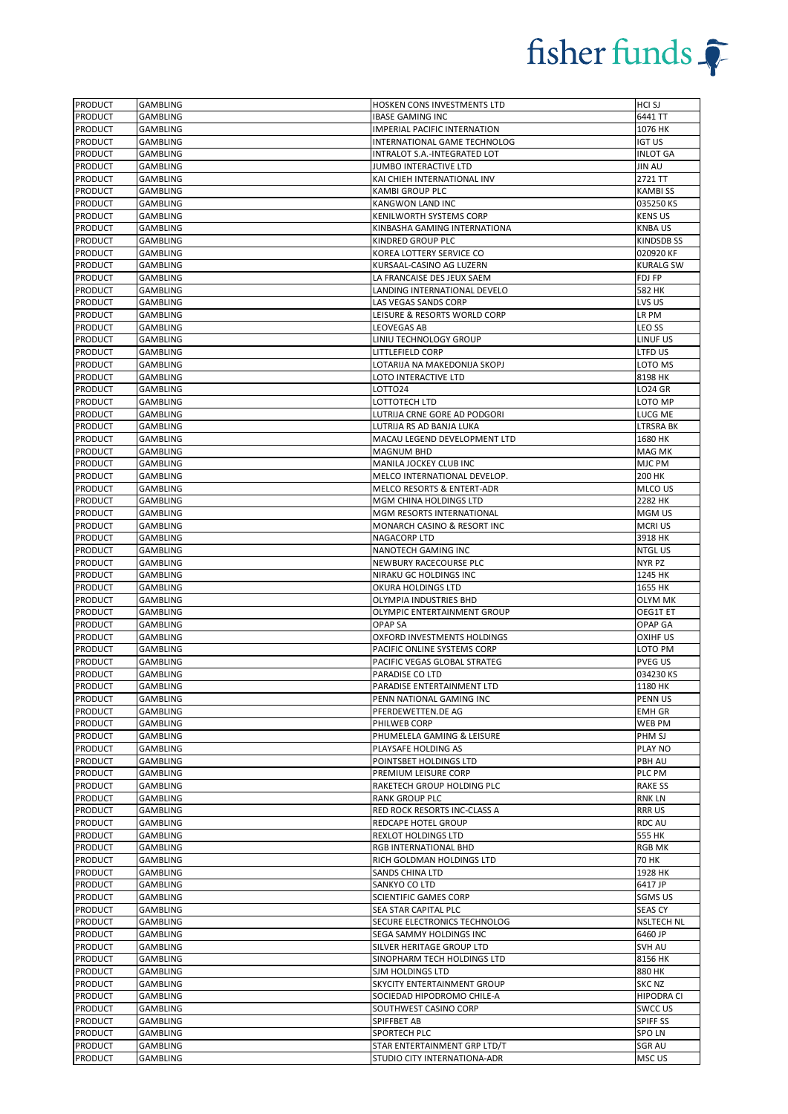| <b>PRODUCT</b> | GAMBLING        | HOSKEN CONS INVESTMENTS LTD           | HCI SJ            |
|----------------|-----------------|---------------------------------------|-------------------|
| <b>PRODUCT</b> | GAMBLING        | <b>IBASE GAMING INC</b>               | 6441 TT           |
| <b>PRODUCT</b> | <b>GAMBLING</b> | IMPERIAL PACIFIC INTERNATION          | 1076 HK           |
| <b>PRODUCT</b> | <b>GAMBLING</b> | INTERNATIONAL GAME TECHNOLOG          | <b>IGT US</b>     |
| <b>PRODUCT</b> | <b>GAMBLING</b> | INTRALOT S.A.-INTEGRATED LOT          | <b>INLOT GA</b>   |
| PRODUCT        | GAMBLING        | JUMBO INTERACTIVE LTD                 | <b>JIN AU</b>     |
| <b>PRODUCT</b> | <b>GAMBLING</b> | KAI CHIEH INTERNATIONAL INV           | 2721 TT           |
| <b>PRODUCT</b> | <b>GAMBLING</b> | <b>KAMBI GROUP PLC</b>                | <b>KAMBISS</b>    |
| <b>PRODUCT</b> | GAMBLING        | KANGWON LAND INC                      | 035250 KS         |
| <b>PRODUCT</b> | <b>GAMBLING</b> | KENILWORTH SYSTEMS CORP               | <b>KENS US</b>    |
| <b>PRODUCT</b> | <b>GAMBLING</b> | KINBASHA GAMING INTERNATIONA          | <b>KNBAUS</b>     |
| <b>PRODUCT</b> | <b>GAMBLING</b> | KINDRED GROUP PLC                     | <b>KINDSDB SS</b> |
| PRODUCT        | GAMBLING        | KOREA LOTTERY SERVICE CO              | 020920 KF         |
| <b>PRODUCT</b> | GAMBLING        | KURSAAL-CASINO AG LUZERN              | <b>KURALG SW</b>  |
| <b>PRODUCT</b> | GAMBLING        | LA FRANCAISE DES JEUX SAEM            | FDJ FP            |
| <b>PRODUCT</b> | <b>GAMBLING</b> | LANDING INTERNATIONAL DEVELO          | 582 HK            |
| <b>PRODUCT</b> | GAMBLING        | LAS VEGAS SANDS CORP                  | LVS US            |
| <b>PRODUCT</b> | <b>GAMBLING</b> | LEISURE & RESORTS WORLD CORP          | LR PM             |
| <b>PRODUCT</b> | <b>GAMBLING</b> | <b>LEOVEGAS AB</b>                    | LEO SS            |
| <b>PRODUCT</b> | <b>GAMBLING</b> | LINIU TECHNOLOGY GROUP                | LINUF US          |
| <b>PRODUCT</b> | GAMBLING        | LITTLEFIELD CORP                      | LTFD US           |
| PRODUCT        | GAMBLING        | LOTARIJA NA MAKEDONIJA SKOPJ          | LOTO MS           |
| <b>PRODUCT</b> | <b>GAMBLING</b> | LOTO INTERACTIVE LTD                  | 8198 HK           |
| <b>PRODUCT</b> | <b>GAMBLING</b> | LOTTO24                               | <b>LO24 GR</b>    |
|                |                 |                                       |                   |
| <b>PRODUCT</b> | GAMBLING        | LOTTOTECH LTD                         | LOTO MP           |
| <b>PRODUCT</b> | <b>GAMBLING</b> | LUTRIJA CRNE GORE AD PODGORI          | LUCG ME           |
| <b>PRODUCT</b> | <b>GAMBLING</b> | LUTRIJA RS AD BANJA LUKA              | <b>LTRSRA BK</b>  |
| <b>PRODUCT</b> | <b>GAMBLING</b> | MACAU LEGEND DEVELOPMENT LTD          | 1680 HK           |
| <b>PRODUCT</b> | <b>GAMBLING</b> | <b>MAGNUM BHD</b>                     | MAG MK            |
| <b>PRODUCT</b> | GAMBLING        | MANILA JOCKEY CLUB INC                | MJC PM            |
| <b>PRODUCT</b> | <b>GAMBLING</b> | MELCO INTERNATIONAL DEVELOP.          | 200 HK            |
| <b>PRODUCT</b> | <b>GAMBLING</b> | <b>MELCO RESORTS &amp; ENTERT-ADR</b> | MLCO US           |
| <b>PRODUCT</b> | GAMBLING        | MGM CHINA HOLDINGS LTD                | 2282 HK           |
| <b>PRODUCT</b> | GAMBLING        | MGM RESORTS INTERNATIONAL             | MGM US            |
| <b>PRODUCT</b> | GAMBLING        | MONARCH CASINO & RESORT INC           | MCRI US           |
| <b>PRODUCT</b> | <b>GAMBLING</b> | NAGACORP LTD                          | 3918 HK           |
| <b>PRODUCT</b> | <b>GAMBLING</b> | NANOTECH GAMING INC                   | <b>NTGLUS</b>     |
| <b>PRODUCT</b> | GAMBLING        | NEWBURY RACECOURSE PLC                | NYR PZ            |
| <b>PRODUCT</b> | GAMBLING        | NIRAKU GC HOLDINGS INC                | 1245 HK           |
| <b>PRODUCT</b> | GAMBLING        | OKURA HOLDINGS LTD                    | 1655 HK           |
| <b>PRODUCT</b> | <b>GAMBLING</b> | OLYMPIA INDUSTRIES BHD                | <b>OLYM MK</b>    |
| <b>PRODUCT</b> | GAMBLING        | OLYMPIC ENTERTAINMENT GROUP           | OEG1T ET          |
| <b>PRODUCT</b> | GAMBLING        | <b>OPAP SA</b>                        | OPAP GA           |
| <b>PRODUCT</b> | <b>GAMBLING</b> | OXFORD INVESTMENTS HOLDINGS           | <b>OXIHF US</b>   |
| <b>PRODUCT</b> | <b>GAMBLING</b> | PACIFIC ONLINE SYSTEMS CORP           | LOTO PM           |
| <b>PRODUCT</b> | GAMBLING        | PACIFIC VEGAS GLOBAL STRATEG          | <b>PVEG US</b>    |
| <b>PRODUCT</b> | GAMBLING        | PARADISE CO LTD                       | 034230 KS         |
|                | <b>GAMBLING</b> |                                       | 1180 HK           |
| <b>PRODUCT</b> |                 | PARADISE ENTERTAINMENT LTD            |                   |
| <b>PRODUCT</b> | GAMBLING        | PENN NATIONAL GAMING INC              | PENN US           |
| <b>PRODUCT</b> | GAMBLING        | PFERDEWETTEN.DE AG                    | EMH GR            |
| <b>PRODUCT</b> | GAMBLING        | PHILWEB CORP                          | WEB PM            |
| PRODUCT        | <b>GAMBLING</b> | PHUMELELA GAMING & LEISURE            | PHM SJ            |
| <b>PRODUCT</b> | GAMBLING        | PLAYSAFE HOLDING AS                   | PLAY NO           |
| PRODUCT        | <b>GAMBLING</b> | POINTSBET HOLDINGS LTD                | PBH AU            |
| <b>PRODUCT</b> | GAMBLING        | PREMIUM LEISURE CORP                  | PLC PM            |
| <b>PRODUCT</b> | <b>GAMBLING</b> | RAKETECH GROUP HOLDING PLC            | <b>RAKE SS</b>    |
| <b>PRODUCT</b> | <b>GAMBLING</b> | <b>RANK GROUP PLC</b>                 | RNK LN            |
| <b>PRODUCT</b> | GAMBLING        | RED ROCK RESORTS INC-CLASS A          | <b>RRRUS</b>      |
| <b>PRODUCT</b> | GAMBLING        | REDCAPE HOTEL GROUP                   | RDC AU            |
| <b>PRODUCT</b> | GAMBLING        | REXLOT HOLDINGS LTD                   | 555 HK            |
| <b>PRODUCT</b> | <b>GAMBLING</b> | RGB INTERNATIONAL BHD                 | RGB MK            |
| <b>PRODUCT</b> | GAMBLING        | RICH GOLDMAN HOLDINGS LTD             | 70 HK             |
| <b>PRODUCT</b> | <b>GAMBLING</b> | SANDS CHINA LTD                       | 1928 HK           |
| <b>PRODUCT</b> | GAMBLING        | SANKYO CO LTD                         | 6417 JP           |
| <b>PRODUCT</b> | <b>GAMBLING</b> | SCIENTIFIC GAMES CORP                 | <b>SGMS US</b>    |
| <b>PRODUCT</b> | <b>GAMBLING</b> | SEA STAR CAPITAL PLC                  | <b>SEAS CY</b>    |
| PRODUCT        | GAMBLING        | SECURE ELECTRONICS TECHNOLOG          | <b>NSLTECH NL</b> |
| <b>PRODUCT</b> | GAMBLING        | SEGA SAMMY HOLDINGS INC               | 6460 JP           |
| <b>PRODUCT</b> | <b>GAMBLING</b> | SILVER HERITAGE GROUP LTD             | SVH AU            |
| <b>PRODUCT</b> | <b>GAMBLING</b> | SINOPHARM TECH HOLDINGS LTD           | 8156 HK           |
| <b>PRODUCT</b> | GAMBLING        | SJM HOLDINGS LTD                      | 880 HK            |
| PRODUCT        | GAMBLING        | SKYCITY ENTERTAINMENT GROUP           | SKC NZ            |
| <b>PRODUCT</b> | GAMBLING        | SOCIEDAD HIPODROMO CHILE-A            | HIPODRA CI        |
|                | <b>GAMBLING</b> |                                       |                   |
| <b>PRODUCT</b> |                 | SOUTHWEST CASINO CORP                 | SWCC US           |
| <b>PRODUCT</b> | GAMBLING        | SPIFFBET AB                           | <b>SPIFF SS</b>   |
| <b>PRODUCT</b> | GAMBLING        | SPORTECH PLC                          | SPO LN            |
| <b>PRODUCT</b> | <b>GAMBLING</b> | STAR ENTERTAINMENT GRP LTD/T          | <b>SGR AU</b>     |
| <b>PRODUCT</b> | <b>GAMBLING</b> | STUDIO CITY INTERNATIONA-ADR          | MSC US            |